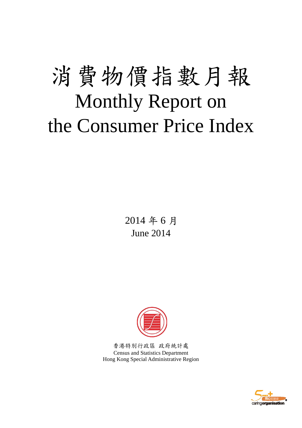# 消費物價指數月報 Monthly Report on the Consumer Price Index

2014 年 6 月 June 2014



香港特別行政區 政府統計處 Census and Statistics Department Hong Kong Special Administrative Region

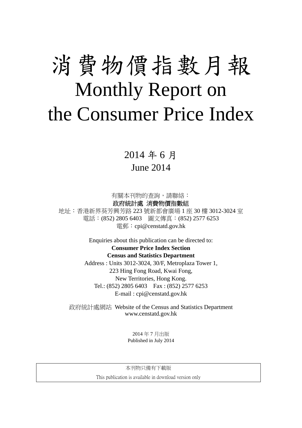# 消費物價指數月報 Monthly Report on the Consumer Price Index

# 2014 年 6 月 June 2014

有關本刊物的查詢,請聯絡:

政府統計處 消費物價指數組

地址:香港新界葵芳興芳路 223 號新都會廣場 1 座 30 樓 3012-3024 室 電話:(852) 2805 6403 圖文傳真:(852) 2577 6253 電郵:cpi@censtatd.gov.hk

> Enquiries about this publication can be directed to: **Consumer Price Index Section Census and Statistics Department**  Address : Units 3012-3024, 30/F, Metroplaza Tower 1, 223 Hing Fong Road, Kwai Fong, New Territories, Hong Kong. Tel.: (852) 2805 6403 Fax : (852) 2577 6253

> > E-mail : cpi@censtatd.gov.hk

政府統計處網站 Website of the Census and Statistics Department www.censtatd.gov.hk

> 2014 年 7 月出版 Published in July 2014

本刊物只備有下載版

This publication is available in download version only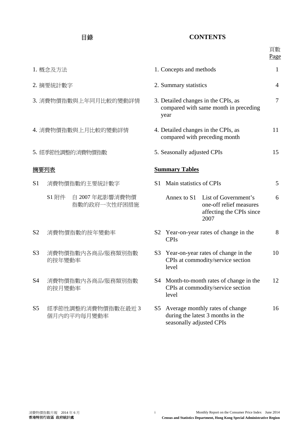### 目錄 **CONTENTS**

|                |                                       |                                                                                      |                                                                                        |                                                                                                 | 頁數<br>Page |  |
|----------------|---------------------------------------|--------------------------------------------------------------------------------------|----------------------------------------------------------------------------------------|-------------------------------------------------------------------------------------------------|------------|--|
|                | 1. 概念及方法                              |                                                                                      | 1. Concepts and methods                                                                |                                                                                                 | 1          |  |
|                | 2. 摘要統計數字                             |                                                                                      | 2. Summary statistics                                                                  |                                                                                                 | 4          |  |
|                | 3. 消費物價指數與上年同月比較的變動詳情                 | 3. Detailed changes in the CPIs, as<br>compared with same month in preceding<br>year |                                                                                        |                                                                                                 |            |  |
|                | 4. 消費物價指數與上月比較的變動詳情                   | 4. Detailed changes in the CPIs, as<br>compared with preceding month                 |                                                                                        |                                                                                                 |            |  |
|                | 5. 經季節性調整的消費物價指數                      | 5. Seasonally adjusted CPIs                                                          |                                                                                        |                                                                                                 |            |  |
| 摘要列表           |                                       | <b>Summary Tables</b>                                                                |                                                                                        |                                                                                                 |            |  |
| S <sub>1</sub> | 消費物價指數的主要統計數字                         | S <sub>1</sub>                                                                       | Main statistics of CPIs                                                                | 5                                                                                               |            |  |
|                | S1 附件 自 2007 年起影響消費物價<br>指數的政府一次性紓困措施 |                                                                                      |                                                                                        | Annex to S1 List of Government's<br>one-off relief measures<br>affecting the CPIs since<br>2007 | 6          |  |
| S <sub>2</sub> | 消費物價指數的按年變動率                          |                                                                                      | <b>CPIs</b>                                                                            | S2 Year-on-year rates of change in the                                                          | 8          |  |
| S <sub>3</sub> | 消費物價指數內各商品/服務類別指數<br>的按年變動率           | S <sub>3</sub>                                                                       | level                                                                                  | Year-on-year rates of change in the<br>CPIs at commodity/service section                        | 10         |  |
| S4             | 消費物價指數內各商品/服務類別指數<br>的按月變動率           |                                                                                      | S4 Month-to-month rates of change in the<br>CPIs at commodity/service section<br>level |                                                                                                 |            |  |
| S <sub>5</sub> | 經季節性調整的消費物價指數在最近3<br>個月內的平均每月變動率      | S <sub>5</sub>                                                                       | seasonally adjusted CPIs                                                               | Average monthly rates of change<br>during the latest 3 months in the                            | 16         |  |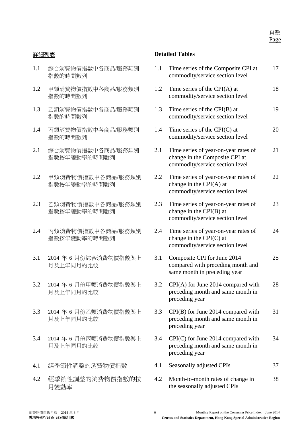- 1.1 綜合消費物價指數中各商品/服務類別 指數的時間數列
- 1.2 甲類消費物價指數中各商品/服務類別 指數的時間數列
- 1.3 乙類消費物價指數中各商品/服務類別 指數的時間數列
- 1.4 丙類消費物價指數中各商品/服務類別 指數的時間數列
- 2.1 綜合消費物價指數中各商品/服務類別 指數按年變動率的時間數列
- 2.2 甲類消費物價指數中各商品/服務類別 指數按年變動率的時間數列
- 2.3 乙類消費物價指數中各商品/服務類別 指數按年變動率的時間數列
- 2.4 丙類消費物價指數中各商品/服務類別 指數按年變動率的時間數列
- 3.1 2014 年 6 月份綜合消費物價指數與上 月及上年同月的比較
- 3.2 2014 年 6 月份甲類消費物價指數與上 月及上年同月的比較
- 3.3 2014 年 6 月份乙類消費物價指數與上 月及上年同月的比較
- 3.4 2014 年 6 月份丙類消費物價指數與上 月及上年同月的比較
- 4.1 經季節性調整的消費物價指數
- 4.2 經季節性調整的消費物價指數的按 月變動率

#### 詳細列表 **Detailed Tables**

| 1.1 | Time series of the Composite CPI at<br>commodity/service section level                                    | 17 |
|-----|-----------------------------------------------------------------------------------------------------------|----|
| 1.2 | Time series of the CPI(A) at<br>commodity/service section level                                           | 18 |
| 1.3 | Time series of the $CPI(B)$ at<br>commodity/service section level                                         | 19 |
| 1.4 | Time series of the $CPI(C)$ at<br>commodity/service section level                                         | 20 |
| 2.1 | Time series of year-on-year rates of<br>change in the Composite CPI at<br>commodity/service section level | 21 |
| 2.2 | Time series of year-on-year rates of<br>change in the $CPI(A)$ at<br>commodity/service section level      | 22 |
| 2.3 | Time series of year-on-year rates of<br>change in the CPI(B) at<br>commodity/service section level        | 23 |
| 2.4 | Time series of year-on-year rates of<br>change in the CPI(C) at<br>commodity/service section level        | 24 |
| 3.1 | Composite CPI for June 2014<br>compared with preceding month and<br>same month in preceding year          | 25 |
| 3.2 | CPI(A) for June 2014 compared with<br>preceding month and same month in<br>preceding year                 | 28 |
| 3.3 | $CPI(B)$ for June 2014 compared with<br>preceding month and same month in<br>preceding year               | 31 |
| 3.4 | $CPI(C)$ for June 2014 compared with<br>preceding month and same month in<br>preceding year               | 34 |
| 4.1 | Seasonally adjusted CPIs                                                                                  | 37 |
| 4.2 | Month-to-month rates of change in                                                                         | 38 |

the seasonally adjusted CPIs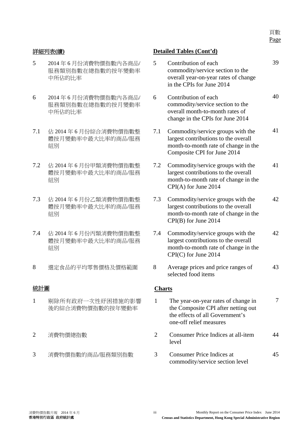頁數 Page

- 5 2014 年 6 月份消費物價指數內各商品/ 服務類別指數在總指數的按年變動率 中所佔的比率
- 6 2014 年 6 月份消費物價指數內各商品/ 服務類別指數在總指數的按月變動率 中所佔的比率
- 7.1 佔 2014 年 6 月份綜合消費物價指數整 體按月變動率中最大比率的商品/服務 組別
- 7.2 佔 2014 年 6 月份甲類消費物價指數整 體按月變動率中最大比率的商品/服務 組別
- 7.3 佔 2014 年 6 月份乙類消費物價指數整 體按月變動率中最大比率的商品/服務 組別
- 7.4 佔 2014 年 6 月份丙類消費物價指數整 體按月變動率中最大比率的商品/服務 細別
- 

- 1 剔除所有政府一次性紓困措施的影響 後的綜合消費物價指數的按年變動率
- 
- 

#### 詳細列表**(**續**) Detailed Tables (Cont'd)**

5 Contribution of each commodity/service section to the overall year-on-year rates of change in the CPIs for June 2014 39 6 Contribution of each commodity/service section to the overall month-to-month rates of change in the CPIs for June 2014 40 7.1 Commodity/service groups with the largest contributions to the overall month-to-month rate of change in the Composite CPI for June 2014 41 7.2 Commodity/service groups with the largest contributions to the overall month-to-month rate of change in the CPI(A) for June 2014 41 7.3 Commodity/service groups with the largest contributions to the overall month-to-month rate of change in the CPI(B) for June 2014 42 7.4 Commodity/service groups with the largest contributions to the overall month-to-month rate of change in the CPI(C) for June 2014 42 8 選定食品的平均零售價格及價格範圍 8 Average prices and price ranges of selected food items 43 統計圖 **Charts**  1 The year-on-year rates of change in the Composite CPI after netting out the effects of all Government's one-off relief measures 7 2 消費物價總指數 2 Consumer Price Indices at all-item level 44 3 消費物價指數的商品/服務類別指數 3 Consumer Price Indices at commodity/service section level 45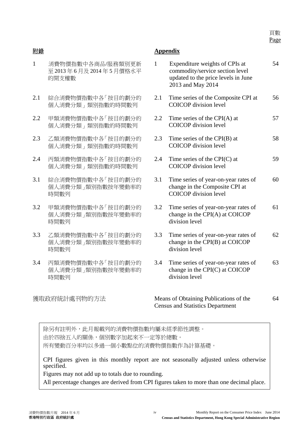頁數 Page

- 1 消費物價指數中各商品/服務類別更新 至 2013 年 6 月及 2014 年 5 月價格水平 的開支權數
- 2.1 綜合消費物價指數中各「按目的劃分的 個人消費分類」類別指數的時間數列
- 2.2 甲類消費物價指數中各「按目的劃分的 個人消費分類」類別指數的時間數列
- 2.3 乙類消費物價指數中各「按目的劃分的 個人消費分類」類別指數的時間數列
- 2.4 丙類消費物價指數中各「按目的劃分的 個人消費分類」類別指數的時間數列
- 3.1 綜合消費物價指數中各「按目的劃分的 個人消費分類」類別指數按年變動率的 時間數列
- 3.2 甲類消費物價指數中各「按目的劃分的 個人消費分類」類別指數按年變動率的 時間數列
- 3.3 乙類消費物價指數中各「按目的劃分的 個人消費分類」類別指數按年變動率的 時間數列
- 3.4 丙類消費物價指數中各「按目的劃分的 個人消費分類」類別指數按年變動率的 時間數列

### 附錄 **Appendix**

| $\mathbf{1}$ | Expenditure weights of CPIs at<br>commodity/service section level<br>updated to the price levels in June<br>2013 and May 2014 | 54 |
|--------------|-------------------------------------------------------------------------------------------------------------------------------|----|
| 2.1          | Time series of the Composite CPI at<br><b>COICOP</b> division level                                                           | 56 |
| $2.2\,$      | Time series of the $CPI(A)$ at<br><b>COICOP</b> division level                                                                | 57 |
| 2.3          | Time series of the CPI(B) at<br><b>COICOP</b> division level                                                                  | 58 |
| 2.4          | Time series of the $CPI(C)$ at<br><b>COICOP</b> division level                                                                | 59 |
| 3.1          | Time series of year-on-year rates of<br>change in the Composite CPI at<br><b>COICOP</b> division level                        | 60 |
| 3.2          | Time series of year-on-year rates of<br>change in the CPI(A) at COICOP<br>division level                                      | 61 |
| 3.3          | Time series of year-on-year rates of<br>change in the CPI(B) at COICOP<br>division level                                      | 62 |
| 3.4          | Time series of year-on-year rates of<br>change in the CPI(C) at COICOP<br>division level                                      | 63 |
|              |                                                                                                                               |    |

獲取政府統計處刊物的方法 Means of Obtaining Publications of the Census and Statistics Department

64

除另有註明外,此月報載列的消費物價指數均屬未經季節性調整。 由於四捨五入的關係,個別數字加起來不一定等於總數。 所有變動百分率均以多過一個小數點位的消費物價指數作為計算基礎。

CPI figures given in this monthly report are not seasonally adjusted unless otherwise specified.

Figures may not add up to totals due to rounding.

All percentage changes are derived from CPI figures taken to more than one decimal place.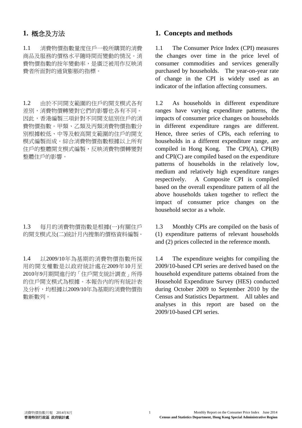1.1 消費物價指數量度住戶一般所購買的消費 商品及服務的價格水平隨時間而變動的情況。消 費物價指數的按年變動率,是廣泛被用作反映消 費者所面對的通貨膨脹的指標。

1.2 由於不同開支範圍的住戶的開支模式各有 差別,消費物價轉變對它們的影響也各有不同。 因此,香港編製三項針對不同開支組別住戶的消 費物價指數。甲類、乙類及丙類消費物價指數分 別根據較低、中等及較高開支範圍的住戶的開支 模式編製而成。綜合消費物價指數根據以上所有 住戶的整體開支模式編製,反映消費物價轉變對 整體住戶的影響。

1.3 每月的消費物價指數是根據(一)有關住戶 的開支模式及(二)統計月內搜集的價格資料編製。

1.4 以2009/10年為基期的消費物價指數所採 用的開支權數是以政府統計處在2009年10月至 2010年9月期間進行的「住戶開支統計調查」所得 的住戶開支模式為根據。本報告內的所有統計表 及分析,均根據以2009/10年為基期的消費物價指 數新數列。

#### **1.** 概念及方法 **1. Concepts and methods**

 1.1 The Consumer Price Index (CPI) measures the changes over time in the price level of consumer commodities and services generally purchased by households. The year-on-year rate of change in the CPI is widely used as an indicator of the inflation affecting consumers.

 1.2 As households in different expenditure ranges have varying expenditure patterns, the impacts of consumer price changes on households in different expenditure ranges are different. Hence, three series of CPIs, each referring to households in a different expenditure range, are compiled in Hong Kong. The CPI(A), CPI(B) and CPI(C) are compiled based on the expenditure patterns of households in the relatively low, medium and relatively high expenditure ranges respectively. A Composite CPI is compiled based on the overall expenditure pattern of all the above households taken together to reflect the impact of consumer price changes on the household sector as a whole.

 1.3 Monthly CPIs are compiled on the basis of (1) expenditure patterns of relevant households and (2) prices collected in the reference month.

 1.4 The expenditure weights for compiling the 2009/10-based CPI series are derived based on the household expenditure patterns obtained from the Household Expenditure Survey (HES) conducted during October 2009 to September 2010 by the Census and Statistics Department. All tables and analyses in this report are based on the 2009/10-based CPI series.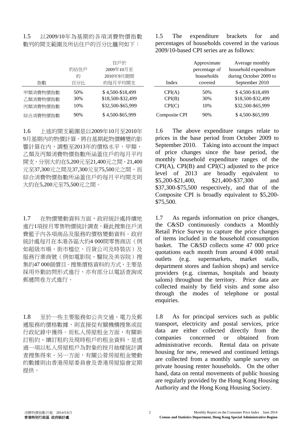#### 1.5 以2009/10年為基期的各項消費物價指數 數列的開支範圍及所佔住戶的百分比臚列如下:

| 指數                               | 住戶於<br>2009年10月至<br>約佔住戶<br>2010年9月期間<br>的<br>的每月平均開支<br>百分比 |                                                            | Index                      | Approximate<br>percentage of<br>households<br>covered | Average monthly<br>household expenditu<br>during October 2009<br>September 2010 |  |  |
|----------------------------------|--------------------------------------------------------------|------------------------------------------------------------|----------------------------|-------------------------------------------------------|---------------------------------------------------------------------------------|--|--|
| 甲類消費物價指數<br>乙類消費物價指數<br>丙類消費物價指數 | 50%<br>30%<br>10%                                            | \$4,500-\$18,499<br>\$18,500-\$32,499<br>\$32,500-\$65,999 | CPI(A)<br>CPI(B)<br>CPI(C) | 50%<br>30%<br>10%                                     | \$4,500-\$18,499<br>\$18,500-\$32,499<br>\$32,500-\$65,999                      |  |  |
| 綜合消費物價指數                         | 90%                                                          | \$4,500-\$65,999                                           | Composite CPI              | 90%                                                   | \$4,500-\$65,999                                                                |  |  |

1.6 上述的開支範圍是以2009年10月至2010年 9月基期內的物價計算。將自基期起物價轉變的影 響計算在內,調整至2013年的價格水平,甲類、 乙類及丙類消費物價指數所涵蓋住戶的每月平均 開支,分別大約在5,200元至21,400元之間、21,400 元至37,300元之間及37,300元至75,500元之間,而 綜合消費物價指數所涵蓋住戶的每月平均開支則 大約在5,200元至75,500元之間。

1.7 在物價變動資料方面,政府統計處持續地 進行1項按月零售物價統計調查,藉此搜集住戶消 費籃子內各項商品及服務的價格變動資料。政府 統計處每月在本港各區大約4 000間零售商店(例 如超級市場、街市檔位、百貨公司及時裝店)及 服務行業商號(例如電影院、醫院及美容院)搜 集約47 000個價目。搜集價格資料的方式,主要是 採用外勤訪問形式進行,亦有部分以電話查詢或 郵遞問卷方式進行。

1.8 至於一些主要服務如公共交通、電力及郵 遞服務的價格數據,則直接從有關機構搜集或從 行政紀錄中獲得。而私人房屋租金方面,有關新 訂租約、續訂租約及現時租戶的租金資料,是透 過一項以私人房屋租戶為對象的按月抽樣統計調 查搜集得來。另一方面,有關公營房屋租金變動 的數據則由香港房屋委員會及香港房屋協會定期 提供。

 1.5 The expenditure brackets for and percentages of households covered in the various 2009/10-based CPI series are as follows:

|               | Approximate<br>percentage of<br>households | Average monthly<br>household expenditure<br>during October 2009 to |
|---------------|--------------------------------------------|--------------------------------------------------------------------|
| Index         | covered                                    | September 2010                                                     |
| CPI(A)        | 50%                                        | \$4,500-\$18,499                                                   |
| CPI(B)        | 30%                                        | \$18,500-\$32,499                                                  |
| CPI(C)        | 10%                                        | \$32,500-\$65,999                                                  |
| Composite CPI | 90%                                        | \$4,500-\$65,999                                                   |

 1.6 The above expenditure ranges relate to prices in the base period from October 2009 to September 2010. Taking into account the impact of price changes since the base period, the monthly household expenditure ranges of the  $CPI(A)$ ,  $CPI(B)$  and  $CPI(C)$  adjusted to the price level of 2013 are broadly equivalent to \$5,200-\$21,400, \$21,400-\$37,300 and \$37,300-\$75,500 respectively, and that of the Composite CPI is broadly equivalent to \$5,200- \$75,500.

1.7 As regards information on price changes, the C&SD continuously conducts a Monthly Retail Price Survey to capture the price changes of items included in the household consumption basket. The C&SD collects some 47 000 price quotations each month from around 4 000 retail outlets (e.g. supermarkets, market stalls, department stores and fashion shops) and service providers (e.g. cinemas, hospitals and beauty salons) throughout the territory. Price data are collected mainly by field visits and some also through the modes of telephone or postal enquiries.

1.8 As for principal services such as public transport, electricity and postal services, price data are either collected directly from the companies concerned or obtained from companies concerned or obtained from administrative records. Rental data on private housing for new, renewed and continued lettings are collected from a monthly sample survey on private housing renter households. On the other hand, data on rental movements of public housing are regularly provided by the Hong Kong Housing Authority and the Hong Kong Housing Society.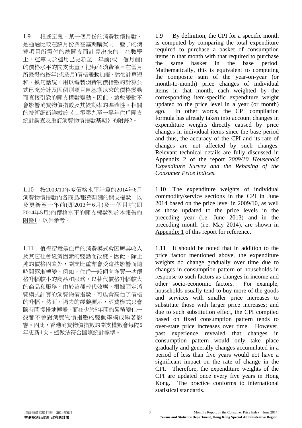1.9 根據定義,某一個月份的消費物價指數, 是通過比較在該月份與在基期購買同一籃子的消 費項目所需付的總開支而計算出來的。在數學 上,這等同於運用已更新至一年前(或一個月前) 的價格水平的開支比重,把每個消費項目在當月 所錄得的按年(或按月)價格變動加權,然後計算總 和。換句話說,用以編製消費物價指數的計算公 式已充分計及因個別項目自基期以來的價格變動 而直接引致的開支權數變動。因此,這些變動不 會影響消費物價指數及其變動率的準確性。相關 的技術細節詳載於《二零零九至一零年住戶開支 統計調查及重訂消費物價指數基期》的附錄2。

1.10 按2009/10年度價格水平計算的2014年6月 消費物價指數內各商品/服務類別的開支權數,以 及更新至一年前(即2013年6月)及一個月前(即 2014年5月)的價格水平的開支權數列於本報告的 附錄1,以供參考。

1.11 值得留意是住戶的消費模式會因應其收入 及其它社會經濟因素的變動而改變。因此,除上 述的價格因素外,開支比重亦會受這些影響而隨 時間逐漸轉變。例如,住戶一般傾向多買一些價 格升幅較小的商品和服務,以替代價格升幅較大 的商品和服務。由於這種替代效應,根據固定消 費模式計算的消費物價指數,可能會高估了價格 的升幅。然而,過去的經驗顯示,消費模式只會 隨時間慢慢地轉變,而在少於5年間的累積變化一 般都不會對消費物價指數的變動率構成顯著影 響。因此,香港消費物價指數的開支權數會每隔5 年更新1次。這做法符合國際統計標準。

1.9 By definition, the CPI for a specific month is computed by comparing the total expenditure required to purchase a basket of consumption items in that month with that required to purchase the same basket in the base period. Mathematically, this is equivalent to computing the composite sum of the year-on-year (or month-to-month) price changes of individual items in that month, each weighted by the corresponding item-specific expenditure weight updated to the price level in a year (or month) ago. In other words, the CPI compilation formula has already taken into account changes in expenditure weights directly caused by price changes in individual items since the base period and thus, the accuracy of the CPI and its rate of changes are not affected by such changes. Relevant technical details are fully discussed in Appendix 2 of the report *2009/10 Household Expenditure Survey and the Rebasing of the Consumer Price Indices*.

1.10 The expenditure weights of individual commodity/service sections in the CPI in June 2014 based on the price level in 2009/10, as well as those updated to the price levels in the preceding year (i.e. June 2013) and in the preceding month (i.e. May 2014), are shown in Appendix 1 of this report for reference.

1.11 It should be noted that in addition to the price factor mentioned above, the expenditure weights do change gradually over time due to changes in consumption pattern of households in response to such factors as changes in income and other socio-economic factors. For example, households usually tend to buy more of the goods and services with smaller price increases to substitute those with larger price increases; and due to such substitution effect, the CPI compiled based on fixed consumption pattern tends to over-state price increases over time. However, past experience revealed that changes in consumption pattern would only take place gradually and generally changes accumulated in a period of less than five years would not have a significant impact on the rate of change in the CPI. Therefore, the expenditure weights of the CPI are updated once every five years in Hong Kong. The practice conforms to international statistical standards.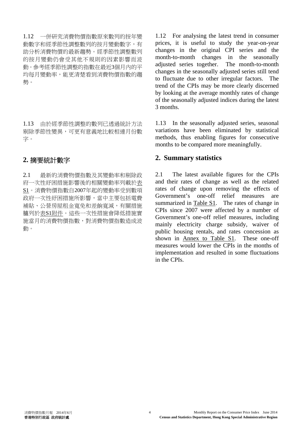1.12 一併研究消費物價指數原來數列的按年變 動數字和經季節性調整數列的按月變動數字,有 助分析消費物價的最新趨勢。經季節性調整數列 的按月變動仍會受其他不規則的因素影響而波 動。參考經季節性調整的指數在最近3個月內的平 均每月變動率,能更清楚看到消費物價指數的趨 勢。

1.13 由於經季節性調整的數列已透過統計方法 剔除季節性變異,可更有意義地比較相連月份數 字。

2.1 最新的消費物價指數及其變動率和剔除政 府一次性紓困措施影響後的相關變動率列載於表 S1。消費物價指數自2007年起的變動率受到數項 政府一次性紓困措施所影響,當中主要包括電費 補貼、公營房屋租金寬免和差餉寬減,有關措施 臚列於表S1附件。這些一次性措施會降低措施實 施當月的消費物價指數,對消費物價指數造成波 動。

1.12 For analysing the latest trend in consumer prices, it is useful to study the year-on-year changes in the original CPI series and the month-to-month changes in the seasonally adjusted series together. The month-to-month changes in the seasonally adjusted series still tend to fluctuate due to other irregular factors. The trend of the CPIs may be more clearly discerned by looking at the average monthly rates of change of the seasonally adjusted indices during the latest 3 months.

1.13 In the seasonally adjusted series, seasonal variations have been eliminated by statistical methods, thus enabling figures for consecutive months to be compared more meaningfully.

## **2.** 摘要統計數字 **2. Summary statistics**

2.1 The latest available figures for the CPIs and their rates of change as well as the related rates of change upon removing the effects of Government's one-off relief measures are summarized in Table S1. The rates of change in CPIs since 2007 were affected by a number of Government's one-off relief measures, including mainly electricity charge subsidy, waiver of public housing rentals, and rates concession as shown in Annex to Table S1. These one-off measures would lower the CPIs in the months of implementation and resulted in some fluctuations in the CPIs.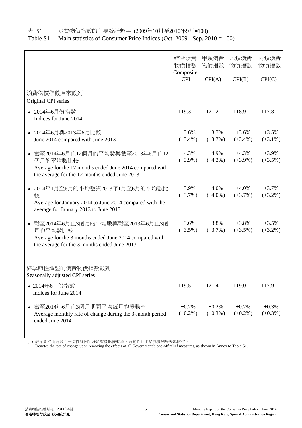表 S1 消費物價指數的主要統計數字 (2009年10月至2010年9月=100)

Table S1 Main statistics of Consumer Price Indices (Oct. 2009 - Sep. 2010 = 100)

|                                                                                                                                                           | 綜合消費<br>物價指數<br>Composite | 甲類消費<br>物價指數          | 乙類消費<br>物價指數          | 丙類消費<br>物價指數          |
|-----------------------------------------------------------------------------------------------------------------------------------------------------------|---------------------------|-----------------------|-----------------------|-----------------------|
|                                                                                                                                                           | <b>CPI</b>                | CPI(A)                | CPI(B)                | CPI(C)                |
| 消費物價指數原來數列<br>Original CPI series                                                                                                                         |                           |                       |                       |                       |
| • 2014年6月份指數<br>Indices for June 2014                                                                                                                     | 119.3                     | <u>121.2</u>          | 118.9                 | 117.8                 |
| • 2014年6月與2013年6月比較<br>June 2014 compared with June 2013                                                                                                  | $+3.6%$<br>$(+3.4\%)$     | $+3.7%$<br>$(+3.7\%)$ | $+3.6%$<br>$(+3.4\%)$ | $+3.5%$<br>$(+3.1\%)$ |
| ● 截至2014年6月止12個月的平均數與截至2013年6月止12<br>個月的平均數比較<br>Average for the 12 months ended June 2014 compared with<br>the average for the 12 months ended June 2013 | $+4.3%$<br>$(+3.9\%)$     | $+4.9%$<br>$(+4.3\%)$ | $+4.3%$<br>$(+3.9\%)$ | $+3.9%$<br>$(+3.5\%)$ |
| • 2014年1月至6月的平均數與2013年1月至6月的平均數比<br>較<br>Average for January 2014 to June 2014 compared with the<br>average for January 2013 to June 2013                 | $+3.9%$<br>$(+3.7\%)$     | $+4.0%$<br>$(+4.0\%)$ | $+4.0%$<br>$(+3.7\%)$ | $+3.7%$<br>$(+3.2\%)$ |
| 截至2014年6月止3個月的平均數與截至2013年6月止3個<br>月的平均數比較<br>Average for the 3 months ended June 2014 compared with<br>the average for the 3 months ended June 2013       | $+3.6%$<br>$(+3.5\%)$     | $+3.8%$<br>$(+3.7\%)$ | $+3.8%$<br>$(+3.5\%)$ | $+3.5%$<br>$(+3.2\%)$ |
| 經季節性調整的消費物價指數數列<br>Seasonally adjusted CPI series                                                                                                         |                           |                       |                       |                       |
| • 2014年6月份指數<br>Indices for June 2014                                                                                                                     | 119.5                     | <u>121.4</u>          | 119.0                 | <u>117.9</u>          |
| • 截至2014年6月止3個月期間平均每月的變動率<br>Average monthly rate of change during the 3-month period<br>ended June 2014                                                  | $+0.2%$<br>$(+0.2\%)$     | $+0.2%$<br>$(+0.3\%)$ | $+0.2%$<br>$(+0.2\%)$ | $+0.3%$<br>$(+0.3\%)$ |

( ) 表示剔除所有政府一次性紓困措施影響後的變動率。有關的紓困措施臚列於表S1附件。

Denotes the rate of change upon removing the effects of all Government's one-off relief measures, as shown in Annex to Table S1.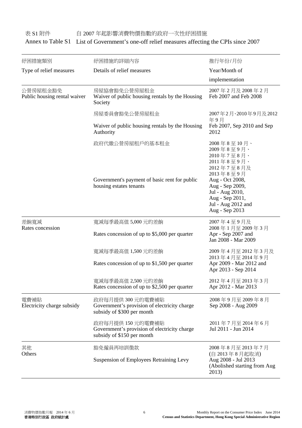### 表 S1 附件 自 2007 年起影響消費物價指數的政府一次性舒困措施 Annex to Table S1 List of Government's one-off relief measures affecting the CPIs since 2007

| 紓困措施類別                                   | 紓困措施的詳細內容                                                                                       | 推行年份/月份                                                                                                                                                                                                                   |  |  |
|------------------------------------------|-------------------------------------------------------------------------------------------------|---------------------------------------------------------------------------------------------------------------------------------------------------------------------------------------------------------------------------|--|--|
| Type of relief measures                  | Details of relief measures                                                                      | Year/Month of                                                                                                                                                                                                             |  |  |
|                                          |                                                                                                 | implementation                                                                                                                                                                                                            |  |  |
| 公營房屋租金豁免<br>Public housing rental waiver | 房屋協會豁免公營房屋租金<br>Waiver of public housing rentals by the Housing<br>Society                      | 2007年2月及2008年2月<br>Feb 2007 and Feb 2008                                                                                                                                                                                  |  |  |
|                                          | 房屋委員會豁免公營房屋租金                                                                                   | 2007年2月、2010年9月及2012<br>年9月                                                                                                                                                                                               |  |  |
|                                          | Waiver of public housing rentals by the Housing<br>Authority                                    | Feb 2007, Sep 2010 and Sep<br>2012                                                                                                                                                                                        |  |  |
|                                          | 政府代繳公營房屋租戶的基本租金<br>Government's payment of basic rent for public<br>housing estates tenants     | $2008 \ncong 8 \ncong 10 \ncong$<br>2009年8至9月、<br>2010年7至8月、<br>2011年8至9月、<br>2012年7至8月及<br>2013年8至9月<br>Aug - Oct 2008,<br>Aug - Sep 2009,<br>Jul - Aug 2010,<br>Aug - Sep 2011,<br>Jul - Aug 2012 and<br>Aug - Sep 2013 |  |  |
| 差餉寬減<br>Rates concession                 | 寬減每季最高值 5,000 元的差餉<br>Rates concession of up to \$5,000 per quarter                             | 2007年4至9月及<br>2008年1月至2009年3月<br>Apr - Sep 2007 and<br>Jan 2008 - Mar 2009                                                                                                                                                |  |  |
|                                          | 寬減每季最高值 1,500 元的差餉<br>Rates concession of up to \$1,500 per quarter                             | 2009年4月至2012年3月及<br>2013年4月至2014年9月<br>Apr 2009 - Mar 2012 and<br>Apr 2013 - Sep 2014                                                                                                                                     |  |  |
|                                          | 寬減每季最高值 2,500 元的差餉<br>Rates concession of up to \$2,500 per quarter                             | 2012年4月至2013年3月<br>Apr 2012 - Mar 2013                                                                                                                                                                                    |  |  |
| 電費補貼<br>Electricity charge subsidy       | 政府每月提供300元的電費補貼<br>Government's provision of electricity charge<br>subsidy of \$300 per month   | 2008年9月至2009年8月<br>Sep 2008 - Aug 2009                                                                                                                                                                                    |  |  |
|                                          | 政府每月提供 150 元的電費補貼<br>Government's provision of electricity charge<br>subsidy of \$150 per month | 2011年7月至2014年6月<br>Jul 2011 - Jun 2014                                                                                                                                                                                    |  |  |
| 其他<br>Others                             | 豁免僱員再培訓徵款<br><b>Suspension of Employees Retraining Levy</b>                                     | 2008年8月至2013年7月<br>(自 2013年8月起取消)<br>Aug 2008 - Jul 2013<br>(Abolished starting from Aug<br>2013)                                                                                                                         |  |  |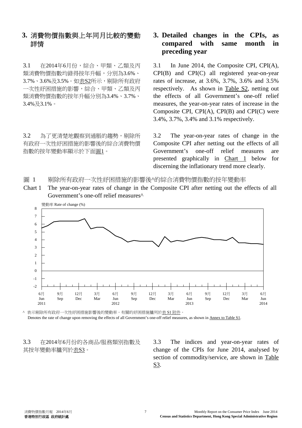### **3.** 消費物價指數與上年同月比較的變動 詳情

3.1 在2014年6月份,綜合、甲類、乙類及丙 類消費物價指數均錄得按年升幅,分別為3.6%、 3.7%、3.6%及3.5%。如表S2所示,剔除所有政府 一次性紓困措施的影響,綜合、甲類、乙類及丙 類消費物價指數的按年升幅分別為3.4%、3.7%、 3.4%及3.1%。

3.2 為了更清楚地觀察到通脹的趨勢,剔除所 有政府一次性紓困措施的影響後的綜合消費物價 指數的按年變動率顯示於下面圖1。

### **3. Detailed changes in the CPIs, as compared with same month in preceding year**

 3.1 In June 2014, the Composite CPI, CPI(A), CPI(B) and CPI(C) all registered year-on-year rates of increase, at 3.6%, 3.7%, 3.6% and 3.5% respectively. As shown in Table S2, netting out the effects of all Government's one-off relief measures, the year-on-year rates of increase in the Composite CPI, CPI(A), CPI(B) and CPI(C) were 3.4%, 3.7%, 3.4% and 3.1% respectively.

 3.2 The year-on-year rates of change in the Composite CPI after netting out the effects of all Government's one-off relief measures are presented graphically in Chart 1 below for discerning the inflationary trend more clearly.

圖 1 剔除所有政府一次性舒困措施的影響後^的綜合消費物價指數的按年變動率

Chart 1 The year-on-year rates of change in the Composite CPI after netting out the effects of all Government's one-off relief measures^



^ 表示剔除所有政府一次性紓困措施影響後的變動率。有關的紓困措施臚列於表 S1 附件。 Denotes the rate of change upon removing the effects of all Government's one-off relief measures, as shown in Annex to Table S1.

3.3 在2014年6月份的各商品/服務類別指數及 其按年變動率臚列於表S3。

 3.3 The indices and year-on-year rates of change of the CPIs for June 2014, analysed by section of commodity/service, are shown in Table S3.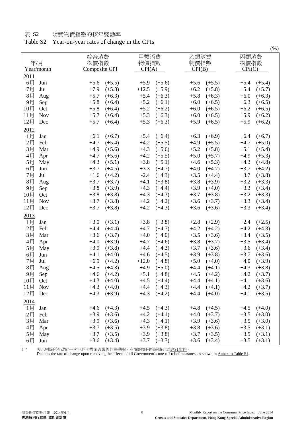#### 表 S2 消費物價指數的按年變動率

### Table S2 Year-on-year rates of change in the CPIs

|        |            |              |                 |              |                 |              |                 |        | $\sqrt{2}$      |  |  |
|--------|------------|--------------|-----------------|--------------|-----------------|--------------|-----------------|--------|-----------------|--|--|
| 年/月    |            | 綜合消費<br>物價指數 |                 | 甲類消費<br>物價指數 |                 | 乙類消費<br>物價指數 |                 |        | 丙類消費<br>物價指數    |  |  |
|        | Year/month |              | Composite CPI   |              | CPI(A)          |              | CPI(B)          |        | CPI(C)          |  |  |
| 2011   |            |              |                 |              |                 |              |                 |        |                 |  |  |
| 6月     | Jun        | $+5.6$       | $(+5.5)$        | $+5.9$       | $(+5.6)$        | $+5.6$       | $(+5.5)$        | $+5.4$ | $(+5.4)$        |  |  |
| 7月     | Jul        | $+7.9$       | $(+5.8)$        | $+12.5$      | $(+5.9)$        | $+6.2$       | $(+5.8)$        | $+5.4$ | $(+5.7)$        |  |  |
| 8月     | Aug        | $+5.7$       | $(+6.3)$        | $+5.4$       | $(+6.3)$        | $+5.8$       | $(+6.3)$        | $+6.0$ | $(+6.3)$        |  |  |
| 9月     | Sep        | $+5.8$       | $(+6.4)$        | $+5.2$       | $(+6.1)$        | $+6.0$       | $(+6.5)$        | $+6.3$ | $(+6.5)$        |  |  |
| 10月    | Oct        | $+5.8$       | $(+6.4)$        | $+5.2$       | $(+6.2)$        | $+6.0$       | $(+6.5)$        | $+6.2$ | $(+6.5)$        |  |  |
| 11月    | <b>Nov</b> | $+5.7$       | $(+6.4)$        | $+5.3$       | $(+6.3)$        | $+6.0$       | $(+6.5)$        | $+5.9$ | $(+6.2)$        |  |  |
| 12月    | Dec        | $+5.7$       | $(+6.4)$        | $+5.3$       | $(+6.3)$        | $+5.9$       | $(+6.5)$        | $+5.9$ | $(+6.2)$        |  |  |
| 2012   |            |              |                 |              |                 |              |                 |        |                 |  |  |
| 1月     | Jan        | $+6.1$       | $(+6.7)$        | $+5.4$       | $(+6.4)$        | $+6.3$       | $(+6.9)$        | $+6.4$ | $(+6.7)$        |  |  |
| 2月     | Feb        | $+4.7$       | $(+5.4)$        | $+4.2$       | $(+5.5)$        | $+4.9$       | $(+5.5)$        | $+4.7$ | $(+5.0)$        |  |  |
| 3月     | Mar        | $+4.9$       | $(+5.6)$        | $+4.3$       | $(+5.6)$        | $+5.2$       | $(+5.8)$        | $+5.1$ | $(+5.4)$        |  |  |
|        |            |              |                 | $+4.2$       |                 |              |                 |        |                 |  |  |
| 4月     | Apr        | $+4.7$       | $(+5.6)$        |              | $(+5.5)$        | $+5.0$       | $(+5.7)$        | $+4.9$ | $(+5.3)$        |  |  |
| 5月     | May        | $+4.3$       | $(+5.1)$        | $+3.8$       | $(+5.1)$        | $+4.6$       | $(+5.3)$        | $+4.3$ | $(+4.8)$        |  |  |
| 6月     | Jun        | $+3.7$       | $(+4.5)$        | $+3.3$       | $(+4.7)$        | $+4.0$       | $(+4.7)$        | $+3.7$ | $(+4.2)$        |  |  |
| 7月     | Jul        | $+1.6$       | $(+4.2)$        | $-2.4$       | $(+4.3)$        | $+3.5$       | $(+4.4)$        | $+3.7$ | $(+3.8)$        |  |  |
| 8月     | Aug        | $+3.7$       | $(+3.7)$        | $+4.1$       | $(+3.8)$        | $+3.8$       | $(+3.9)$        | $+3.2$ | $(+3.3)$        |  |  |
| 9月     | Sep        | $+3.8$       | $(+3.9)$        | $+4.3$       | $(+4.4)$        | $+3.9$       | $(+4.0)$        | $+3.3$ | $(+3.4)$        |  |  |
| 10月    | Oct        | $+3.8$       | $(+3.8)$        | $+4.3$       | $(+4.3)$        | $+3.7$       | $(+3.8)$        | $+3.2$ | $(+3.3)$        |  |  |
| 11月    | <b>Nov</b> | $+3.7$       | $(+3.8)$        | $+4.2$       | $(+4.2)$        | $+3.6$       | $(+3.7)$        | $+3.3$ | $(+3.4)$        |  |  |
| 12月    | Dec        | $+3.7$       | $(+3.8)$        | $+4.2$       | $(+4.3)$        | $+3.6$       | $(+3.6)$        | $+3.3$ | $(+3.4)$        |  |  |
| 2013   |            |              |                 |              |                 |              |                 |        |                 |  |  |
| $1$ 月  | Jan        | $+3.0$       | $(+3.1)$        | $+3.8$       | $(+3.8)$        | $+2.8$       | $(+2.9)$        | $+2.4$ | $(+2.5)$        |  |  |
| 2月     | Feb        | $+4.4$       | $(+4.4)$        | $+4.7$       | $(+4.7)$        | $+4.2$       | $(+4.2)$        | $+4.2$ | $(+4.3)$        |  |  |
| 3月     | Mar        | $+3.6$       | $(+3.7)$        | $+4.0$       | $(+4.0)$        | $+3.5$       | $(+3.6)$        | $+3.4$ | $(+3.5)$        |  |  |
| 4月     | Apr        | $+4.0$       | $(+3.9)$        | $+4.7$       | $(+4.6)$        | $+3.8$       | $(+3.7)$        | $+3.5$ | $(+3.4)$        |  |  |
| 5月     | May        | $+3.9$       | $(+3.8)$        | $+4.4$       | $(+4.3)$        | $+3.7$       | $(+3.6)$        | $+3.6$ | $(+3.4)$        |  |  |
| 6月     | Jun        | $+4.1$       | $(+4.0)$        | $+4.6$       | $(+4.5)$        | $+3.9$       | $(+3.8)$        | $+3.7$ | $(+3.6)$        |  |  |
| 7月     | Jul        | $+6.9$       | $(+4.2)$        | $+12.0$      | $(+4.8)$        | $+5.0$       | $(+4.0)$        | $+4.0$ | $(+3.9)$        |  |  |
| 8月     | Aug        | $+4.5$       | $(+4.3)$        | $+4.9$       | $(+5.0)$        | $+4.4$       | $(+4.1)$        | $+4.3$ | $(+3.8)$        |  |  |
| 9月     | Sep        | $+4.6$       | $(+4.2)$        | $+5.1$       | $(+4.8)$        | $+4.5$       | $(+4.2)$        | $+4.2$ | $(+3.7)$        |  |  |
| $10$ 月 | Oct        |              | $+4.3$ $(+4.0)$ |              | $+4.5$ $(+4.4)$ |              | $+4.4$ $(+4.1)$ |        | $+4.1$ $(+3.6)$ |  |  |
| 11月    | <b>Nov</b> | $+4.3$       | $(+4.0)$        |              | $+4.4$ $(+4.3)$ |              | $+4.4$ $(+4.1)$ | $+4.2$ | $(+3.7)$        |  |  |
| 12月    | Dec        |              | $+4.3$ $(+3.9)$ |              | $+4.3$ $(+4.2)$ |              | $+4.4$ $(+4.0)$ | $+4.1$ | $(+3.5)$        |  |  |
| 2014   |            |              |                 |              |                 |              |                 |        |                 |  |  |
| $1$ 月  | Jan        |              | $+4.6$ $(+4.3)$ |              | $+4.5$ $(+4.3)$ |              | $+4.8$ $(+4.5)$ |        | $+4.5$ $(+4.0)$ |  |  |
| 2月     | Feb        | $+3.9$       | $(+3.6)$        | $+4.2$       | $(+4.1)$        | $+4.0$       | $(+3.7)$        | $+3.5$ | $(+3.0)$        |  |  |
| 3月     | Mar        | $+3.9$       | $(+3.6)$        | $+4.3$       | $(+4.1)$        | $+3.9$       | $(+3.6)$        | $+3.5$ | $(+3.0)$        |  |  |
|        |            |              |                 | $+3.9$       | $(+3.8)$        | $+3.8$       |                 |        |                 |  |  |
| 4月     | Apr        | $+3.7$       | $(+3.5)$        |              |                 |              | $(+3.6)$        | $+3.5$ | $(+3.1)$        |  |  |
| 5月     | May        | $+3.7$       | $(+3.5)$        | $+3.9$       | $(+3.8)$        | $+3.7$       | $(+3.5)$        | $+3.5$ | $(+3.1)$        |  |  |
| 6月     | Jun        | $+3.6$       | $(+3.4)$        | $+3.7$       | $(+3.7)$        | $+3.6$       | $(+3.4)$        | $+3.5$ | $(+3.1)$        |  |  |

( ) 赛示剔除所有政府一次性紓困措施影響後的變動率。有關的紓困措施臚列於<u>表S1附件</u>。

Denotes the rate of change upon removing the effects of all Government's one-off relief measures, as shown in Annex to Table S1.

 $(0)$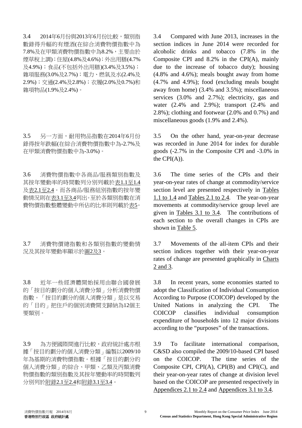3.4 2014年6月份與2013年6月份比較,類別指 數錄得升幅的有煙酒(在綜合消費物價指數中為 7.8%及在甲類消費物價指數中為8.2%,主要由於 煙草稅上調);住屋(4.8%及4.6%);外出用膳(4.7% 及4.9%);食品(不包括外出用膳)(3.4%及3.5%); 雜項服務(3.0%及2.7%);電力、燃氣及水(2.4%及 2.9%);交通(2.4%及2.8%);衣履(2.0%及0.7%)和 雜項物品(1.9%及2.4%)。

3.5 另一方面,耐用物品指數在2014年6月份 錄得按年跌幅(在綜合消費物價指數中為-2.7%及 在甲類消費物價指數中為-3.0%)。

3.6 消費物價指數中各商品/服務類別指數及 其按年變動率的時間數列分別列載於表1.1至1.4 及表2.1至2.4。而各商品/服務組別指數的按年變 動情況則在表3.1至3.4列出。至於各類別指數在消 費物價指數整體變動中所佔的比率則列載於表5。

3.7 消費物價總指數和各類別指數的變動情 況及其按年變動率顯示於圖2及3。

3.8 近年一些經濟體開始採用由聯合國發展 的「按目的劃分的個人消費分類」分析消費物價 指數。「按目的劃分的個人消費分類」是以交易 的「目的」把住戶的個別消費開支歸納為12個主 要類別。

3.9 為方便國際間進行比較,政府統計處亦根 據「按目的劃分的個人消費分類」編製以2009/10 年為基期的消費物價指數。根據「按目的劃分的 個人消費分類」的綜合、甲類、乙類及丙類消費 物價指數的類別指數及其按年變動率的時間數列 分別列於附錄2.1至2.4和附錄3.1至3.4。

3.4 Compared with June 2013, increases in the section indices in June 2014 were recorded for alcoholic drinks and tobacco (7.8% in the Composite CPI and 8.2% in the CPI(A), mainly due to the increase of tobacco duty); housing (4.8% and 4.6%); meals bought away from home (4.7% and 4.9%); food (excluding meals bought away from home) (3.4% and 3.5%); miscellaneous services (3.0% and 2.7%); electricity, gas and water (2.4% and 2.9%); transport (2.4% and 2.8%); clothing and footwear (2.0% and 0.7%) and miscellaneous goods (1.9% and 2.4%).

3.5 On the other hand, year-on-year decrease was recorded in June 2014 for index for durable goods (-2.7% in the Composite CPI and -3.0% in the  $CPI(A)$ ).

3.6 The time series of the CPIs and their year-on-year rates of change at commodity/service section level are presented respectively in Tables 1.1 to 1.4 and Tables 2.1 to 2.4. The year-on-year movements at commodity/service group level are given in Tables 3.1 to 3.4. The contributions of each section to the overall changes in CPIs are shown in Table 5.

3.7 Movements of the all-item CPIs and their section indices together with their year-on-year rates of change are presented graphically in Charts 2 and 3.

3.8 In recent years, some economies started to adopt the Classification of Individual Consumption According to Purpose (COICOP) developed by the United Nations in analyzing the CPI. The COICOP classifies individual consumption expenditure of households into 12 major divisions according to the "purposes" of the transactions.

3.9 To facilitate international comparison, C&SD also compiled the 2009/10-based CPI based on the COICOP. The time series of the Composite CPI, CPI(A), CPI(B) and CPI(C), and their year-on-year rates of change at division level based on the COICOP are presented respectively in Appendices 2.1 to 2.4 and Appendices 3.1 to 3.4.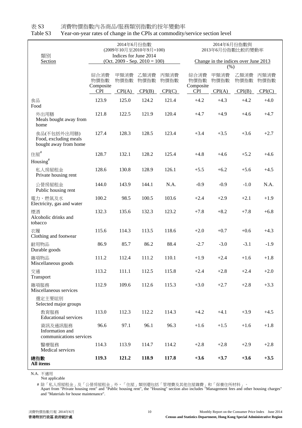| 類別<br>Section                                                 |                                         | 2014年6月份指數<br>Indices for June 2014 | (2009年10月至2010年9月=100)<br>$(Oct. 2009 - Sep. 2010 = 100)$ |                        | 2014年6月份指數與<br>2013年6月份指數比較的變動率<br>Change in the indices over June 2013<br>$(\%)$ |                        |                        |                        |  |
|---------------------------------------------------------------|-----------------------------------------|-------------------------------------|-----------------------------------------------------------|------------------------|-----------------------------------------------------------------------------------|------------------------|------------------------|------------------------|--|
|                                                               | 綜合消費<br>物價指數<br>Composite<br><b>CPI</b> | 甲類消費<br>物價指數<br>CPI(A)              | 乙類消費<br>物價指數<br>CPI(B)                                    | 丙類消費<br>物價指數<br>CPI(C) | 綜合消費<br>物價指數<br>Composite<br><b>CPI</b>                                           | 甲類消費<br>物價指數<br>CPI(A) | 乙類消費<br>物價指數<br>CPI(B) | 丙類消費<br>物價指數<br>CPI(C) |  |
| 食品<br>Food                                                    | 123.9                                   | 125.0                               | 124.2                                                     | 121.4                  | $+4.2$                                                                            | $+4.3$                 | $+4.2$                 | $+4.0$                 |  |
| 外出用膳<br>Meals bought away from<br>home                        | 121.8                                   | 122.5                               | 121.9                                                     | 120.4                  | $+4.7$                                                                            | $+4.9$                 | $+4.6$                 | $+4.7$                 |  |
| 食品(不包括外出用膳)<br>Food, excluding meals<br>bought away from home | 127.4                                   | 128.3                               | 128.5                                                     | 123.4                  | $+3.4$                                                                            | $+3.5$                 | $+3.6$                 | $+2.7$                 |  |
| 住屋#<br>Housing <sup>#</sup>                                   | 128.7                                   | 132.1                               | 128.2                                                     | 125.4                  | $+4.8$                                                                            | $+4.6$                 | $+5.2$                 | $+4.6$                 |  |
| 私人房屋租金<br>Private housing rent                                | 128.6                                   | 130.8                               | 128.9                                                     | 126.1                  | $+5.5$                                                                            | $+6.2$                 | $+5.6$                 | $+4.5$                 |  |
| 公營房屋租金<br>Public housing rent                                 | 144.0                                   | 143.9                               | 144.1                                                     | N.A.                   | $-0.9$                                                                            | $-0.9$                 | $-1.0$                 | N.A.                   |  |
| 電力、燃氣及水<br>Electricity, gas and water                         | 100.2                                   | 98.5                                | 100.5                                                     | 103.6                  | $+2.4$                                                                            | $+2.9$                 | $+2.1$                 | $+1.9$                 |  |
| 煙酒<br>Alcoholic drinks and<br>tobacco                         | 132.3                                   | 135.6                               | 132.3                                                     | 123.2                  | $+7.8$                                                                            | $+8.2$                 | $+7.8$                 | $+6.8$                 |  |
| 衣履<br>Clothing and footwear                                   | 115.6                                   | 114.3                               | 113.5                                                     | 118.6                  | $+2.0$                                                                            | $+0.7$                 | $+0.6$                 | $+4.3$                 |  |
| 耐用物品<br>Durable goods                                         | 86.9                                    | 85.7                                | 86.2                                                      | 88.4                   | $-2.7$                                                                            | $-3.0$                 | $-3.1$                 | $-1.9$                 |  |
| 雜項物品<br>Miscellaneous goods                                   | 111.2                                   | 112.4                               | 111.2                                                     | 110.1                  | $+1.9$                                                                            | $+2.4$                 | $+1.6$                 | $+1.8$                 |  |
| 交通<br>Transport                                               | 113.2                                   | 111.1                               | 112.5                                                     | 115.8                  | $+2.4$                                                                            | $+2.8$                 | $+2.4$                 | $+2.0$                 |  |
| 雜項服務<br>Miscellaneous services                                | 112.9                                   | 109.6                               | 112.6                                                     | 115.3                  | $+3.0$                                                                            | $+2.7$                 | $+2.8$                 | $+3.3$                 |  |
| 選定主要組別<br>Selected major groups                               |                                         |                                     |                                                           |                        |                                                                                   |                        |                        |                        |  |
| 教育服務<br><b>Educational services</b>                           | 113.0                                   | 112.3                               | 112.2                                                     | 114.3                  | $+4.2$                                                                            | $+4.1$                 | $+3.9$                 | $+4.5$                 |  |
| 資訊及通訊服務<br>Information and<br>communications services         | 96.6                                    | 97.1                                | 96.1                                                      | 96.3                   | $+1.6$                                                                            | $+1.5$                 | $+1.6$                 | $+1.8\,$               |  |
| 醫療服務<br>Medical services                                      | 114.3                                   | 113.9                               | 114.7                                                     | 114.2                  | $+2.8$                                                                            | $+2.8$                 | $+2.9$                 | $+2.8$                 |  |
| 總指數<br>All items                                              | 119.3                                   | 121.2                               | 118.9                                                     | 117.8                  | $+3.6$                                                                            | $+3.7$                 | $+3.6$                 | $+3.5$                 |  |

表 S3 消費物價指數內各商品/服務類別指數的按年變動率

Table S3 Year-on-year rates of change in the CPIs at commodity/service section level

N.A. 不適用

Not applicable

# 除「私人房屋租金」及「公營房屋租金」外,「住屋」類別還包括「管理費及其他住屋雜費」和「保養住所材料」。

and "Materials for house maintenance". Apart from "Private housing rent" and "Public housing rent", the "Housing" section also includes "Management fees and other housing charges"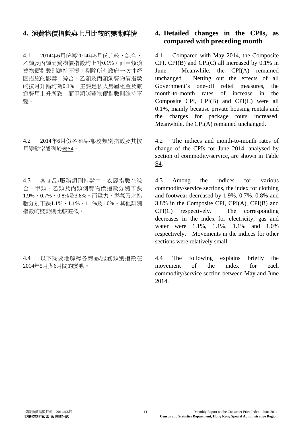4.1 2014年6月份與2014年5月份比較,綜合、 乙類及丙類消費物價指數均上升0.1%。而甲類消 費物價指數則維持不變。剔除所有政府一次性紓 困措施的影響,綜合、乙類及丙類消費物價指數 的按月升幅均為0.1%,主要是私人房屋租金及旅 遊費用上升所致。而甲類消費物價指數則維持不 變。

4.2 2014年6月份各商品/服務類別指數及其按 月變動率臚列於表S4。

4.3 各商品/服務類別指數中,衣履指數在綜 合、甲類、乙類及丙類消費物價指數分別下跌 1.9%、0.7%、0.8%及3.8%。而電力、燃氣及水指 數分別下跌1.1%、1.1%、1.1%及1.0%。其他類別 指數的變動則比較輕微。

4.4 以下簡要地解釋各商品/服務類別指數在 2014年5月與6月間的變動。

### **4.** 消費物價指數與上月比較的變動詳情 **4. Detailed changes in the CPIs, as compared with preceding month**

 4.1 Compared with May 2014, the Composite CPI, CPI(B) and CPI(C) all increased by 0.1% in June. Meanwhile, the CPI(A) remained unchanged. Netting out the effects of all Government's one-off relief measures, the month-to-month rates of increase in the Composite CPI, CPI(B) and CPI(C) were all 0.1%, mainly because private housing rentals and the charges for package tours increased. Meanwhile, the CPI(A) remained unchanged.

 4.2 The indices and month-to-month rates of change of the CPIs for June 2014, analysed by section of commodity/service, are shown in Table S4.

 4.3 Among the indices for various commodity/service sections, the index for clothing and footwear decreased by 1.9%, 0.7%, 0.8% and 3.8% in the Composite CPI, CPI(A), CPI(B) and CPI(C) respectively. The corresponding decreases in the index for electricity, gas and water were 1.1%, 1.1%, 1.1% and 1.0% respectively. Movements in the indices for other sections were relatively small.

 4.4 The following explains briefly the movement of the index for each commodity/service section between May and June 2014.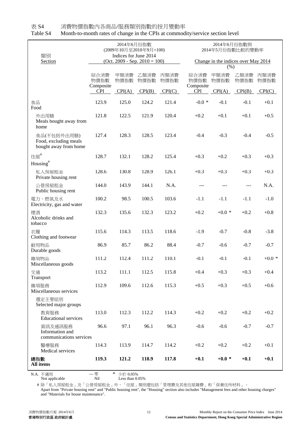| 類別<br>Section                                                 |                                         | 2014年6月份指數<br>Indices for June 2014 | (2009年10月至2010年9月=100)<br>$(Oct. 2009 - Sep. 2010 = 100)$ |                        | 2014年6月份指數與<br>2014年5月份指數比較的變動率<br>Change in the indices over May 2014<br>$(\%)$ |                        |                        |                        |  |
|---------------------------------------------------------------|-----------------------------------------|-------------------------------------|-----------------------------------------------------------|------------------------|----------------------------------------------------------------------------------|------------------------|------------------------|------------------------|--|
|                                                               | 綜合消費<br>物價指數<br>Composite<br><b>CPI</b> | 甲類消費<br>物價指數<br>CPI(A)              | 乙類消費<br>物價指數<br>CPI(B)                                    | 丙類消費<br>物價指數<br>CPI(C) | 綜合消費<br>物價指數<br>Composite<br><b>CPI</b>                                          | 甲類消費<br>物價指數<br>CPI(A) | 乙類消費<br>物價指數<br>CPI(B) | 丙類消費<br>物價指數<br>CPI(C) |  |
| 食品<br>Food                                                    | 123.9                                   | 125.0                               | 124.2                                                     | 121.4                  | $-0.0*$                                                                          | $-0.1$                 | $-0.1$                 | $+0.1$                 |  |
| 外出用膳<br>Meals bought away from<br>home                        | 121.8                                   | 122.5                               | 121.9                                                     | 120.4                  | $+0.2$                                                                           | $+0.1$                 | $+0.1$                 | $+0.5$                 |  |
| 食品(不包括外出用膳)<br>Food, excluding meals<br>bought away from home | 127.4                                   | 128.3                               | 128.5                                                     | 123.4                  | $-0.4$                                                                           | $-0.3$                 | $-0.4$                 | $-0.5$                 |  |
| 住屋#<br>Housing <sup>#</sup>                                   | 128.7                                   | 132.1                               | 128.2                                                     | 125.4                  | $+0.3$                                                                           | $+0.2$                 | $+0.3$                 | $+0.3$                 |  |
| 私人房屋租金<br>Private housing rent                                | 128.6                                   | 130.8                               | 128.9                                                     | 126.1                  | $+0.3$                                                                           | $+0.3$                 | $+0.3$                 | $+0.3$                 |  |
| 公營房屋租金<br>Public housing rent                                 | 144.0                                   | 143.9                               | 144.1                                                     | N.A.                   | $---$                                                                            | ---                    | ---                    | N.A.                   |  |
| 電力、燃氣及水<br>Electricity, gas and water                         | 100.2                                   | 98.5                                | 100.5                                                     | 103.6                  | $-1.1$                                                                           | $-1.1$                 | $-1.1$                 | $-1.0$                 |  |
| 煙酒<br>Alcoholic drinks and<br>tobacco                         | 132.3                                   | 135.6                               | 132.3                                                     | 123.2                  | $+0.2$                                                                           | $+0.0*$                | $+0.2$                 | $+0.8$                 |  |
| 衣履<br>Clothing and footwear                                   | 115.6                                   | 114.3                               | 113.5                                                     | 118.6                  | $-1.9$                                                                           | $-0.7$                 | $-0.8$                 | $-3.8$                 |  |
| 耐用物品<br>Durable goods                                         | 86.9                                    | 85.7                                | 86.2                                                      | 88.4                   | $-0.7$                                                                           | $-0.6$                 | $-0.7$                 | $-0.7$                 |  |
| 雜項物品<br>Miscellaneous goods                                   | 111.2                                   | 112.4                               | 111.2                                                     | 110.1                  | $-0.1$                                                                           | $-0.1$                 | $-0.1$                 | $+0.0*$                |  |
| 交通<br>Transport                                               | 113.2                                   | 111.1                               | 112.5                                                     | 115.8                  | $+0.4$                                                                           | $+0.3$                 | $+0.3$                 | $+0.4$                 |  |
| 雜項服務<br>Miscellaneous services                                | 112.9                                   | 109.6                               | 112.6                                                     | 115.3                  | $+0.5$                                                                           | $+0.3$                 | $+0.5$                 | $+0.6$                 |  |
| 選定主要組別<br>Selected major groups                               |                                         |                                     |                                                           |                        |                                                                                  |                        |                        |                        |  |
| 教育服務<br><b>Educational services</b>                           | 113.0                                   | 112.3                               | 112.2                                                     | 114.3                  | $+0.2$                                                                           | $+0.2$                 | $+0.2$                 | $+0.2$                 |  |
| 資訊及通訊服務<br>Information and<br>communications services         | 96.6                                    | 97.1                                | 96.1                                                      | 96.3                   | $-0.6$                                                                           | $-0.6$                 | $-0.7$                 | $-0.7$                 |  |
| 醫療服務<br>Medical services                                      | 114.3                                   | 113.9                               | 114.7                                                     | 114.2                  | $+0.2$                                                                           | $+0.2$                 | $+0.2$                 | $+0.1$                 |  |
| 總指數<br>All items                                              | 119.3                                   | 121.2                               | 118.9                                                     | 117.8                  | $+0.1$                                                                           | $+0.0*$                | $+0.1$                 | $+0.1$                 |  |

表 S4 消費物價指數內各商品/服務類別指數的按月變動率 Table S4 Month-to-month rates of change in the CPIs at commodity/service section level

N.A.  $\overline{AB}$   $\overline{AB}$   $\overline{AB}$   $\overline{AB}$   $\overline{AB}$   $\overline{AB}$   $\overline{AB}$   $\overline{AB}$   $\overline{AB}$   $\overline{AB}$   $\overline{AB}$   $\overline{AB}$   $\overline{AB}$   $\overline{AB}$   $\overline{AB}$   $\overline{AB}$   $\overline{BC}$   $\overline{AB}$   $\overline{BC}$   $\overline{BC}$   $\overline{BC}$   $\overline{BC}$   $\overline{BC}$   $\overline{BC}$  Not applicable Nil Less than 0.05% --- 零

# 除「私人房屋租金」及「公營房屋租金」外,「住屋」類別還包括「管理費及其他住屋雜費」和「保養住所材料」。

Apart from "Private housing rent" and "Public housing rent", the "Housing" section also includes "Management fees and other housing charges" and "Materials for house maintenance".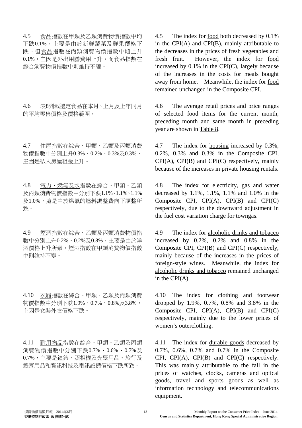4.5 食品指數在甲類及乙類消費物價指數中均 下跌0.1%,主要是由於新鮮蔬菜及鮮果價格下 跌。但食品指數在丙類消費物價指數中則上升 0.1%,主因是外出用膳費用上升。而食品指數在 綜合消費物價指數中則維持不變。

4.6 表8列載選定食品在本月、上月及上年同月 的平均零售價格及價格範圍。

4.7 住屋指數在綜合、甲類、乙類及丙類消費 物價指數中分別上升0.3%、0.2%、0.3%及0.3%, 主因是私人房屋租金上升。

1.8 電力、燃氣及水指數在綜合、甲類、乙類 及丙類消費物價指數中分別下跌1.1%、1.1%、1.1% 及1.0%,這是由於煤氣的燃料調整費向下調整所 致。

4.9 煙酒指數在綜合、乙類及丙類消費物價指 數中分別上升0.2%、0.2%及0.8%,主要是由於洋 酒價格上升所致。煙酒指數在甲類消費物價指數 中則維持不變。

4.10 衣履指數在綜合、甲類、乙類及丙類消費 物價指數中分別下跌1.9%、0.7%、0.8%及3.8%, 主因是女裝外衣價格下跌。

4.11 耐用物品指數在綜合、甲類、乙類及丙類 消費物價指數中分別下跌0.7%、0.6%、0.7%及 0.7%,主要是鐘錶、照相機及光學用品、旅行及 體育用品和資訊科技及電訊設備價格下跌所致。

 4.5 The index for food both decreased by 0.1% in the CPI(A) and CPI(B), mainly attributable to the decreases in the prices of fresh vegetables and fresh fruit. However, the index for food increased by  $0.1\%$  in the CPI(C), largely because of the increases in the costs for meals bought away from home. Meanwhile, the index for food remained unchanged in the Composite CPI.

 4.6 The average retail prices and price ranges of selected food items for the current month, preceding month and same month in preceding year are shown in Table 8.

 4.7 The index for housing increased by 0.3%, 0.2%, 0.3% and 0.3% in the Composite CPI, CPI(A), CPI(B) and CPI(C) respectively, mainly because of the increases in private housing rentals.

 4.8 The index for electricity, gas and water decreased by 1.1%, 1.1%, 1.1% and 1.0% in the Composite CPI, CPI(A), CPI(B) and CPI(C) respectively, due to the downward adjustment in the fuel cost variation charge for towngas.

 4.9 The index for alcoholic drinks and tobacco increased by 0.2%, 0.2% and 0.8% in the Composite CPI, CPI(B) and CPI(C) respectively, mainly because of the increases in the prices of foreign-style wines. Meanwhile, the index for alcoholic drinks and tobacco remained unchanged in the CPI(A).

 4.10 The index for clothing and footwear dropped by 1.9%, 0.7%, 0.8% and 3.8% in the Composite CPI, CPI(A), CPI(B) and CPI(C) respectively, mainly due to the lower prices of women's outerclothing.

 4.11 The index for durable goods decreased by 0.7%, 0.6%, 0.7% and 0.7% in the Composite CPI, CPI(A), CPI(B) and CPI(C) respectively. This was mainly attributable to the fall in the prices of watches, clocks, cameras and optical goods, travel and sports goods as well as information technology and telecommunications equipment.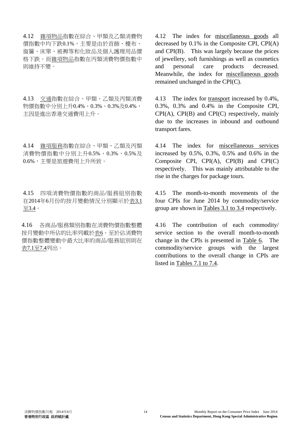4.12 雜項物品指數在綜合、甲類及乙類消費物 價指數中均下跌0.1%,主要是由於首飾、檯布、 窗簾、床單、被褥等和化妝品及個人護理用品價 格下跌。而雜項物品指數在丙類消費物價指數中 則維持不變。

4.13 交通指數在綜合、甲類、乙類及丙類消費 物價指數中分別上升0.4%、0.3%、0.3%及0.4%, 主因是進出香港交通費用上升。

4.14 雜項服務指數在綜合、甲類、乙類及丙類 消費物價指數中分別上升0.5%、0.3%、0.5%及 0.6%,主要是旅遊費用上升所致。

4.15 四項消費物價指數的商品/服務組別指數 在2014年6月份的按月變動情況分別顯示於表3.1 至3.4。

4.16 各商品/服務類別指數在消費物價指數整體 按月變動中所佔的比率列載於表6。至於佔消費物 價指數整體變動中最大比率的商品/服務組別則在 表7.1至7.4列出。

 4.12 The index for miscellaneous goods all decreased by 0.1% in the Composite CPI, CPI(A) and CPI(B). This was largely because the prices of jewellery, soft furnishings as well as cosmetics and personal care products decreased. Meanwhile, the index for miscellaneous goods remained unchanged in the CPI(C).

 4.13 The index for transport increased by 0.4%, 0.3%, 0.3% and 0.4% in the Composite CPI, CPI(A), CPI(B) and CPI(C) respectively, mainly due to the increases in inbound and outbound transport fares.

 4.14 The index for miscellaneous services increased by 0.5%, 0.3%, 0.5% and 0.6% in the Composite CPI, CPI(A), CPI(B) and CPI(C) respectively. This was mainly attributable to the rise in the charges for package tours.

 4.15 The month-to-month movements of the four CPIs for June 2014 by commodity/service group are shown in Tables 3.1 to 3.4 respectively.

 4.16 The contribution of each commodity/ service section to the overall month-to-month change in the CPIs is presented in Table 6. The commodity/service groups with the largest contributions to the overall change in CPIs are listed in Tables 7.1 to 7.4.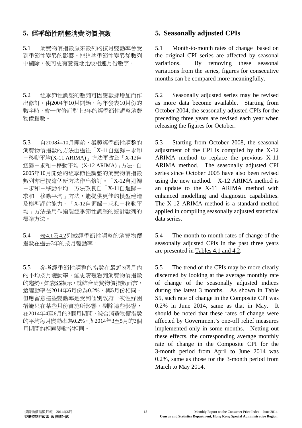### **5.** 經季節性調整消費物價指數 **5. Seasonally adjusted CPIs**

5.1 消費物價指數原來數列的按月變動率會受 到季節性變異的影響。把這些季節性變異從數列 中剔除,便可更有意義地比較相連月份數字。

5.2 經季節性調整的數列可因應數據增加而作 出修訂。由2004年10月開始,每年發表10月份的 數字時,會一併修訂對上3年的經季節性調整消費 物價指數。

5.3 自2008年10月開始,編製經季節性調整的 消費物價指數的方法由過往「X-11自迴歸-求和 -移動平均(X-11 ARIMA)」方法更改為「X-12自 迴歸-求和-移動平均 (X-12 ARIMA)」方法。自 2005年10月開始的經季節性調整的消費物價指數 數列亦已按這個新方法作出修訂。「X-12自迴歸 -求和-移動平均」方法改良自「X-11自迴歸- 求和-移動平均」方法,能提供更佳的模型建造 及模型評估能力。「X-12自迴歸-求和-移動平 均」方法是用作編製經季節性調整的統計數列的 標準方法。

5.4 表4.1及4.2列載經季節性調整的消費物價 指數在過去3年的按月變動率。

5.5 參考經季節性調整的指數在最近3個月內 的平均按月變動率,能更清楚看到消費物價指數 的趨勢。如表S5顯示,就綜合消費物價指數而言, 這變動率在2014年6月份為0.2%,與5月份相同。 但應留意這些變動率是受到個別政府一次性紓困 措施只在某些月份實施所影響。剔除這些影響, 在2014年4至6月的3個月期間,綜合消費物價指數 的平均每月變動率為0.2%,與2014年3至5月的3個 月期間的相應變動率相同。

 5.1 Month-to-month rates of change based on the original CPI series are affected by seasonal variations. By removing these seasonal variations from the series, figures for consecutive months can be compared more meaningfully.

 5.2 Seasonally adjusted series may be revised as more data become available. Starting from October 2004, the seasonally adjusted CPIs for the preceding three years are revised each year when releasing the figures for October.

 5.3 Starting from October 2008, the seasonal adjustment of the CPI is compiled by the X-12 ARIMA method to replace the previous X-11 ARIMA method. The seasonally adjusted CPI series since October 2005 have also been revised using the new method. X-12 ARIMA method is an update to the X-11 ARIMA method with enhanced modelling and diagnostic capabilities. The X-12 ARIMA method is a standard method applied in compiling seasonally adjusted statistical data series.

 5.4 The month-to-month rates of change of the seasonally adjusted CPIs in the past three years are presented in Tables 4.1 and 4.2.

 5.5 The trend of the CPIs may be more clearly discerned by looking at the average monthly rate of change of the seasonally adjusted indices during the latest 3 months. As shown in Table S5, such rate of change in the Composite CPI was 0.2% in June 2014, same as that in May. It should be noted that these rates of change were affected by Government's one-off relief measures implemented only in some months. Netting out these effects, the corresponding average monthly rate of change in the Composite CPI for the 3-month period from April to June 2014 was 0.2%, same as those for the 3-month period from March to May 2014.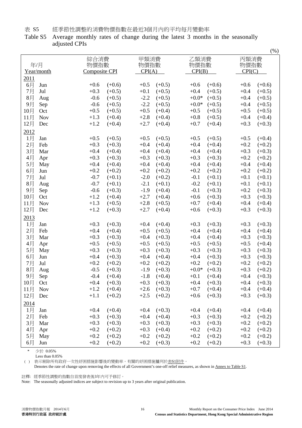表 S5 經季節性調整的消費物價指數在最近3個月內的平均每月變動率

Table S5 Average monthly rates of change during the latest 3 months in the seasonally adjusted CPIs

|       |            |        |               |        |          |         |          |        | $($ %)   |
|-------|------------|--------|---------------|--------|----------|---------|----------|--------|----------|
| 綜合消費  |            |        |               | 甲類消費   |          | 乙類消費    |          | 丙類消費   |          |
| 年/月   |            |        | 物價指數          |        | 物價指數     |         | 物價指數     | 物價指數   |          |
|       | Year/month |        | Composite CPI |        | CPI(A)   |         | CPI(B)   |        | CPI(C)   |
| 2011  |            |        |               |        |          |         |          |        |          |
| 6月    | Jun        | $+0.6$ | $(+0.6)$      | $+0.5$ | $(+0.5)$ | $+0.6$  | $(+0.6)$ | $+0.6$ | $(+0.6)$ |
| 7月    | Jul        | $+0.3$ | $(+0.5)$      | $+0.1$ | $(+0.5)$ | $+0.4$  | $(+0.5)$ | $+0.4$ | $(+0.5)$ |
| 8月    | Aug        | $-0.6$ | $(+0.5)$      | $-2.2$ | $(+0.5)$ | $+0.0*$ | $(+0.5)$ | $+0.4$ | $(+0.5)$ |
| 9月    |            | $-0.6$ | $(+0.5)$      | $-2.2$ | $(+0.5)$ | $+0.0*$ | $(+0.5)$ | $+0.4$ | $(+0.5)$ |
|       | Sep        | $+0.5$ | $(+0.5)$      | $+0.5$ | $(+0.4)$ | $+0.5$  | $(+0.5)$ | $+0.5$ | $(+0.5)$ |
| 10月   | Oct        | $+1.3$ |               |        |          | $+0.8$  |          | $+0.4$ |          |
| 11月   | <b>Nov</b> |        | $(+0.4)$      | $+2.8$ | $(+0.4)$ |         | $(+0.5)$ |        | $(+0.4)$ |
| 12月   | Dec        | $+1.2$ | $(+0.4)$      | $+2.7$ | $(+0.4)$ | $+0.7$  | $(+0.4)$ | $+0.3$ | $(+0.3)$ |
| 2012  |            |        |               |        |          |         |          |        |          |
| 1月    | Jan        | $+0.5$ | $(+0.5)$      | $+0.5$ | $(+0.5)$ | $+0.5$  | $(+0.5)$ | $+0.5$ | $(+0.4)$ |
| 2月    | Feb        | $+0.3$ | $(+0.3)$      | $+0.4$ | $(+0.4)$ | $+0.4$  | $(+0.4)$ | $+0.2$ | $(+0.2)$ |
| 3月    | Mar        | $+0.4$ | $(+0.4)$      | $+0.4$ | $(+0.4)$ | $+0.4$  | $(+0.4)$ | $+0.3$ | $(+0.3)$ |
| 4月    | Apr        | $+0.3$ | $(+0.3)$      | $+0.3$ | $(+0.3)$ | $+0.3$  | $(+0.3)$ | $+0.2$ | $(+0.2)$ |
| 5月    | May        | $+0.4$ | $(+0.4)$      | $+0.4$ | $(+0.4)$ | $+0.4$  | $(+0.4)$ | $+0.4$ | $(+0.4)$ |
| 6月    | Jun        | $+0.2$ | $(+0.2)$      | $+0.2$ | $(+0.2)$ | $+0.2$  | $(+0.2)$ | $+0.2$ | $(+0.2)$ |
| 7月    | Jul        | $-0.7$ | $(+0.1)$      | $-2.0$ | $(+0.2)$ | $-0.1$  | $(+0.1)$ | $+0.1$ | $(+0.1)$ |
| 8月    | Aug        | $-0.7$ | $(+0.1)$      | $-2.1$ | $(+0.1)$ | $-0.2$  | $(+0.1)$ | $+0.1$ | $(+0.1)$ |
| 9月    | Sep        | $-0.6$ | $(+0.3)$      | $-1.9$ | $(+0.4)$ | $-0.1$  | $(+0.3)$ | $+0.2$ | $(+0.3)$ |
| 10月   | Oct        | $+1.2$ | $(+0.4)$      | $+2.7$ | $(+0.4)$ | $+0.6$  | $(+0.3)$ | $+0.3$ | $(+0.3)$ |
| 11月   | <b>Nov</b> | $+1.3$ | $(+0.5)$      | $+2.8$ | $(+0.5)$ | $+0.7$  | $(+0.4)$ | $+0.4$ | $(+0.4)$ |
| 12月   | Dec        | $+1.2$ | $(+0.3)$      | $+2.7$ | $(+0.4)$ | $+0.6$  | $(+0.3)$ | $+0.3$ | $(+0.3)$ |
|       |            |        |               |        |          |         |          |        |          |
| 2013  |            |        |               |        |          |         |          |        |          |
| 1月    | Jan        | $+0.3$ | $(+0.3)$      | $+0.4$ | $(+0.4)$ | $+0.3$  | $(+0.3)$ | $+0.3$ | $(+0.3)$ |
| 2月    | Feb        | $+0.4$ | $(+0.4)$      | $+0.5$ | $(+0.5)$ | $+0.4$  | $(+0.4)$ | $+0.4$ | $(+0.4)$ |
| 3月    | Mar        | $+0.3$ | $(+0.3)$      | $+0.4$ | $(+0.3)$ | $+0.4$  | $(+0.4)$ | $+0.3$ | $(+0.3)$ |
| 4月    | Apr        | $+0.5$ | $(+0.5)$      | $+0.5$ | $(+0.5)$ | $+0.5$  | $(+0.5)$ | $+0.5$ | $(+0.4)$ |
| 5月    | May        | $+0.3$ | $(+0.3)$      | $+0.3$ | $(+0.3)$ | $+0.3$  | $(+0.3)$ | $+0.3$ | $(+0.3)$ |
| 6月    | Jun        | $+0.4$ | $(+0.3)$      | $+0.4$ | $(+0.4)$ | $+0.4$  | $(+0.3)$ | $+0.3$ | $(+0.3)$ |
| 7月    | Jul        | $+0.2$ | $(+0.2)$      | $+0.2$ | $(+0.2)$ | $+0.2$  | $(+0.2)$ | $+0.2$ | $(+0.2)$ |
| 8月    | Aug        | $-0.5$ | $(+0.3)$      | $-1.9$ | $(+0.3)$ | $+0.0*$ | $(+0.3)$ | $+0.3$ | $(+0.2)$ |
| 9月    | Sep        | $-0.4$ | $(+0.4)$      | $-1.8$ | $(+0.4)$ | $+0.1$  | $(+0.4)$ | $+0.4$ | $(+0.3)$ |
| 10月   | Oct        | $+0.4$ | $(+0.3)$      | $+0.3$ | $(+0.3)$ | $+0.4$  | $(+0.3)$ | $+0.4$ | $(+0.3)$ |
| 11月   | <b>Nov</b> | $+1.2$ | $(+0.4)$      | $+2.6$ | $(+0.3)$ | $+0.7$  | $(+0.4)$ | $+0.4$ | $(+0.4)$ |
| 12月   | Dec        | $+1.1$ | $(+0.2)$      | $+2.5$ | $(+0.2)$ | $+0.6$  | $(+0.3)$ | $+0.3$ | $(+0.3)$ |
| 2014  |            |        |               |        |          |         |          |        |          |
| 1月    | Jan        | $+0.4$ | $(+0.4)$      | $+0.4$ | $(+0.3)$ | $+0.4$  | $(+0.4)$ | $+0.4$ | $(+0.4)$ |
| $2$ 月 | Feb        | $+0.3$ | $(+0.3)$      | $+0.4$ | $(+0.4)$ | $+0.3$  | $(+0.3)$ | $+0.2$ | $(+0.2)$ |
| 3月    | Mar        | $+0.3$ | $(+0.3)$      | $+0.3$ | $(+0.3)$ | $+0.3$  | $(+0.3)$ | $+0.2$ | $(+0.2)$ |
|       |            | $+0.2$ | $(+0.2)$      | $+0.3$ | $(+0.4)$ | $+0.2$  | $(+0.2)$ | $+0.2$ | $(+0.2)$ |
| 4月    | Apr        |        |               |        |          |         |          |        |          |
| 5月    | May        | $+0.2$ | $(+0.2)$      | $+0.2$ | $(+0.2)$ | $+0.2$  | $(+0.2)$ | $+0.2$ | $(+0.2)$ |
| 6月    | Jun        | $+0.2$ | $(+0.2)$      | $+0.2$ | $(+0.3)$ | $+0.2$  | $(+0.2)$ | $+0.3$ | $(+0.3)$ |

少於 0.05%

Less than 0.05%

() 表示剔除所有政府一次性紓困措施影響後的變動率。有關的紓困措施臚列於表S1附件。

Denotes the rate of change upon removing the effects of all Government's one-off relief measures, as shown in Annex to Table S1.

註釋: 經季節性調整的指數自首度發表後3年內可予修訂。

Note: The seasonally adjusted indices are subject to revision up to 3 years after original publication.

 $(0)$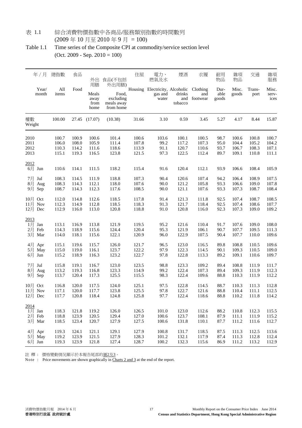#### 表 1.1 綜合消費物價指數中各商品/服務類別指數的時間數列 (2009 年 10 月至 2010 年 9 月 = 100)

Table 1.1 Time series of the Composite CPI at commodity/service section level (Oct. 2009 - Sep. 2010 = 100)

|                                       | 年/月   | 總指數                     | 食品                      | 外出                                  | 食品(不包括                                                 | 住屋                      | 電力、<br>燃氣及水                                                 | 煙酒                      | 衣履                      | 耐用<br>物品              | 雜項<br>物品                | 交通                      | 雜項<br>服務                |
|---------------------------------------|-------|-------------------------|-------------------------|-------------------------------------|--------------------------------------------------------|-------------------------|-------------------------------------------------------------|-------------------------|-------------------------|-----------------------|-------------------------|-------------------------|-------------------------|
| month                                 | Year/ | All<br>items            | Food                    | 用膳<br>Meals<br>away<br>from<br>home | 外出用膳)<br>Food,<br>excluding<br>meals away<br>from home |                         | Housing Electricity, Alcoholic Clothing<br>gas and<br>water | drinks<br>tobacco       | and<br>and footwear     | Dur-<br>able<br>goods | Misc.<br>goods          | Trans-<br>port          | Misc.<br>serv-<br>ices  |
| 權數<br>Weight                          |       | 100.00                  |                         | 27.45 (17.07)                       | (10.38)                                                | 31.66                   | 3.10                                                        | 0.59                    | 3.45                    | 5.27                  | 4.17                    | 8.44                    | 15.87                   |
| 2010                                  |       | 100.7                   | 100.9                   | 100.6                               | 101.4                                                  | 100.6                   | 103.6                                                       | 100.1                   | 100.5                   | 98.7                  | 100.6                   | 100.8                   | 100.7                   |
| 2011                                  |       | 106.0                   | 108.0                   | 105.9                               | 111.4                                                  | 107.8                   | 99.2                                                        | 117.2                   | 107.3                   | 95.0                  | 104.4                   | 105.2                   | 104.2                   |
| 2012                                  |       | 110.3                   | 114.2                   | 111.6                               | 118.6                                                  | 113.9                   | 91.1                                                        | 120.7                   | 110.6                   | 93.7                  | 106.7                   | 108.3                   | 107.1                   |
| 2013                                  |       | 115.1                   | 119.3                   | 116.5                               | 123.8                                                  | 121.5                   | 97.3                                                        | 122.5                   | 112.4                   | 89.7                  | 109.1                   | 110.8                   | 111.1                   |
| 2012<br>6月 Jun                        |       | 110.6                   | 114.1                   | 111.5                               | 118.2                                                  | 115.4                   | 91.6                                                        | 120.4                   | 112.1                   | 93.9                  | 106.6                   | 108.4                   | 105.9                   |
| 7月 Jul                                |       | 108.3                   | 114.5                   | 111.9                               | 118.8                                                  | 107.3                   | 90.4                                                        | 120.6                   | 107.4                   | 94.2                  | 106.4                   | 108.9                   | 107.5                   |
| 8月 Aug                                |       | 108.3                   | 114.3                   | 112.1                               | 118.0                                                  | 107.6                   | 90.0                                                        | 121.2                   | 105.8                   | 93.3                  | 106.6                   | 109.0                   | 107.8                   |
| 9月 Sep                                |       | 108.7                   | 114.3                   | 112.3                               | 117.6                                                  | 108.5                   | 90.0                                                        | 121.1                   | 107.6                   | 93.3                  | 107.3                   | 108.7                   | 108.4                   |
| 10月 Oct                               |       | 112.0                   | 114.8                   | 112.6                               | 118.5                                                  | 117.8                   | 91.4                                                        | 121.3                   | 111.8                   | 92.5                  | 107.4                   | 108.7                   | 108.5                   |
| 11月 Nov                               |       | 112.3                   | 114.9                   | 112.8                               | 118.5                                                  | 118.3                   | 91.3                                                        | 121.7                   | 118.4                   | 92.5                  | 107.4                   | 108.6                   | 107.7                   |
| 12月 Dec                               |       | 112.9                   | 116.0                   | 113.0                               | 120.8                                                  | 118.8                   | 91.0                                                        | 120.8                   | 116.0                   | 92.3                  | 107.3                   | 109.0                   | 109.2                   |
| 2013<br>1月<br>2月 Feb<br>3月 Mar        | Jan   | 113.1<br>114.3<br>114.0 | 116.9<br>118.9<br>118.1 | 113.8<br>115.6<br>115.6             | 121.9<br>124.4<br>122.1                                | 119.5<br>120.4<br>120.9 | 95.2<br>95.3<br>96.0                                        | 121.6<br>121.9<br>122.9 | 110.4<br>106.1<br>107.5 | 91.7<br>90.7<br>90.4  | 107.6<br>107.7<br>107.7 | 109.0<br>109.5<br>110.0 | 108.0<br>111.3<br>109.6 |
| 4月 Apr                                |       | 115.1                   | 119.6                   | 115.7                               | 126.0                                                  | 121.7                   | 96.5                                                        | 123.0                   | 116.5                   | 89.8                  | 108.8                   | 110.5                   | 109.6                   |
| 5月 May                                |       | 115.0                   | 119.0                   | 116.1                               | 123.7                                                  | 122.2                   | 97.9                                                        | 122.3                   | 114.5                   | 90.1                  | 109.3                   | 110.5                   | 109.0                   |
| 6月 Jun                                |       | 115.2                   | 118.9                   | 116.3                               | 123.2                                                  | 122.7                   | 97.8                                                        | 122.8                   | 113.3                   | 89.2                  | 109.1                   | 110.6                   | 109.7                   |
| 7月 Jul                                | Aug   | 115.8                   | 119.1                   | 116.7                               | 123.0                                                  | 123.5                   | 98.8                                                        | 123.3                   | 109.2                   | 89.4                  | 108.8                   | 111.9                   | 111.7                   |
| 8月                                    |       | 113.2                   | 119.3                   | 116.8                               | 123.3                                                  | 114.9                   | 99.2                                                        | 122.4                   | 107.3                   | 89.4                  | 109.3                   | 111.9                   | 112.3                   |
| 9月 Sep                                |       | 113.7                   | 120.4                   | 117.3                               | 125.5                                                  | 115.5                   | 98.3                                                        | 122.4                   | 109.6                   | 88.8                  | 110.3                   | 111.9                   | 112.2                   |
| 10月 Oct                               |       | 116.8                   | 120.0                   | 117.5                               | 124.0                                                  | 125.1                   | 97.5                                                        | 122.8                   | 114.5                   | 88.7                  | 110.3                   | 111.3                   | 112.8                   |
| 11月 Nov                               |       | 117.1                   | 120.0                   | 117.7                               | 123.8                                                  | 125.5                   | 97.8                                                        | 122.7                   | 121.6                   | 88.8                  | 110.4                   | 111.1                   | 112.5                   |
| 12月 Dec                               |       | 117.7                   | 120.8                   | 118.4                               | 124.8                                                  | 125.8                   | 97.7                                                        | 122.4                   | 118.6                   | 88.8                  | 110.2                   | 111.8                   | 114.2                   |
| 2014<br>$1$ 月 Jan<br>2月 Feb<br>3月 Mar |       | 118.3<br>118.8<br>118.5 | 121.8<br>123.9<br>123.4 | 119.2<br>120.5<br>120.7             | 126.0<br>129.4<br>127.9                                | 126.5<br>127.0<br>127.5 | 101.0<br>100.6<br>100.6                                     | 123.0<br>123.7<br>131.8 | 112.6<br>108.1<br>110.1 | 88.2<br>87.9<br>87.7  | 110.8<br>111.1<br>111.2 | 112.3<br>111.9<br>111.6 | 115.5<br>115.2<br>112.7 |
| 4月 Apr                                |       | 119.3                   | 124.1                   | 121.1                               | 129.1                                                  | 127.9                   | 100.8                                                       | 131.7                   | 118.5                   | 87.5                  | 111.3                   | 112.5                   | 113.6                   |
| 5月 May                                |       | 119.2                   | 123.9                   | 121.5                               | 127.9                                                  | 128.3                   | 101.2                                                       | 132.1                   | 117.9                   | 87.4                  | 111.3                   | 112.8                   | 112.4                   |
| 6月 Jun                                |       | 119.3                   | 123.9                   | 121.8                               | 127.4                                                  | 128.7                   | 100.2                                                       | 132.3                   | 115.6                   | 86.9                  | 111.2                   | 113.2                   | 112.9                   |

註 釋 : 價格變動情況顯示於本報告尾部的圖2及3。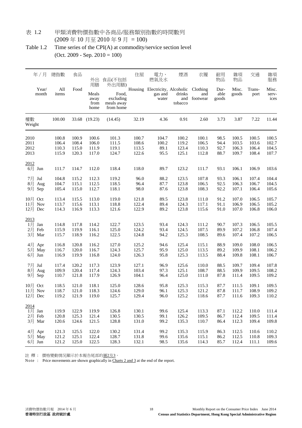#### 表 1.2 甲類消費物價指數中各商品/服務類別指數的時間數列 (2009 年 10 月至 2010 年 9 月 = 100)

Table 1.2 Time series of the CPI(A) at commodity/service section level (Oct. 2009 - Sep. 2010 = 100)

|                                            | 年/月               | 總指數                              | 食品                               | 外出                                  | 食品(不包括                                                 | 住屋                               | 電力、<br>燃氣及水                                        | 煙酒                               | 衣履                               | 耐用<br>物品                     | 雜項<br>物品                         | 交通                               | 雜項<br>服務                         |
|--------------------------------------------|-------------------|----------------------------------|----------------------------------|-------------------------------------|--------------------------------------------------------|----------------------------------|----------------------------------------------------|----------------------------------|----------------------------------|------------------------------|----------------------------------|----------------------------------|----------------------------------|
|                                            | Year/<br>month    | All<br>items                     | Food                             | 用膳<br>Meals<br>away<br>from<br>home | 外出用膳)<br>Food,<br>excluding<br>meals away<br>from home |                                  | Housing Electricity, Alcoholic<br>gas and<br>water | drinks<br>tobacco                | Clothing<br>and<br>and footwear  | Dur-<br>able<br>goods        | Misc.<br>goods                   | Trans-<br>port                   | Misc.<br>serv-<br>ices           |
| 權數<br>Weight                               |                   | 100.00                           |                                  | 33.68 (19.23)                       | (14.45)                                                | 32.19                            | 4.36                                               | 0.91                             | 2.60                             | 3.73                         | 3.87                             | 7.22                             | 11.44                            |
| 2010<br>2011<br>2012<br>2013               |                   | 100.8<br>106.4<br>110.3<br>115.9 | 100.9<br>108.4<br>115.0<br>120.3 | 100.6<br>106.0<br>111.9<br>117.0    | 101.3<br>111.5<br>119.1<br>124.7                       | 100.7<br>108.6<br>113.5<br>122.6 | 104.7<br>100.2<br>89.1<br>95.5                     | 100.2<br>119.2<br>123.4<br>125.1 | 100.1<br>106.5<br>110.3<br>112.8 | 98.5<br>94.4<br>92.7<br>88.7 | 100.5<br>103.5<br>106.3<br>109.7 | 100.5<br>103.6<br>106.4<br>108.4 | 100.5<br>102.7<br>104.5<br>107.7 |
| 2012<br>6月                                 | Jun               | 111.7                            | 114.7                            | 112.0                               | 118.4                                                  | 118.0                            | 89.7                                               | 123.2                            | 111.7                            | 93.1                         | 106.1                            | 106.9                            | 103.6                            |
| 7月 Jul<br>8月<br>9月                         | Aug<br>Sep        | 104.8<br>104.7<br>105.4          | 115.2<br>115.1<br>115.0          | 112.3<br>112.5<br>112.7             | 119.2<br>118.5<br>118.1                                | 96.0<br>96.4<br>98.0             | 88.2<br>87.7<br>87.6                               | 123.5<br>123.8<br>123.8          | 107.8<br>106.5<br>108.3          | 93.3<br>92.5<br>92.2         | 106.1<br>106.3<br>107.1          | 107.4<br>106.7<br>106.4          | 104.4<br>104.5<br>105.6          |
| 10月<br>11月<br>12月 Dec                      | Oct<br><b>Nov</b> | 113.4<br>113.7<br>114.3          | 115.5<br>115.6<br>116.9          | 113.0<br>113.1<br>113.3             | 119.0<br>118.8<br>121.6                                | 121.8<br>122.4<br>122.9          | 89.5<br>89.4<br>89.2                               | 123.8<br>124.3<br>123.8          | 111.0<br>117.1<br>115.6          | 91.2<br>91.1<br>91.0         | 107.0<br>106.9<br>107.0          | 106.5<br>106.5<br>106.8          | 105.7<br>105.2<br>106.0          |
| 2013<br>1月<br>2月 Feb<br>3月<br>4月 Apr       | Jan<br>Mar        | 114.8<br>115.9<br>115.7<br>116.8 | 117.8<br>119.9<br>118.9<br>120.8 | 114.2<br>116.1<br>116.2<br>116.2    | 122.7<br>125.0<br>122.5<br>127.0                       | 123.5<br>124.2<br>124.8<br>125.2 | 93.4<br>93.4<br>94.2<br>94.6                       | 124.3<br>124.5<br>125.3<br>125.4 | 111.2<br>107.5<br>108.5<br>115.1 | 90.7<br>89.9<br>89.6<br>88.9 | 107.3<br>107.2<br>107.4<br>109.0 | 106.5<br>106.8<br>107.2<br>108.0 | 105.5<br>107.4<br>106.5<br>106.5 |
| 5月<br>6月 Jun<br>7月<br>8月 Aug               | May<br>Jul        | 116.7<br>116.9<br>117.4<br>109.9 | 120.0<br>119.9<br>120.2<br>120.4 | 116.7<br>116.8<br>117.3<br>117.4    | 124.3<br>124.0<br>123.9<br>124.3                       | 125.7<br>126.3<br>127.1<br>103.4 | 95.9<br>95.8<br>96.9<br>97.3                       | 125.0<br>125.3<br>125.6<br>125.1 | 113.5<br>113.5<br>110.0<br>108.7 | 89.2<br>88.4<br>88.5<br>88.5 | 109.9<br>109.8<br>109.7<br>109.9 | 108.1<br>108.1<br>109.4<br>109.5 | 106.2<br>106.7<br>107.8<br>108.2 |
| 9月 Sep<br>10月 Oct<br>$11$ 月 Nov<br>12月 Dec |                   | 110.7<br>118.5<br>118.7<br>119.2 | 121.8<br>121.0<br>121.0<br>121.9 | 117.9<br>118.1<br>118.3<br>119.0    | 126.9<br>125.0<br>124.6<br>125.7                       | 104.1<br>128.6<br>129.0<br>129.4 | 96.4<br>95.8<br>96.1<br>96.0                       | 125.0<br>125.3<br>125.3<br>125.2 | 111.0<br>115.3<br>121.2<br>118.6 | 87.8<br>87.7<br>87.8<br>87.7 | 111.4<br>111.5<br>111.7<br>111.6 | 109.5<br>109.1<br>108.9<br>109.3 | 109.2<br>109.5<br>109.2<br>110.2 |
| 2014<br>1 $\vert$ Jan<br>2月 Feb<br>3月 Mar  |                   | 119.9<br>120.8<br>120.6          | 122.9<br>125.3<br>124.6          | 119.9<br>121.4<br>121.5             | 126.8<br>130.5<br>128.8                                | 130.1<br>130.5<br>131.0          | 99.6<br>99.1<br>99.2                               | 125.4<br>126.2<br>135.3          | 113.3<br>109.5<br>110.7          | 87.1<br>86.7<br>86.4         | 112.2<br>112.4<br>112.3          | 110.0<br>109.5<br>109.4          | 111.4<br>111.4<br>109.8          |
| 4月 Apr<br>5月 May<br>6月 Jun                 |                   | 121.3<br>121.2<br>121.2          | 125.5<br>125.1<br>125.0          | 122.0<br>122.4<br>122.5             | 130.2<br>128.7<br>128.3                                | 131.4<br>131.8<br>132.1          | 99.2<br>99.6<br>98.5                               | 135.3<br>135.6<br>135.6          | 115.9<br>115.1<br>114.3          | 86.3<br>86.2<br>85.7         | 112.5<br>112.5<br>112.4          | 110.6<br>110.8<br>111.1          | 110.2<br>109.3<br>109.6          |

註 釋 : 價格變動情況顯示於本報告尾部的圖2及3。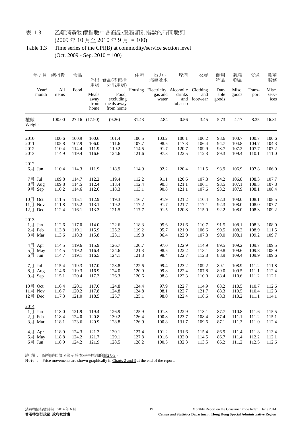### 表 1.3 乙類消費物價指數中各商品/服務類別指數的時間數列 (2009 年 10 月至 2010 年 9 月 = 100)

Table 1.3 Time series of the CPI(B) at commodity/service section level (Oct. 2009 - Sep. 2010 = 100)

| 年/月                                      | 總指數                              | 食品                               | 外出<br>用膳                         | 食品(不包括<br>外出用膳)                               | 住屋                               | 電力、<br>燃氣及水                                        | 煙酒                               | 衣履                               | 耐用<br>物品                     | 雜項<br>物品                         | 交通                               | 雜項<br>服務                         |
|------------------------------------------|----------------------------------|----------------------------------|----------------------------------|-----------------------------------------------|----------------------------------|----------------------------------------------------|----------------------------------|----------------------------------|------------------------------|----------------------------------|----------------------------------|----------------------------------|
| Year/<br>month                           | All<br>items                     | Food                             | Meals<br>away<br>from<br>home    | Food.<br>excluding<br>meals away<br>from home |                                  | Housing Electricity, Alcoholic<br>gas and<br>water | drinks<br>tobacco                | Clothing<br>and<br>and footwear  | Dur-<br>able<br>goods        | Misc.<br>goods                   | Trans-<br>port                   | Misc.<br>serv-<br>ices           |
| 權數<br>Weight                             | 100.00                           |                                  | 27.16 (17.90)                    | (9.26)                                        | 31.43                            | 2.84                                               | 0.56                             | 3.45                             | 5.73                         | 4.17                             | 8.35                             | 16.31                            |
| 2010<br>2011<br>2012<br>2013             | 100.6<br>105.8<br>110.4<br>114.9 | 100.9<br>107.9<br>114.4<br>119.4 | 100.6<br>106.0<br>111.9<br>116.6 | 101.4<br>111.6<br>119.2<br>124.6              | 100.5<br>107.7<br>114.5<br>121.6 | 103.2<br>98.5<br>91.7<br>97.8                      | 100.1<br>117.3<br>120.7<br>122.5 | 100.2<br>106.4<br>109.9<br>112.3 | 98.6<br>94.7<br>93.7<br>89.3 | 100.7<br>104.8<br>107.2<br>109.4 | 100.7<br>104.7<br>107.7<br>110.1 | 100.6<br>104.3<br>107.2<br>111.0 |
| 2012<br>6月 Jun                           | 110.4                            | 114.3                            | 111.9                            | 118.9                                         | 114.9                            | 92.2                                               | 120.4                            | 111.5                            | 93.9                         | 106.9                            | 107.8                            | 106.0                            |
| 7月 Jul<br>8月<br>Aug<br>9月 Sep            | 109.8<br>109.8<br>110.2          | 114.7<br>114.5<br>114.6          | 112.2<br>112.4<br>112.6          | 119.4<br>118.4<br>118.3                       | 112.2<br>112.4<br>113.1          | 91.1<br>90.8<br>90.8                               | 120.6<br>121.1<br>121.1          | 107.8<br>106.1<br>107.6          | 94.2<br>93.5<br>93.2         | 106.8<br>107.1<br>107.9          | 108.3<br>108.3<br>108.1          | 107.7<br>107.8<br>108.4          |
| 10月<br>Oct<br>11月<br>Nov<br>12月 Dec      | 111.5<br>111.8<br>112.4          | 115.1<br>115.2<br>116.1          | 112.9<br>113.1<br>113.3          | 119.3<br>119.2<br>121.5                       | 116.7<br>117.2<br>117.7          | 91.9<br>91.7<br>91.5                               | 121.2<br>121.7<br>120.8          | 110.4<br>117.1<br>115.0          | 92.3<br>92.3<br>92.2         | 108.0<br>108.0<br>108.0          | 108.1<br>108.0<br>108.3          | 108.5<br>107.7<br>109.2          |
| 2013<br>1月<br>Jan<br>2月 Feb<br>3月<br>Mar | 112.6<br>113.8<br>113.6          | 117.0<br>119.1<br>118.3          | 114.0<br>115.9<br>115.8          | 122.6<br>125.2<br>123.1                       | 118.3<br>119.2<br>119.8          | 95.6<br>95.7<br>96.4                               | 121.6<br>121.9<br>122.9          | 110.7<br>106.6<br>107.8          | 91.5<br>90.5<br>90.0         | 108.1<br>108.2<br>108.1          | 108.3<br>108.9<br>109.2          | 108.0<br>111.5<br>109.7          |
| 4月<br>Apr<br>5月<br>May<br>6月 Jun         | 114.5<br>114.5<br>114.7          | 119.6<br>119.2<br>119.1          | 115.9<br>116.4<br>116.5          | 126.7<br>124.6<br>124.1                       | 120.7<br>121.3<br>121.8          | 97.0<br>98.5<br>98.4                               | 122.9<br>122.2<br>122.7          | 114.9<br>113.1<br>112.8          | 89.5<br>89.8<br>88.9         | 109.2<br>109.6<br>109.4          | 109.7<br>109.8<br>109.9          | 109.5<br>108.9<br>109.6          |
| 7月<br>Jul<br>8月<br>Aug<br>9月 Sep         | 115.4<br>114.6<br>115.1          | 119.3<br>119.3<br>120.4          | 117.0<br>116.9<br>117.3          | 123.8<br>124.0<br>126.3                       | 122.6<br>120.0<br>120.6          | 99.4<br>99.8<br>98.8                               | 123.2<br>122.4<br>122.3          | 109.2<br>107.8<br>110.0          | 89.1<br>89.0<br>88.4         | 108.9<br>109.5<br>110.6          | 111.2<br>111.1<br>111.2          | 111.8<br>112.4<br>112.1          |
| 10月<br>Oct<br>$11$ 月 Nov<br>12月 Dec      | 116.4<br>116.7<br>117.3          | 120.1<br>120.2<br>121.0          | 117.6<br>117.8<br>118.5          | 124.8<br>124.8<br>125.7                       | 124.4<br>124.8<br>125.1          | 97.9<br>98.1<br>98.0                               | 122.7<br>122.7<br>122.4          | 114.9<br>121.7<br>118.6          | 88.2<br>88.3<br>88.3         | 110.5<br>110.5<br>110.2          | 110.7<br>110.4<br>111.1          | 112.6<br>112.3<br>114.1          |
| 2014<br>$1$ 月 Jan<br>2月 Feb<br>3月 Mar    | 118.0<br>118.4<br>118.1          | 121.9<br>124.0<br>123.6          | 119.4<br>120.8<br>120.9          | 126.9<br>130.2<br>128.8                       | 125.9<br>126.4<br>126.9          | 101.3<br>100.8<br>100.8                            | 122.9<br>123.7<br>131.7          | 113.1<br>108.4<br>109.6          | 87.7<br>87.4<br>87.1         | 110.8<br>111.1<br>111.3          | 111.6<br>111.2<br>111.0          | 115.5<br>115.1<br>112.4          |
| 4月 Apr<br>5月 May<br>$6 \frac{1}{2}$ Jun  | 118.9<br>118.8<br>118.9          | 124.3<br>124.2<br>124.2          | 121.3<br>121.7<br>121.9          | 130.1<br>129.1<br>128.5                       | 127.4<br>127.8<br>128.2          | 101.2<br>101.6<br>$100.5\,$                        | 131.6<br>132.0<br>132.3          | 115.4<br>114.5<br>113.5          | 86.9<br>86.7<br>86.2         | 111.4<br>111.4<br>111.2          | 111.8<br>112.2<br>112.5          | 113.4<br>112.1<br>112.6          |

註 釋: 價格變動情況顯示於本報告尾部的<u>圖2及3</u>。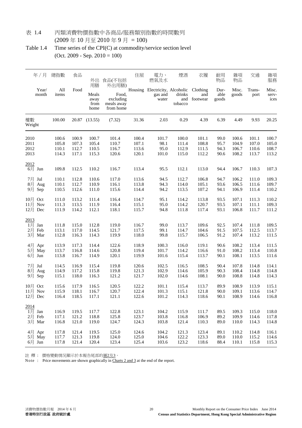#### 表 1.4 丙類消費物價指數中各商品/服務類別指數的時間數列 (2009 年 10 月至 2010 年 9 月 = 100)

Table 1.4 Time series of the CPI(C) at commodity/service section level (Oct. 2009 - Sep. 2010 = 100)

| 年/月                                   | 總指數                              | 食品                               | 外出<br>用膳                         | 食品(不包括<br>外出用膳)                               | 住屋                               | 電力、<br>燃氣及水                                                 | 煙酒                               | 衣履                               | 耐用<br>物品                     | 雜項<br>物品                         | 交通                               | 雜項<br>服務                         |
|---------------------------------------|----------------------------------|----------------------------------|----------------------------------|-----------------------------------------------|----------------------------------|-------------------------------------------------------------|----------------------------------|----------------------------------|------------------------------|----------------------------------|----------------------------------|----------------------------------|
| Year/<br>month                        | All<br>items                     | Food                             | Meals<br>away<br>from<br>home    | Food,<br>excluding<br>meals away<br>from home |                                  | Housing Electricity, Alcoholic Clothing<br>gas and<br>water | drinks<br>tobacco                | and<br>and footwear              | Dur-<br>able<br>goods        | Misc.<br>goods                   | Trans-<br>port                   | Misc.<br>serv-<br>ices           |
| 權數<br>Weight                          | 100.00                           |                                  | 20.87 (13.55)                    | (7.32)                                        | 31.36                            | 2.03                                                        | 0.29                             | 4.39                             | 6.39                         | 4.49                             | 9.93                             | 20.25                            |
| 2010<br>2011<br>2012<br>2013          | 100.6<br>105.8<br>110.1<br>114.3 | 100.9<br>107.3<br>112.7<br>117.1 | 100.7<br>105.4<br>110.5<br>115.3 | 101.4<br>110.7<br>116.7<br>120.6              | 100.4<br>107.1<br>113.6<br>120.1 | 101.7<br>98.1<br>95.0<br>101.0                              | 100.0<br>111.4<br>112.9<br>115.0 | 101.1<br>108.8<br>111.5<br>112.2 | 99.0<br>95.7<br>94.3<br>90.6 | 100.6<br>104.9<br>106.7<br>108.2 | 101.1<br>107.0<br>110.6<br>113.7 | 100.7<br>105.0<br>108.7<br>113.2 |
| 2012<br>6月 Jun                        | 109.8                            | 112.5                            | 110.2                            | 116.7                                         | 113.4                            | 95.5                                                        | 112.1                            | 113.0                            | 94.4                         | 106.7                            | 110.3                            | 107.3                            |
| 7月 Jul<br>8月 Aug<br>9月 Sep            | 110.1<br>110.1<br>110.5          | 112.8<br>112.7<br>112.6          | 110.6<br>110.9<br>111.0          | 117.0<br>116.1<br>115.6                       | 113.6<br>113.8<br>114.4          | 94.5<br>94.3<br>94.2                                        | 112.7<br>114.0<br>113.5          | 106.8<br>105.1<br>107.2          | 94.7<br>93.6<br>94.1         | 106.2<br>106.5<br>106.9          | 111.0<br>111.6<br>111.4          | 109.3<br>109.7<br>110.2          |
| 10月 Oct<br>11月 Nov<br>12月 Dec         | 111.0<br>111.3<br>111.9          | 113.2<br>113.5<br>114.2          | 111.4<br>111.9<br>112.1          | 116.4<br>116.4<br>118.1                       | 114.7<br>115.1<br>115.7          | 95.1<br>95.0<br>94.8                                        | 114.2<br>114.2<br>111.8          | 113.8<br>120.7<br>117.4          | 93.5<br>93.5<br>93.1         | 107.1<br>107.1<br>106.8          | 111.3<br>111.1<br>111.7          | 110.2<br>109.3<br>111.2          |
| 2013<br>1月<br>Jan<br>2月 Feb<br>3月 Mar | 111.8<br>113.1<br>112.8          | 115.0<br>117.0<br>116.3          | 112.8<br>114.5<br>114.3          | 119.0<br>121.7<br>119.9                       | 116.7<br>117.5<br>118.0          | 99.0<br>99.1<br>99.8                                        | 113.7<br>114.7<br>115.7          | 109.6<br>104.6<br>106.5          | 92.5<br>91.5<br>91.2         | 107.4<br>107.5<br>107.4          | 111.8<br>112.5<br>113.2          | 109.5<br>113.7<br>111.5          |
| 4月 Apr<br>5月 May<br>6月 Jun            | 113.9<br>113.7<br>113.8          | 117.3<br>116.8<br>116.7          | 114.4<br>114.6<br>114.9          | 122.6<br>120.8<br>120.1                       | 118.9<br>119.4<br>119.9          | 100.3<br>101.7<br>101.6                                     | 116.0<br>114.2<br>115.4          | 119.1<br>116.6<br>113.7          | 90.6<br>91.0<br>90.1         | 108.2<br>108.2<br>108.1          | 113.4<br>113.4<br>113.5          | 111.5<br>110.8<br>111.6          |
| 7月<br>Jul<br>8月<br>Aug<br>9月 Sep      | 114.5<br>114.9<br>115.1          | 116.9<br>117.2<br>118.0          | 115.4<br>115.8<br>116.3          | 119.8<br>119.8<br>121.2                       | 120.6<br>121.3<br>121.7          | 102.5<br>102.9<br>102.0                                     | 116.5<br>114.6<br>114.6          | 108.5<br>105.9<br>108.1          | 90.4<br>90.3<br>90.0         | 107.8<br>108.4<br>108.8          | 114.8<br>114.8<br>114.8          | 114.1<br>114.8<br>114.3          |
| 10月 Oct<br>$11$ 月 Nov<br>12月 Dec      | 115.6<br>115.9<br>116.4          | 117.9<br>118.1<br>118.5          | 116.5<br>116.7<br>117.1          | 120.5<br>120.7<br>121.1                       | 122.2<br>122.4<br>122.6          | 101.1<br>101.3<br>101.2                                     | 115.4<br>115.1<br>114.3          | 113.7<br>121.8<br>118.6          | 89.9<br>90.0<br>90.1         | 108.9<br>109.1<br>108.9          | 113.9<br>113.6<br>114.6          | 115.1<br>114.7<br>116.8          |
| 2014<br>$1$ 月 Jan<br>2月 Feb<br>3月 Mar | 116.9<br>117.1<br>116.8          | 119.5<br>121.2<br>121.0          | 117.7<br>118.8<br>119.0          | 122.8<br>125.8<br>124.7                       | 123.1<br>123.7<br>124.3          | 104.2<br>103.8<br>103.8                                     | 115.9<br>116.8<br>121.4          | 111.7<br>106.9<br>110.3          | 89.5<br>89.2<br>89.0         | 109.3<br>109.9<br>110.0          | 115.0<br>114.6<br>114.3          | 118.0<br>117.8<br>114.8          |
| 4月 Apr<br>5月 May<br>$6$ 月 Jun         | 117.8<br>117.7<br>117.8          | 121.4<br>121.3<br>121.4          | 119.5<br>119.8<br>120.4          | 125.0<br>124.0<br>123.4                       | 124.6<br>125.0<br>125.4          | 104.2<br>104.6<br>103.6                                     | 121.3<br>122.2<br>123.2          | 123.4<br>123.3<br>118.6          | 89.1<br>89.0<br>88.4         | 110.2<br>110.0<br>110.1          | 114.8<br>115.2<br>115.8          | 116.1<br>114.6<br>115.3          |

註 釋 : 價格變動情況顯示於本報告尾部的圖2及3。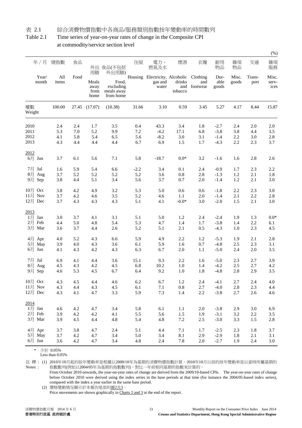#### 表 2.1 綜合消費物價指數中各商品/服務類別指數按年變動率的時間數列

Table 2.1 Time series of year-on-year rates of change in the Composite CPI at commodity/service section level

|                                       |                   |                   |                               |                                               |                      |                                                             |                         |                           |                            |                   |                   | (% )                   |
|---------------------------------------|-------------------|-------------------|-------------------------------|-----------------------------------------------|----------------------|-------------------------------------------------------------|-------------------------|---------------------------|----------------------------|-------------------|-------------------|------------------------|
| 年/月                                   | 總指數               | 食品                | 用膳                            | 外出 食品(不包括<br>外出用膳)                            | 住屋                   | 電力、<br>燃氣及水                                                 | 煙酒                      | 衣履                        | 耐用<br>物品                   | 雜項<br>物品          | 交通                | 雜項<br>服務               |
| Year/<br>month                        | All<br>items      | Food              | Meals<br>away<br>from<br>home | Food,<br>excluding<br>meals away<br>from home |                      | Housing Electricity, Alcoholic Clothing<br>gas and<br>water | drinks<br>tobacco       | and<br>and footwear       | Dur-<br>able<br>goods      | Misc.<br>goods    | Trans-<br>port    | Misc.<br>serv-<br>ices |
| 權數<br>Weight                          | 100.00            |                   | 27.45 (17.07)                 | (10.38)                                       | 31.66                | 3.10                                                        | 0.59                    | 3.45                      | 5.27                       | 4.17              | 8.44              | 15.87                  |
| 2010<br>2011                          | 2.4<br>5.3        | 2.4<br>7.0        | 1.7<br>5.2                    | 3.5<br>9.9                                    | 0.4<br>7.2           | 43.3<br>$-4.2$                                              | 3.4<br>17.1             | 1.8<br>6.8                | $-2.7$<br>$-3.8$           | 2.4<br>3.8        | 2.0<br>4.4        | 2.0<br>3.5             |
| 2012<br>2013                          | 4.1<br>4.3        | 5.8<br>4.4        | 5.4<br>4.4                    | 6.5<br>4.4                                    | 5.6<br>6.7           | $-8.2$<br>6.9                                               | 3.0<br>1.5              | 3.1<br>1.7                | $-1.4$<br>$-4.3$           | 2.2<br>2.2        | 3.0<br>2.3        | 2.8<br>3.7             |
| 2012<br>6月 Jun                        | 3.7               | 6.1               | 5.6                           | 7.1                                           | 5.8                  | $-18.7$                                                     | $0.0*$                  | 3.2                       | $-1.6$                     | 1.6               | 2.8               | 2.6                    |
| 7月 Jul<br>8月<br>Aug<br>9月 Sep         | 1.6<br>3.7<br>3.8 | 5.9<br>5.2<br>4.4 | 5.4<br>5.2<br>5.1             | 6.6<br>5.2<br>3.4                             | $-2.2$<br>5.2<br>5.6 | 3.4<br>3.6<br>3.7                                           | 0.1<br>0.8<br>0.7       | 2.4<br>2.8<br>2.0         | $-0.9$<br>$-1.3$<br>$-1.4$ | 1.7<br>1.2<br>1.2 | 2.3<br>2.1<br>2.1 | 2.2<br>1.8<br>3.0      |
| 10月 Oct<br>11月<br>Nov<br>12月 Dec      | 3.8<br>3.7<br>3.7 | 4.2<br>4.2<br>4.3 | 4.9<br>4.6<br>4.3             | 3.2<br>3.5<br>4.3                             | 5.3<br>5.2<br>5.1    | 5.0<br>4.6<br>4.1                                           | 0.6<br>1.1<br>$-0.0*$   | 0.6<br>2.0<br>3.0         | $-1.8$<br>$-1.4$<br>$-2.0$ | 2.2<br>2.1<br>1.5 | 2.3<br>2.2<br>2.1 | 3.0<br>2.8<br>3.0      |
| 2013<br>1月<br>Jan<br>2月 Feb<br>3月 Mar | 3.0<br>4.4<br>3.6 | 3.7<br>5.0<br>3.7 | 4.1<br>4.8<br>4.4             | 3.1<br>5.4<br>2.6                             | 5.1<br>5.3<br>5.2    | 5.0<br>4.7<br>5.1                                           | 1.2<br>1.4<br>2.1       | 2.4<br>1.7<br>0.5         | $-2.4$<br>$-3.8$<br>$-4.3$ | 1.9<br>1.4<br>1.0 | 1.3<br>2.2<br>2.3 | $0.0*$<br>6.1<br>4.5   |
| 4月 Apr<br>5月 May<br>6月 Jun            | 4.0<br>3.9<br>4.1 | 5.2<br>4.0<br>4.3 | 4.3<br>4.3<br>4.2             | 6.6<br>3.6<br>4.3                             | 5.9<br>6.1<br>6.3    | 4.9<br>5.9<br>6.7                                           | 2.2<br>1.6<br>2.0       | 1.2<br>0.7<br>1.1         | $-5.3$<br>$-4.8$<br>$-5.0$ | 1.9<br>2.5<br>2.4 | 2.1<br>2.3<br>2.0 | 2.8<br>3.1<br>3.5      |
| 7月<br>Jul<br>8月<br>Aug<br>9月 Sep      | 6.9<br>4.5<br>4.6 | 4.1<br>4.3<br>5.3 | 4.4<br>4.2<br>4.5             | 3.6<br>4.5<br>6.7                             | 15.1<br>6.8<br>6.4   | 9.3<br>10.2<br>9.2                                          | 2.2<br>1.0<br>1.0       | 1.6<br>1.4<br>1.8         | $-5.0$<br>$-4.2$<br>$-4.8$ | 2.3<br>2.5<br>2.8 | 2.7<br>2.7<br>2.9 | 3.9<br>4.2<br>3.5      |
| 10月 Oct<br>11月 Nov<br>12月 Dec         | 4.3<br>4.3<br>4.3 | 4.5<br>4.4<br>4.1 | 4.4<br>4.3<br>4.7             | 4.6<br>4.5<br>3.3                             | 6.2<br>6.1<br>5.9    | 6.7<br>$7.1\,$<br>7.3                                       | 1.2<br>$\rm 0.8$<br>1.4 | 2.4<br>$2.7\,$<br>$2.2\,$ | $-4.1$<br>$-4.0$<br>$-3.8$ | 2.7<br>2.8<br>2.7 | 2.4<br>2.3<br>2.6 | 4.0<br>4.4<br>4.6      |
| 2014<br>$1$ 月 Jan<br>2月 Feb<br>3月 Mar | 4.6<br>3.9<br>3.9 | 4.2<br>4.2<br>4.5 | 4.7<br>4.2<br>4.4             | 3.4<br>4.1<br>4.8                             | 5.8<br>5.5<br>5.4    | 6.1<br>5.6<br>4.8                                           | 1.1<br>1.5<br>$7.2\,$   | 2.0<br>1.9<br>$2.5\,$     | $-3.8$<br>$-3.1$<br>$-3.0$ | 2.9<br>3.2<br>3.3 | 3.0<br>2.2<br>1.5 | 6.9<br>$3.5$<br>2.8    |
| 4月 Apr<br>5月 May<br>6月 Jun            | 3.7<br>3.7<br>3.6 | 3.8<br>4.2<br>4.2 | 4.7<br>4.7<br>4.7             | 2.4<br>3.4<br>3.4                             | 5.1<br>5.0<br>4.8    | 4.4<br>3.4<br>2.4                                           | 7.1<br>$8.1\,$<br>7.8   | 1.7<br>2.9<br>2.0         | $-2.5$<br>$-2.9$<br>$-2.7$ | 2.3<br>1.8<br>1.9 | 1.8<br>2.1<br>2.4 | 3.7<br>3.1<br>$3.0\,$  |

\* 少於 0.05%

註 釋 : (1) 2010年10月起的按年變動率是根據以2009/10年為基期的消費物價指數計算。2010年10月以前的按年變動率是以當時所屬基期的 Notes : 指數數列(例如以2004/05年為基期的指數數列),對比一年前相同基期的指數來計算的。

From October 2010 onwards, the year-on-year rates of change are derived from the 2009/10-based CPIs. The year-on-year rates of change before October 2010 were derived using the index series in the base periods at that time (for instance the 2004/05-based index series), compared with the index a year earlier in the same base period.

(2) 價格變動情況顯示於本報告尾部的圖2及3。

Less than 0.05%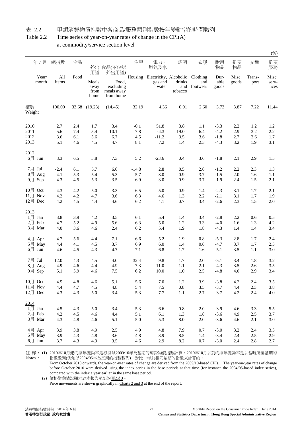#### 表 2.2 甲類消費物價指數中各商品/服務類別指數按年變動率的時間數列

#### Table 2.2 Time series of year-on-year rates of change in the CPI(A) at commodity/service section level

|                  |              |            |                               |                                               |            |                                                             |                   |                     |                       |                |                | (% )                   |
|------------------|--------------|------------|-------------------------------|-----------------------------------------------|------------|-------------------------------------------------------------|-------------------|---------------------|-----------------------|----------------|----------------|------------------------|
| 年/月              | 總指數          | 食品         | 用膳                            | 外出 食品(不包括<br>外出用膳)                            | 住屋         | 電力、<br>燃氣及水                                                 | 煙酒                | 衣履                  | 耐用<br>物品              | 雜項<br>物品       | 交通             | 雜項<br>服務               |
| Year/<br>month   | All<br>items | Food       | Meals<br>away<br>from<br>home | Food.<br>excluding<br>meals away<br>from home |            | Housing Electricity, Alcoholic Clothing<br>gas and<br>water | drinks<br>tobacco | and<br>and footwear | Dur-<br>able<br>goods | Misc.<br>goods | Trans-<br>port | Misc.<br>serv-<br>ices |
| 權數<br>Weight     | 100.00       |            | 33.68 (19.23)                 | (14.45)                                       | 32.19      | 4.36                                                        | 0.91              | 2.60                | 3.73                  | 3.87           | 7.22           | 11.44                  |
| 2010             | 2.7          | 2.4        | 1.7                           | 3.4                                           | $-0.1$     | 51.8                                                        | 3.8               | 1.1                 | $-3.3$                | 2.2            | 1.2            | 1.2                    |
| 2011             | 5.6          | 7.4        | 5.4                           | 10.1                                          | 7.8        | $-4.3$                                                      | 19.0              | 6.4                 | $-4.2$                | 2.9            | 3.2            | 2.2                    |
| 2012             | 3.6          | 6.1        | 5.6                           | 6.7                                           | 4.5        | $-11.2$                                                     | 3.5               | 3.6                 | $-1.8$                | 2.7            | 2.6            | 1.7                    |
| 2013             | 5.1          | 4.6        | 4.5                           | 4.7                                           | 8.1        | 7.2                                                         | 1.4               | 2.3                 | $-4.3$                | 3.2            | 1.9            | 3.1                    |
| 2012             |              |            |                               |                                               |            |                                                             |                   |                     |                       |                |                |                        |
| 6月 Jun           | 3.3          | 6.5        | 5.8                           | 7.3                                           | 5.2        | $-23.6$                                                     | 0.4               | 3.6                 | $-1.8$                | 2.1            | 2.9            | 1.5                    |
| 7月 Jul           | $-2.4$       | 6.1        | 5.7                           | 6.6                                           | $-14.8$    | 2.8                                                         | 0.5               | 2.6                 | $-1.2$                | 2.2            | 2.3            | 1.3                    |
| 8月<br>Aug        | 4.1          | 5.3        | 5.4                           | 5.3                                           | 5.7        | 3.0                                                         | 0.9               | 3.7                 | $-1.5$                | 2.0            | 1.6            | 1.1                    |
| 9月 Sep           | 4.3          | 4.5        | 5.3                           | 3.5                                           | 6.9        | 3.0                                                         | 0.9               | 3.7                 | $-1.9$                | 2.4            | 1.5            | 2.1                    |
| 10月 Oct          | 4.3          | 4.2        | 5.0                           | 3.3                                           | 6.5        | 5.0                                                         | 0.9               | 1.4                 | $-2.3$                | 3.1            | 1.7            | 2.1                    |
| 11月 Nov          | 4.2          | 4.2        | 4.7                           | 3.6                                           | 6.3        | 4.6                                                         | 1.3               | 2.2                 | $-2.1$                | 3.1            | 1.7            | 1.9                    |
| 12月 Dec          | 4.2          | 4.5        | 4.4                           | 4.6                                           | 6.2        | 4.1                                                         | 0.7               | 3.4                 | $-2.6$                | 2.3            | 1.5            | $2.0\,$                |
| 2013             |              |            |                               |                                               |            |                                                             |                   |                     |                       |                |                |                        |
| 1月<br>Jan        | 3.8          | 3.9        | 4.2                           | 3.5                                           | 6.1        | 5.4                                                         | 1.4               | 3.4                 | $-2.8$                | 2.2            | 0.6            | 0.5                    |
| 2月 Feb<br>3月 Mar | 4.7<br>4.0   | 5.2<br>3.6 | 4.9                           | 5.6                                           | 6.3<br>6.2 | 5.0                                                         | 1.2               | 3.3                 | $-4.0$<br>$-4.3$      | 1.6<br>1.4     | 1.3            | 4.2                    |
|                  |              |            | 4.6                           | 2.4                                           |            | 5.4                                                         | 1.9               | 1.8                 |                       |                | 1.4            | 3.4                    |
| 4月 Apr           | 4.7          | 5.6        | 4.4                           | 7.1                                           | 6.6        | 5.2                                                         | 1.9               | 0.8                 | $-5.3$                | 2.8            | 1.7            | 2.4                    |
| 5月<br>May        | 4.4          | 4.1        | 4.5                           | 3.7                                           | 6.9        | 6.0                                                         | 1.4               | 0.6                 | $-4.7$                | 3.7            | 1.7            | 2.5                    |
| $6$ 月 Jun        | 4.6          | 4.5        | 4.3                           | 4.7                                           | 7.1        | 6.8                                                         | 1.7               | 1.6                 | $-5.1$                | 3.5            | 1.1            | 3.0                    |
| 7月 Jul           | 12.0         | 4.3        | 4.5                           | 4.0                                           | 32.4       | 9.8                                                         | 1.7               | 2.0                 | $-5.1$                | 3.4            | 1.8            | 3.2                    |
| 8月<br>Aug        | 4.9          | 4.6        | 4.4                           | 4.9                                           | 7.3        | 11.0                                                        | 1.1               | 2.1                 | $-4.3$                | 3.5            | 2.6            | 3.5                    |
| 9月 Sep           | 5.1          | 5.9        | 4.6                           | 7.5                                           | 6.2        | 10.0                                                        | 1.0               | 2.5                 | $-4.8$                | 4.0            | 2.9            | 3.4                    |
| 10月 Oct          | 4.5          | 4.8        | 4.6                           | 5.1                                           | 5.6        | 7.0                                                         | 1.2               | 3.9                 | $-3.8$                | 4.2            | 2.4            | $3.5$                  |
| $11$ 月 Nov       | 4.4          | 4.7        | 4.5                           | 4.8                                           | 5.4        | $7.5\,$                                                     | $\rm 0.8$         | $3.5$               | $-3.7$                | 4.4            | 2.3            | $3.8\,$                |
| 12月 Dec          | 4.3          | 4.3        | 5.0                           | 3.4                                           | 5.3        | $7.7\,$                                                     | 1.1               | $2.7\,$             | $-3.7$                | 4.2            | 2.4            | 4.0                    |
| 2014             |              |            |                               |                                               |            |                                                             |                   |                     |                       |                |                |                        |
| $1$ 月 Jan        | 4.5          | 4.3        | 5.0                           | 3.4                                           | 5.3        | 6.6                                                         | 0.8               | 2.0                 | $-3.9$                | 4.6            | 3.3            | 5.5                    |
| 2月 Feb<br>3月 Mar | 4.2<br>4.3   | 4.5<br>4.8 | 4.6<br>4.6                    | 4.4<br>5.1                                    | 5.1<br>5.0 | 6.1<br>5.3                                                  | 1.3<br>$8.0\,$    | 1.8<br>2.0          | $-3.6$<br>$-3.6$      | 4.9<br>4.6     | 2.5<br>2.1     | 3.7<br>$3.0\,$         |
|                  |              |            |                               |                                               |            |                                                             |                   |                     |                       |                |                |                        |
| 4月 Apr<br>5月 May | 3.9<br>3.9   | 3.8<br>4.3 | 4.9<br>4.8                    | 2.5<br>3.6                                    | 4.9<br>4.8 | 4.8<br>3.9                                                  | 7.9<br>8.5        | 0.7<br>1.4          | $-3.0$<br>$-3.4$      | 3.2<br>2.4     | 2.4<br>2.5     | $3.5$<br>2.9           |
| 6月 Jun           | 3.7          | 4.3        | 4.9                           | 3.5                                           | 4.6        | 2.9                                                         | 8.2               | 0.7                 | $-3.0$                | 2.4            | 2.8            | 2.7                    |
|                  |              |            |                               |                                               |            |                                                             |                   |                     |                       |                |                |                        |

註 釋 : (1) 2010年10月起的按年變動率是根據以2009/10年為基期的消費物價指數計算。2010年10月以前的按年變動率是以當時所屬基期的 Notes : 指數數列(例如以2004/05年為基期的指數數列),對比一年前相同基期的指數來計算的。

From October 2010 onwards, the year-on-year rates of change are derived from the 2009/10-based CPIs. The year-on-year rates of change before October 2010 were derived using the index series in the base periods at that time (for instance the 2004/05-based index series), compared with the index a year earlier in the same base period.

(2) 價格變動情況顯示於本報告尾部的圖2及3。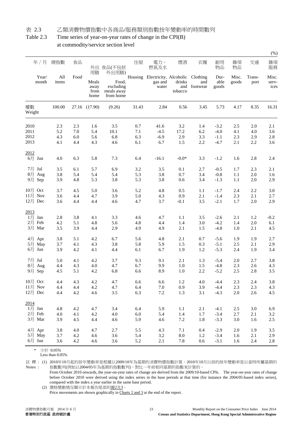#### 表 2.3 乙類消費物價指數中各商品/服務類別指數按年變動率的時間數列

#### Table 2.3 Time series of year-on-year rates of change in the CPI(B) at commodity/service section level

|              |                     |              |      |                               |                                               |         |                                                             |                   |                     |                       |                |                | (% )                   |
|--------------|---------------------|--------------|------|-------------------------------|-----------------------------------------------|---------|-------------------------------------------------------------|-------------------|---------------------|-----------------------|----------------|----------------|------------------------|
|              | 年/月                 | 總指數          | 食品   | 用膳                            | 外出 食品(不包括<br>外出用膳)                            | 住屋      | 電力、<br>燃氣及水                                                 | 煙酒                | 衣履                  | 耐用<br>物品              | 雜項<br>物品       | 交通             | 雜項<br>服務               |
|              | Year/<br>month      | All<br>items | Food | Meals<br>away<br>from<br>home | Food,<br>excluding<br>meals away<br>from home |         | Housing Electricity, Alcoholic Clothing<br>gas and<br>water | drinks<br>tobacco | and<br>and footwear | Dur-<br>able<br>goods | Misc.<br>goods | Trans-<br>port | Misc.<br>serv-<br>ices |
| 權數<br>Weight |                     | 100.00       |      | 27.16 (17.90)                 | (9.26)                                        | 31.43   | 2.84                                                        | 0.56              | 3.45                | 5.73                  | 4.17           | 8.35           | 16.31                  |
| 2010         |                     | 2.3          | 2.3  | 1.6                           | 3.5                                           | 0.7     | 41.6                                                        | 3.2               | 1.4                 | $-3.2$                | 2.5            | 2.0            | 2.1                    |
| 2011         |                     | 5.2          | 7.0  | 5.4                           | 10.1                                          | 7.1     | $-4.5$                                                      | 17.2              | 6.2                 | $-4.0$                | 4.1            | 4.0            | 3.6                    |
| 2012         |                     | 4.3          | 6.0  | 5.6                           | 6.8                                           | 6.3     | $-6.9$                                                      | 2.9               | 3.3                 | $-1.1$                | 2.3            | 2.9            | 2.8                    |
| 2013         |                     | 4.1          | 4.4  | 4.3                           | 4.6                                           | 6.1     | 6.7                                                         | 1.5               | 2.2                 | $-4.7$                | 2.1            | 2.2            | 3.6                    |
| 2012         |                     |              |      |                               |                                               |         |                                                             |                   |                     |                       |                |                |                        |
| 6月 Jun       |                     | 4.0          | 6.3  | 5.8                           | 7.3                                           | 6.4     | $-16.1$                                                     | $-0.0*$           | 3.3                 | $-1.2$                | 1.6            | 2.8            | 2.4                    |
| 7月 Jul       |                     | 3.5          | 6.1  | 5.7                           | 6.9                                           | 3.2     | 3.5                                                         | 0.1               | 2.7                 | $-0.5$                | 1.7            | 2.3            | 2.1                    |
| 8月           | Aug                 | 3.8          | 5.4  | 5.4                           | 5.4                                           | 5.3     | 3.8                                                         | 0.7               | 3.4                 | $-0.8$                | 1.1            | 2.0            | 1.6                    |
|              | 9月 Sep              | 3.9          | 4.8  | 5.3                           | 3.8                                           | 5.3     | 3.8                                                         | 0.6               | 3.4                 | $-1.3$                | 1.1            | 2.0            | 2.9                    |
| 10月 Oct      |                     | 3.7          | 4.5  | 5.0                           | 3.6                                           | 5.2     | 4.8                                                         | 0.5               | 1.1                 | $-1.7$                | 2.4            | 2.2            | 3.0                    |
| 11月 Nov      |                     | 3.6          | 4.4  | 4.7                           | 3.9                                           | 5.0     | 4.3                                                         | 0.9               | 2.1                 | $-1.4$                | 2.3            | 2.1            | 2.7                    |
| 12月 Dec      |                     | 3.6          | 4.4  | 4.4                           | 4.6                                           | 4.7     | 3.7                                                         | $-0.1$            | 3.5                 | $-2.1$                | 1.7            | 2.0            | 2.9                    |
| 2013         |                     |              |      |                               |                                               |         |                                                             |                   |                     |                       |                |                |                        |
| 1月           | Jan                 | 2.8          | 3.8  | 4.1                           | 3.3                                           | 4.6     | 4.7                                                         | 1.1               | 3.5                 | $-2.6$                | 2.1            | 1.2            | $-0.2$                 |
|              | 2月 Feb              | 4.2          | 5.1  | 4.8                           | 5.6                                           | 4.8     | 4.4                                                         | 1.4               | 3.0                 | $-4.2$                | 1.4            | $2.0\,$        | 6.1                    |
|              | 3月 Mar              | 3.5          | 3.9  | 4.4                           | 2.9                                           | 4.9     | 4.9                                                         | 2.1               | 1.5                 | $-4.8$                | 1.0            | 2.1            | 4.5                    |
|              | 4月 Apr              | 3.8          | 5.1  | 4.2                           | 6.7                                           | 5.6     | 4.8                                                         | 2.1               | 0.7                 | $-5.6$                | 1.9            | 1.9            | 2.7                    |
| 5月           | May                 | 3.7          | 4.1  | 4.3                           | 3.8                                           | 5.8     | 5.9                                                         | 1.5               | 0.3                 | $-5.1$                | 2.5            | 2.1            | 2.9                    |
|              | $6 \frac{1}{2}$ Jun | 3.9          | 4.2  | 4.1                           | 4.4                                           | 6.1     | 6.7                                                         | 1.9               | 1.2                 | $-5.3$                | 2.4            | 1.9            | 3.4                    |
| 7月 Jul       |                     | 5.0          | 4.1  | 4.2                           | 3.7                                           | 9.3     | 9.1                                                         | 2.1               | 1.3                 | $-5.4$                | 2.0            | 2.7            | 3.8                    |
| 8月           | Aug                 | 4.4          | 4.3  | 4.0                           | 4.7                                           | 6.7     | 9.9                                                         | 1.0               | 1.5                 | $-4.8$                | 2.3            | 2.6            | 4.3                    |
|              | 9月 Sep              | 4.5          | 5.1  | 4.2                           | 6.8                                           | 6.6     | 8.9                                                         | 1.0               | 2.2                 | $-5.2$                | 2.5            | 2.8            | 3.5                    |
| 10月 Oct      |                     | 4.4          | 4.3  | 4.2                           | 4.7                                           | 6.6     | 6.6                                                         | 1.2               | 4.0                 | $-4.4$                | 2.3            | 2.4            | 3.8                    |
| 11月 Nov      |                     | 4.4          | 4.4  | $4.2\,$                       | 4.7                                           | 6.4     | $7.0\,$                                                     | 0.9               | 3.9                 | $-4.4$                | 2.3            | 2.3            | 4.3                    |
| 12月 Dec      |                     | 4.4          | 4.2  | 4.6                           | $3.5$                                         | 6.3     | $7.2\,$                                                     | 1.3               | 3.1                 | $-4.3$                | $2.0\,$        | $2.6$          | 4.5                    |
| 2014         |                     |              |      |                               |                                               |         |                                                             |                   |                     |                       |                |                |                        |
| $1$ 月 Jan    |                     | 4.8          | 4.2  | 4.7                           | 3.4                                           | 6.4     | 5.9                                                         | $1.1\,$           | 2.1                 | $-4.1$                | 2.5            | 3.0            | 6.9                    |
|              | 2月 Feb              | 4.0          | 4.1  | 4.2                           | 4.0                                           | $6.0\,$ | 5.4                                                         | 1.4               | 1.7                 | $-3.4$                | 2.7            | 2.1            | $3.2\,$                |
|              | 3月 Mar              | 3.9          | 4.5  | 4.4                           | 4.6                                           | 5.9     | 4.6                                                         | 7.2               | 1.8                 | $-3.3$                | 3.0            | 1.6            | $2.5\,$                |
|              | 4月 Apr              | 3.8          | 4.0  | 4.7                           | 2.7                                           | 5.5     | 4.3                                                         | 7.1               | 0.4                 | $-2.9$                | 2.0            | 1.9            | $3.5$                  |
|              | 5月 May              | 3.7          | 4.2  | 4.6                           | 3.6                                           | 5.4     | 3.2                                                         | $\ \, 8.0$        | 1.2                 | $-3.4$                | 1.6            | 2.1            | 2.9                    |
|              | 6月 Jun              | 3.6          | 4.2  | 4.6                           | 3.6                                           | 5.2     | 2.1                                                         | 7.8               | $0.6\,$             | $-3.1$                | 1.6            | 2.4            | 2.8                    |

\* 少於 0.05%

註 釋 : (1) 2010年10月起的按年變動率是根據以2009/10年為基期的消費物價指數計算。2010年10月以前的按年變動率是以當時所屬基期的 Notes : 指數數列(例如以2004/05年為基期的指數數列),對比一年前相同基期的指數來計算的。

From October 2010 onwards, the year-on-year rates of change are derived from the 2009/10-based CPIs. The year-on-year rates of change before October 2010 were derived using the index series in the base periods at that time (for instance the 2004/05-based index series), compared with the index a year earlier in the same base period.

(2) 價格變動情況顯示於本報告尾部的圖2及3。

Less than 0.05%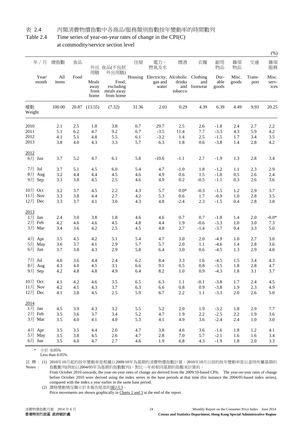#### 表 2.4 丙類消費物價指數中各商品/服務類別指數按年變動率的時間數列

#### Table 2.4 Time series of year-on-year rates of change in the CPI(C) at commodity/service section level

|                     |                |              |       |                               |                                               |       |                                                             |                   |                     |                       |                |                | (% )                   |
|---------------------|----------------|--------------|-------|-------------------------------|-----------------------------------------------|-------|-------------------------------------------------------------|-------------------|---------------------|-----------------------|----------------|----------------|------------------------|
|                     | 年/月            | 總指數          | 食品    | 用膳                            | 外出 食品(不包括<br>外出用膳)                            | 住屋    | 電力、<br>燃氣及水                                                 | 煙酒                | 衣履                  | 耐用<br>物品              | 雜項<br>物品       | 交通             | 雜項<br>服務               |
|                     | Year/<br>month | All<br>items | Food  | Meals<br>away<br>from<br>home | Food,<br>excluding<br>meals away<br>from home |       | Housing Electricity, Alcoholic Clothing<br>gas and<br>water | drinks<br>tobacco | and<br>and footwear | Dur-<br>able<br>goods | Misc.<br>goods | Trans-<br>port | Misc.<br>serv-<br>ices |
| 權數<br>Weight        |                | 100.00       |       | 20.87 (13.55)                 | (7.32)                                        | 31.36 | 2.03                                                        | 0.29              | 4.39                | 6.39                  | 4.49           | 9.93           | 20.25                  |
| 2010                |                | 2.1          | 2.5   | 1.8                           | 3.8                                           | 0.7   | 29.7                                                        | 2.5               | 2.6                 | $-1.8$                | 2.4            | 2.7            | 2.2                    |
| 2011                |                | 5.1          | 6.2   | 4.7                           | 9.2                                           | 6.7   | $-3.5$                                                      | 11.4              | 7.7                 | $-3.3$                | 4.3            | 5.9            | 4.2                    |
| 2012                |                | 4.1          | 5.1   | 4.8                           | 5.5                                           | 6.1   | $-3.2$                                                      | 1.4               | 2.5                 | $-1.5$                | 1.7            | 3.4            | $3.5\,$                |
| 2013                |                | 3.8          | 4.0   | 4.3                           | 3.3                                           | 5.7   | 6.3                                                         | 1.8               | 0.6                 | $-3.8$                | 1.4            | 2.8            | 4.2                    |
| 2012                |                |              |       |                               |                                               |       |                                                             |                   |                     |                       |                |                |                        |
| 6月 Jun              |                | 3.7          | 5.2   | 4.7                           | 6.1                                           | 5.8   | $-10.6$                                                     | $-1.1$            | 2.7                 | $-1.9$                | 1.3            | 2.8            | 3.4                    |
| 7月 Jul              |                | 3.7          | 5.1   | 4.5                           | 6.0                                           | 5.4   | 4.7                                                         | $-1.0$            | 1.8                 | $-1.2$                | 1.1            | 2.3            | 2.9                    |
| 8月                  | Aug            | 3.2          | 4.4   | 4.4                           | 4.5                                           | 4.6   | 4.9                                                         | 0.6               | 1.5                 | $-1.8$                | 0.5            | 2.6            | 2.4                    |
| 9月 Sep              |                | 3.3          | 3.8   | 4.5                           | 2.5                                           | 4.6   | 4.9                                                         | 0.2               | $-0.5$              | $-1.1$                | 0.3            | 2.6            | 3.6                    |
| 10月 Oct             |                | 3.2          | 3.7   | 4.5                           | 2.2                                           | 4.3   | 5.7                                                         | $0.0*$            | $-0.3$              | $-1.5$                | 1.2            | 2.9            | 3.7                    |
| 11月 Nov             |                | 3.3          | 3.8   | 4.4                           | 2.7                                           | 4.2   | 5.3                                                         | 0.6               | 1.7                 | $-0.9$                | 1.0            | 2.8            | 3.5                    |
| 12月 Dec             |                | 3.3          | 3.7   | 4.1                           | 3.0                                           | 4.3   | 4.8                                                         | $-2.4$            | 2.3                 | $-1.5$                | 0.4            | 2.8            | 3.8                    |
| 2013                |                |              |       |                               |                                               |       |                                                             |                   |                     |                       |                |                |                        |
| 1月                  | Jan            | 2.4          | 3.0   | 3.8                           | 1.8                                           | 4.6   | 4.6                                                         | 0.7               | 0.7                 | $-1.8$                | 1.4            | 2.0            | $-0.0*$                |
| 2月 Feb              |                | 4.2          | 4.6   | 4.6                           | 4.5                                           | 4.8   | 4.4                                                         | 1.9               | $-0.6$              | $-3.3$                | 1.0            | 3.0            | 7.3                    |
| 3月 Mar              |                | 3.4          | 3.6   | 4.2                           | 2.5                                           | 4.5   | 4.8                                                         | 2.7               | $-1.4$              | $-3.7$                | 0.4            | 3.3            | 5.0                    |
|                     | 4月 Apr         | 3.5          | 4.5   | 4.2                           | 5.1                                           | 5.4   | 4.7                                                         | 3.0               | 2.0                 | $-4.9$                | 1.0            | 2.7            | 3.0                    |
| 5月                  | May            | 3.6          | 3.7   | 4.1                           | 2.9                                           | 5.7   | 5.7                                                         | 2.0               | 1.1                 | $-4.6$                | 1.4            | 2.8            | 3.6                    |
| $6 \frac{1}{2}$ Jun |                | 3.7          | 3.8   | 4.3                           | 2.9                                           | 5.8   | 6.4                                                         | 3.0               | 0.6                 | $-4.5$                | 1.3            | 2.9            | 4.0                    |
| 7月 Jul              |                | 4.0          | 3.6   | 4.4                           | 2.4                                           | 6.2   | 8.4                                                         | 3.3               | 1.6                 | $-4.5$                | 1.5            | 3.4            | 4.3                    |
| 8月                  | Aug            | 4.3          | 4.0   | 4.5                           | 3.1                                           | 6.6   | 9.1                                                         | 0.5               | 0.8                 | $-3.5$                | 1.8            | 2.8            | 4.7                    |
| 9月 Sep              |                | 4.2          | 4.8   | 4.8                           | 4.9                                           | 6.4   | 8.2                                                         | 1.0               | 0.9                 | $-4.3$                | 1.8            | 3.1            | 3.7                    |
| 10月 Oct             |                | 4.1          | 4.2   | 4.6                           | 3.5                                           | 6.5   | 6.3                                                         | 1.1               | $-0.1$              | $-3.8$                | 1.7            | 2.4            | 4.5                    |
| $11$ 月 Nov          |                | $4.2\,$      | 4.1   | 4.3                           | 3.7                                           | 6.3   | 6.6                                                         | $\rm 0.8$         | $0.9\,$             | $-3.8$                | 1.9            | 2.3            | 4.9                    |
| 12月 Dec             |                | 4.1          | 3.8   | 4.5                           | $2.5\,$                                       | 5.9   | 6.7                                                         | $2.2\,$           | $1.1\,$             | $-3.3$                | $2.0\,$        | $2.6$          | 5.0                    |
| 2014                |                |              |       |                               |                                               |       |                                                             |                   |                     |                       |                |                |                        |
| $1$ 月 Jan           |                | 4.5          | 3.9   | 4.3                           | 3.2                                           | 5.5   | 5.2                                                         | 2.0               | 1.9                 | $-3.2$                | 1.8            | 2.9            | 7.7                    |
| 2月 Feb              |                | 3.5          | 3.6   | 3.7                           | 3.4                                           | 5.2   | 4.7                                                         | 1.9               | 2.2                 | $-2.5$                | 2.2            | 1.9            | $3.6$                  |
|                     | 3月 Mar         | 3.5          | 4.0   | 4.1                           | $4.0$                                         | 5.3   | 4.1                                                         | 4.9               | 3.6                 | $-2.4$                | 2.4            | 1.0            | $3.0\,$                |
| 4月 Apr              |                | $3.5$        | $3.5$ | 4.4                           | 2.0                                           | 4.7   | 3.8                                                         | 4.6               | 3.6                 | $-1.6$                | 1.8            | 1.2            | 4.1                    |
|                     | 5月 May         | 3.5          | 3.8   | 4.5                           | $2.6\,$                                       | 4.7   | $2.8\,$                                                     | $7.0\,$           | 5.7                 | $-2.1$                | 1.6            | 1.6            | 3.4                    |
| 6月 Jun              |                | 3.5          | 4.0   | 4.7                           | 2.7                                           | 4.6   | 1.9                                                         | 6.8               | 4.3                 | $-1.9$                | 1.8            | $2.0\,$        | 3.3                    |

\* 少於 0.05%

註 釋 : (1) 2010年10月起的按年變動率是根據以2009/10年為基期的消費物價指數計算。2010年10月以前的按年變動率是以當時所屬基期的 Notes : 指數數列(例如以2004/05年為基期的指數數列),對比一年前相同基期的指數來計算的。

From October 2010 onwards, the year-on-year rates of change are derived from the 2009/10-based CPIs. The year-on-year rates of change before October 2010 were derived using the index series in the base periods at that time (for instance the 2004/05-based index series), compared with the index a year earlier in the same base period.

(2) 價格變動情況顯示於本報告尾部的圖2及3。

Less than 0.05%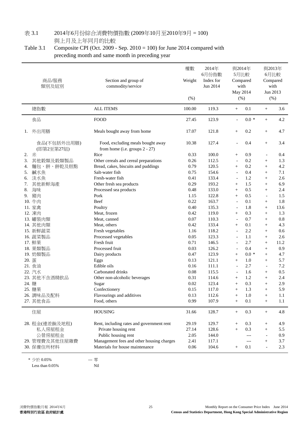#### 表 3.1 2014年6月份綜合消費物價指數 (2009年10月至2010年9月 = 100) 與上月及上年同月的比較

Table 3.1 Composite CPI (Oct. 2009 - Sep. 2010 = 100) for June 2014 compared with preceding month and same month in preceding year

|    | 商品/服務<br>類別及組別            | Section and group of<br>commodity/service                           | 權數<br>Weight<br>(% ) | 2014年<br>6月份指數<br>Index for<br>Jun 2014 | 與2014年<br>5月比較<br>Compared<br>with<br>May 2014<br>(%) |         |                          | 與2013年<br>6月比較<br>Compared<br>with<br>Jun 2013<br>(%) |
|----|---------------------------|---------------------------------------------------------------------|----------------------|-----------------------------------------|-------------------------------------------------------|---------|--------------------------|-------------------------------------------------------|
|    | 總指數                       | <b>ALL ITEMS</b>                                                    | 100.00               | 119.3                                   | $+$                                                   | 0.1     | $^{+}$                   | 3.6                                                   |
|    | 食品                        | FOOD                                                                | 27.45                | 123.9                                   | $\overline{\phantom{a}}$                              | $0.0 *$ | $^{+}$                   | 4.2                                                   |
| 1. | 外出用膳                      | Meals bought away from home                                         | 17.07                | 121.8                                   | $^{+}$                                                | 0.2     | $^{+}$                   | 4.7                                                   |
|    | 食品(不包括外出用膳)<br>(即第2至第27組) | Food, excluding meals bought away<br>from home (i.e. groups 2 - 27) | 10.38                | 127.4                                   | $\overline{\phantom{a}}$                              | 0.4     | $^{+}$                   | 3.4                                                   |
| 2. | 米                         | Rice                                                                | 0.33                 | 100.0                                   | $^{+}$                                                | 0.9     | $\blacksquare$           | 0.4                                                   |
| 3. | 其他穀類及穀類製品                 | Other cereals and cereal preparations                               | 0.26                 | 112.5                                   | $\blacksquare$                                        | 0.2     | $^{+}$                   | 1.3                                                   |
| 4. | 麵包、餅、餅乾及糕點                | Bread, cakes, biscuits and puddings                                 | 0.79                 | 120.5                                   | $^{+}$                                                | 0.2     | $^{+}$                   | 4.2                                                   |
| 5. | 鹹水魚                       | Salt-water fish                                                     | 0.75                 | 154.6                                   | $\blacksquare$                                        | 0.4     | $+$                      | 7.1                                                   |
| 6. | 淡水魚                       | Fresh-water fish                                                    | 0.41                 | 133.4                                   | $\overline{\phantom{a}}$                              | 1.2     | $^{+}$                   | 2.6                                                   |
| 7. | 其他新鮮海產                    | Other fresh sea products                                            | 0.29                 | 193.2                                   | $^{+}$                                                | 1.5     | $^{+}$                   | 6.9                                                   |
| 8. | 海味                        | Processed sea products                                              | 0.48                 | 133.0                                   | $\! + \!\!\!\!$                                       | 0.5     | $^{+}$                   | 2.4                                                   |
| 9. | 豬肉                        | Pork                                                                | 1.15                 | 122.8                                   | $^{+}$                                                | 0.5     | $\overline{\phantom{a}}$ | 1.5                                                   |
|    | 10. 牛肉                    | Beef                                                                | 0.22                 | 163.7                                   | $\blacksquare$                                        | 0.1     | $+$                      | 1.8                                                   |
|    | 11. 家禽                    | Poultry                                                             | 0.40                 | 135.3                                   | $\overline{\phantom{a}}$                              | 1.8     | $+$                      | 13.6                                                  |
|    | 12. 凍肉                    | Meat, frozen                                                        | 0.42                 | 119.0                                   | $+$                                                   | 0.3     | $+$                      | 1.3                                                   |
|    | 13. 罐装肉類                  | Meat, canned                                                        | 0.07                 | 110.3                                   | $\overline{a}$                                        | 0.7     |                          | $0.8\,$                                               |
|    |                           |                                                                     |                      |                                         |                                                       |         | $^{+}$                   |                                                       |
|    | 14. 其他肉類                  | Meat, others                                                        | 0.42                 | 133.4                                   | $^{+}$                                                | 0.1     | $^{+}$                   | 4.3                                                   |
|    | 15. 新鮮蔬菜                  | Fresh vegetables                                                    | 1.16                 | 118.2                                   | $\overline{\phantom{a}}$                              | 2.2     | $^{+}$                   | 0.6                                                   |
|    | 16. 蔬菜製品                  | Processed vegetables                                                | 0.05                 | 123.3                                   | $\overline{\phantom{a}}$                              | 1.1     | $^{+}$                   | 2.6                                                   |
|    | 17. 鮮果                    | Fresh fruit                                                         | 0.71                 | 146.5                                   | $\blacksquare$                                        | 2.7     | $^{+}$                   | 11.2                                                  |
|    | 18. 果類製品                  | Processed fruit                                                     | 0.03                 | 126.2                                   | $\overline{\phantom{m}}$                              | 0.4     | $\! + \!\!\!\!$          | 0.9                                                   |
|    | 19. 奶類製品                  | Dairy products                                                      | 0.47                 | 123.9                                   | $^{+}$                                                | $0.0 *$ | $^{+}$                   | 4.7                                                   |
|    | 20. 蛋                     | Eggs                                                                | 0.13                 | 121.1                                   | $^{+}$                                                | 1.0     | $^{+}$                   | 5.7                                                   |
|    | 21. 食油                    | Edible oils                                                         | 0.16                 | 111.1                                   | $\overline{\phantom{a}}$                              | 2.7     | $\blacksquare$           | 7.2                                                   |
|    | 22. 汽水                    | Carbonated drinks                                                   | 0.08                 | 115.5                                   | $\overline{\phantom{a}}$                              | 1.6     | $^{+}$                   | 0.5                                                   |
|    | 23. 其他不含酒精飲品              | Other non-alcoholic beverages                                       | 0.31                 | 114.6                                   | $\! + \!\!\!\!$                                       | 1.2     | $\! + \!\!\!\!$          | 2.4                                                   |
|    | 24. 糖                     | Sugar                                                               | 0.02                 | 123.4                                   | $^{+}$                                                | 0.3     | $+$                      | 2.9                                                   |
|    | 25. 糖果                    | Confectionery                                                       | 0.15                 | 117.0                                   |                                                       | 1.3     |                          | 5.9                                                   |
|    | 26. 調味品及配料                | Flavourings and additives                                           | 0.13                 | 112.6                                   | $^{+}$                                                | 1.0     | $^{+}$                   | 1.1                                                   |
|    | 27. 其他食品                  | Food, others                                                        | 0.99                 | 107.9                                   | $^{+}$                                                | 0.1     | $^{+}$                   | 1.1                                                   |
|    | 住屋                        | <b>HOUSING</b>                                                      | 31.66                | 128.7                                   | $\! + \!\!\!\!$                                       | 0.3     | $^{+}$                   | 4.8                                                   |
|    | 28. 租金(連差餉及地租)            | Rent, including rates and government rent                           | 29.19                | 129.7                                   | $^{+}$                                                | 0.3     | $^{+}$                   | 4.9                                                   |
|    | 私人房屋租金                    | Private housing rent                                                | 27.14                | 128.6                                   | $^{+}$                                                | 0.3     | $^{+}$                   | 5.5                                                   |
|    | 公營房屋租金                    | Public housing rent                                                 | 2.05                 | 144.0                                   |                                                       | $---$   | $\overline{a}$           | 0.9                                                   |
|    | 29. 管理費及其他住屋雜費            | Management fees and other housing charges                           | 2.41                 | 117.1                                   |                                                       | $---$   | $^{+}$                   | 3.7                                                   |
|    | 30. 保養住所材料                | Materials for house maintenance                                     | 0.06                 | 104.6                                   | $+$                                                   | 0.1     | $\overline{a}$           | 2.3                                                   |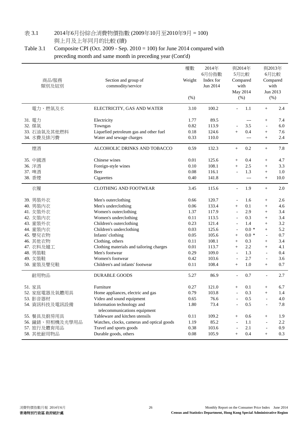# 表 3.1 2014年6月份綜合消費物價指數 (2009年10月至2010年9月 = 100)

與上月及上年同月的比較 (續)

Table 3.1 Composite CPI (Oct. 2009 - Sep. 2010 = 100) for June 2014 compared with preceding month and same month in preceding year (Cont'd)

| 商品/服務<br>類別及組別                                                                                                                                        | Section and group of<br>commodity/service                                                                                                                                                                                                                                                                                                   | 權數<br>Weight<br>(% )                                                                                     | 2014年<br>6月份指數<br>Index for<br>Jun 2014                                                                          |                                                                                                                                                                                                                                                 | 與2014年<br>5月比較<br>Compared<br>with<br>May 2014<br>(%)                                           |                                                                                                                                                                  | 與2013年<br>6月比較<br>Compared<br>with<br>Jun 2013<br>(% )                                  |
|-------------------------------------------------------------------------------------------------------------------------------------------------------|---------------------------------------------------------------------------------------------------------------------------------------------------------------------------------------------------------------------------------------------------------------------------------------------------------------------------------------------|----------------------------------------------------------------------------------------------------------|------------------------------------------------------------------------------------------------------------------|-------------------------------------------------------------------------------------------------------------------------------------------------------------------------------------------------------------------------------------------------|-------------------------------------------------------------------------------------------------|------------------------------------------------------------------------------------------------------------------------------------------------------------------|-----------------------------------------------------------------------------------------|
| 電力、燃氣及水                                                                                                                                               | ELECTRICITY, GAS AND WATER                                                                                                                                                                                                                                                                                                                  | 3.10                                                                                                     | 100.2                                                                                                            |                                                                                                                                                                                                                                                 | 1.1                                                                                             | $^{+}$                                                                                                                                                           | 2.4                                                                                     |
| 31. 電力<br>32. 煤氣<br>33. 石油氣及其他燃料<br>34. 水費及排污費                                                                                                        | Electricity<br>Towngas<br>Liquefied petroleum gas and other fuel<br>Water and sewage charges                                                                                                                                                                                                                                                | 1.77<br>0.82<br>0.18<br>0.33                                                                             | 89.5<br>113.9<br>124.6<br>110.0                                                                                  | $+$                                                                                                                                                                                                                                             | $---$<br>3.5<br>0.4<br>$---$                                                                    | $^{+}$<br>$\blacksquare$<br>$^{+}$<br>$^{+}$                                                                                                                     | 7.4<br>6.0<br>7.6<br>2.4                                                                |
| 煙酒                                                                                                                                                    | ALCOHOLIC DRINKS AND TOBACCO                                                                                                                                                                                                                                                                                                                | 0.59                                                                                                     | 132.3                                                                                                            | $\boldsymbol{+}$                                                                                                                                                                                                                                | 0.2                                                                                             | $^{+}$                                                                                                                                                           | 7.8                                                                                     |
| 35. 中國酒<br>36. 洋酒<br>37. 啤酒<br>38. 香煙                                                                                                                 | Chinese wines<br>Foreign-style wines<br>Beer<br>Cigarettes                                                                                                                                                                                                                                                                                  | 0.01<br>0.10<br>0.08<br>0.40                                                                             | 125.6<br>108.1<br>116.1<br>141.8                                                                                 | $^{+}$<br>$^{+}$<br>$\blacksquare$                                                                                                                                                                                                              | 0.4<br>2.5<br>1.3<br>$---$                                                                      | $^{+}$<br>$^{+}$<br>$^{+}$<br>$^{+}$                                                                                                                             | 4.7<br>3.3<br>1.0<br>10.0                                                               |
| 衣履                                                                                                                                                    | <b>CLOTHING AND FOOTWEAR</b>                                                                                                                                                                                                                                                                                                                | 3.45                                                                                                     | 115.6                                                                                                            | $\overline{\phantom{a}}$                                                                                                                                                                                                                        | 1.9                                                                                             | $^{+}$                                                                                                                                                           | 2.0                                                                                     |
| 39. 男裝外衣<br>40. 男裝內衣<br>41. 女裝外衣<br>42. 女装内衣<br>43. 童裝外衣<br>44. 童裝內衣<br>45. 嬰兒衣物<br>46. 其他衣物<br>47. 衣料及縫工<br>48. 男裝鞋<br>49. 女装鞋<br>50. 童装及嬰兒鞋<br>耐用物品 | Men's outerclothing<br>Men's underclothing<br>Women's outerclothing<br>Women's underclothing<br>Children's outerclothing<br>Children's underclothing<br>Infants' clothing<br>Clothing, others<br>Clothing materials and tailoring charges<br>Men's footwear<br>Women's footwear<br>Children's and infants' footwear<br><b>DURABLE GOODS</b> | 0.66<br>0.06<br>1.37<br>0.11<br>0.23<br>0.03<br>0.05<br>0.11<br>$0.01\,$<br>0.29<br>0.42<br>0.11<br>5.27 | 120.7<br>133.4<br>117.9<br>113.5<br>121.4<br>125.6<br>105.6<br>108.1<br>113.7<br>109.0<br>103.6<br>108.4<br>86.9 | $\overline{\phantom{a}}$<br>$^{+}$<br>$\overline{a}$<br>$\blacksquare$<br>$\overline{\phantom{a}}$<br>$\overline{\phantom{a}}$<br>$\! + \!\!\!\!$<br>$^{+}$<br>$^{+}$<br>$\blacksquare$<br>$\overline{\phantom{a}}$<br>$^{+}$<br>$\overline{a}$ | 1.6<br>0.1<br>2.9<br>0.3<br>1.4<br>$0.0 *$<br>$0.0 *$<br>0.3<br>2.2<br>1.3<br>2.7<br>1.0<br>0.7 | $^{+}$<br>$^{+}$<br>$^{+}$<br>$^{+}$<br>$^{+}$<br>$^{+}$<br>$\overline{a}$<br>$^{+}$<br>$^{+}$<br>$\overline{\phantom{a}}$<br>$\overline{\phantom{a}}$<br>$^{+}$ | 2.6<br>4.6<br>3.4<br>3.4<br>3.2<br>5.2<br>0.7<br>3.4<br>4.1<br>0.4<br>3.6<br>0.7<br>2.7 |
|                                                                                                                                                       |                                                                                                                                                                                                                                                                                                                                             |                                                                                                          |                                                                                                                  |                                                                                                                                                                                                                                                 |                                                                                                 |                                                                                                                                                                  |                                                                                         |
| 51. 家具<br>52. 家庭電器及氣體用具<br>53. 影音器材<br>54. 資訊科技及電訊設備<br>55. 餐具及廚房用具                                                                                   | Furniture<br>Home appliances, electric and gas<br>Video and sound equipment<br>Information technology and<br>telecommunications equipment<br>Tableware and kitchen utensils                                                                                                                                                                 | 0.27<br>0.79<br>0.65<br>1.80<br>0.11                                                                     | 121.0<br>103.8<br>76.6<br>73.4<br>109.2                                                                          | $\! + \!\!\!\!$<br>$\overline{a}$<br>$\! + \!\!\!\!$                                                                                                                                                                                            | 0.1<br>0.3<br>0.5<br>0.5<br>0.6                                                                 | $^{+}$<br>$^{+}$<br>$\overline{\phantom{a}}$<br>$^{+}$                                                                                                           | 6.7<br>1.4<br>4.0<br>7.8<br>1.9                                                         |
| 56. 鐘錶、照相機及光學用品<br>57. 旅行及體育用品<br>58. 其他耐用物品                                                                                                          | Watches, clocks, cameras and optical goods<br>Travel and sports goods<br>Durable goods, others                                                                                                                                                                                                                                              | 1.19<br>0.38<br>0.08                                                                                     | 85.2<br>103.6<br>105.9                                                                                           | $\overline{\phantom{a}}$<br>$^{+}$                                                                                                                                                                                                              | 1.1<br>2.1<br>0.4                                                                               | $\overline{a}$<br>$\overline{a}$<br>$^{+}$                                                                                                                       | 2.2<br>0.9<br>0.3                                                                       |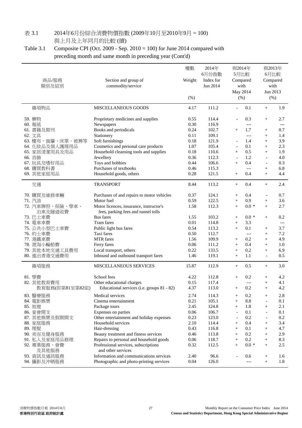# 表 3.1 2014年6月份綜合消費物價指數 (2009年10月至2010年9月 = 100)

與上月及上年同月的比較 (續)

Table 3.1 Composite CPI (Oct. 2009 - Sep. 2010 = 100) for June 2014 compared with preceding month and same month in preceding year (Cont'd)

| 商品/服務<br>類別及組別                            | Section and group of<br>commodity/service                                                   | 權數<br>Weight<br>$(\% )$ | 2014年<br>6月份指數<br>Index for<br>Jun 2014 | 與2014年<br>5月比較<br>Compared                           | with<br>May 2014<br>$(\%)$ | with<br>Jun 2013                   | 與2013年<br>6月比較<br>Compared<br>(%) |
|-------------------------------------------|---------------------------------------------------------------------------------------------|-------------------------|-----------------------------------------|------------------------------------------------------|----------------------------|------------------------------------|-----------------------------------|
| 雜項物品                                      | <b>MISCELLANEOUS GOODS</b>                                                                  | 4.17                    | 111.2                                   | $\overline{a}$                                       | 0.1                        | $^{+}$                             | 1.9                               |
| 59. 藥物<br>60. 報紙<br>61. 書籍及期刊             | Proprietary medicines and supplies<br>Newspapers<br>Books and periodicals                   | 0.55<br>0.30<br>0.24    | 114.4<br>116.9<br>102.7                 | $\blacksquare$<br>$^{+}$                             | 0.3<br>$---$<br>1.7        | $^{+}$<br>$^{+}$                   | 2.7<br>$---$<br>0.7               |
| 62. 文具<br>63. 檯布、窗簾、床單、被褥等                | Stationery<br>Soft furnishings                                                              | 0.11<br>0.18            | 109.1<br>121.9                          | $\overline{\phantom{a}}$                             | $---$<br>1.4               | $^{+}$<br>$^{+}$                   | 1.4<br>3.9                        |
| 64. 化妝品及個人護理用品<br>65. 家居清潔用具及用品<br>66. 首飾 | Cosmetics and personal care products<br>Household cleansing tools and supplies<br>Jewellery | 1.07<br>0.18<br>0.36    | 105.4<br>110.6<br>112.3                 | $\overline{\phantom{a}}$<br>$^{+}$<br>$\blacksquare$ | 0.1<br>0.5<br>1.2          | $^{+}$<br>$^{+}$<br>$\overline{a}$ | 2.3<br>1.9<br>4.0                 |
| 67. 玩具及嗜好用品<br>68. 購買教科書                  | Toys and hobbies<br>Purchases of textbooks                                                  | 0.44<br>0.46            | 106.6<br>115.3                          | $^{+}$                                               | 0.4<br>$---$               | $\overline{a}$<br>$^{+}$           | 0.3<br>6.8                        |
| 69. 其他家庭用品                                | Household goods, others                                                                     | 0.28                    | 121.5                                   | $^{+}$                                               | 0.4                        | $^{+}$                             | 4.4<br>2.4                        |
| 交通                                        | <b>TRANSPORT</b>                                                                            | 8.44                    | 113.2                                   | $+$                                                  | 0.4                        | $^{+}$                             |                                   |
| 70. 購買及維修車輛                               | Purchases of and repairs to motor vehicles                                                  | 0.37                    | 124.1                                   | $\! + \!\!\!\!$                                      | 0.4                        | $\blacksquare$                     | 0.7                               |
| 71. 汽油                                    | Motor fuel                                                                                  | 0.59                    | 122.5                                   | $^{+}$                                               | 0.9<br>$0.0 *$             | $^{+}$                             | 3.6<br>2.7                        |
| 72. 汽車牌照、保險、學車、<br>泊車及隧道收費                | Motor licences, insurance, instructor's<br>fees, parking fees and tunnel tolls              | 1.58                    | 112.3                                   | $^{+}$                                               |                            | $^{+}$                             |                                   |
| 73. 巴士車費                                  | <b>Bus</b> fares                                                                            | 1.55                    | 103.2                                   | $^{+}$                                               | $0.0 *$                    | $^{+}$                             | 0.2                               |
| 74. 電車車費                                  | Tram fares                                                                                  | 0.01                    | 114.8                                   | $^{+}$                                               | 3.3                        |                                    | $---$                             |
| 75. 公共小型巴士車費                              | Public light bus fares                                                                      | 0.54                    | 113.2                                   | $^{+}$                                               | 0.1                        | $\! + \!\!\!\!$                    | 3.7                               |
| 76. 的士車費                                  | Taxi fares<br><b>MTR</b> fares                                                              | 0.50<br>1.56            | 112.7<br>109.9                          |                                                      | $---$<br>0.2               | $^{+}$                             | 7.2<br>4.9                        |
| 77. 港鐵車費<br>78. 渡海小輪船費                    | Ferry fares                                                                                 | 0.06                    | 111.2                                   | $\! + \!\!\!\!$<br>$^{+}$                            | 0.4                        | $^{+}$<br>$+$                      | 1.0                               |
| 79. 其他本地交通工具費用                            | Local transport, others                                                                     | 0.22                    | 133.5                                   | $^{+}$                                               | 0.2                        | $\! + \!\!\!\!$                    | 6.9                               |
| 80. 進出香港交通費用                              | Inbound and outbound transport fares                                                        | 1.46                    | 119.1                                   | $^{+}$                                               | 1.1                        | $\overline{a}$                     | 0.5                               |
|                                           |                                                                                             | 15.87                   | 112.9                                   |                                                      | 0.5                        |                                    | 3.0                               |
| 雜項服務                                      | <b>MISCELLANEOUS SERVICES</b>                                                               |                         |                                         | $^{+}$                                               |                            | $^{+}$                             |                                   |
| 81. 學費                                    | School fees                                                                                 | 4.22                    | 112.8                                   | $\! + \!\!\!\!$                                      | 0.2                        | $^{+}$                             | 4.2                               |
| 82. 其他教育費用                                | Other educational charges                                                                   | 0.15                    | 117.4                                   |                                                      | $---$                      | $^{+}$                             | 4.1                               |
| 教育服務(即第81至第82組)                           | Educational services (i.e. groups 81 - 82)                                                  | 4.37                    | 113.0                                   | $\! + \!\!\!\!$                                      | 0.2                        | $^{+}$                             | 4.2                               |
| 83. 醫療服務                                  | Medical services                                                                            | 2.74                    | 114.3                                   | $\! + \!\!\!\!$                                      | 0.2                        | $^{+}$                             | 2.8                               |
| 84. 電影娛樂                                  | Cinema entertainment                                                                        | 0.21                    | 105.1                                   | $^{+}$                                               | 8.8                        | $\overline{a}$                     | 0.1                               |
| 85. 旅遊                                    | Package tours                                                                               | 2.45                    | 124.8                                   | $^{+}$                                               | 1.8                        | $^{+}$                             | 2.1                               |
| 86. 宴會開支                                  | Expenses on parties                                                                         | 0.06                    | 106.7                                   | $\overline{\phantom{a}}$                             | 0.1                        | $\overline{\phantom{a}}$           | 0.1                               |
| 87. 其他娛樂及假期開支                             | Other entertainment and holiday expenses                                                    | 0.23                    | 123.0                                   | $\overline{\phantom{a}}$                             | 0.2                        | $\qquad \qquad -$                  | $0.2\,$                           |
| 88. 家庭服務                                  | Household services                                                                          | 2.10                    | 114.4                                   | $\! + \!\!\!\!$                                      | 0.4                        | $^{+}$                             | 3.4                               |
| 89. 理髮                                    | Hair-dressing                                                                               | 0.43                    | 116.8                                   | $^{+}$                                               | 0.1                        | $^{+}$                             | 4.7                               |
| 90. 美容及健身服務                               | Beauty treatment and fitness services                                                       | 0.46                    | 113.8                                   | $\! + \!\!\!\!$                                      | 0.2                        |                                    | 2.9                               |
| 91. 私人及家庭用品修理                             | Repairs to personal and household goods                                                     | 0.06                    | 118.7                                   | $^{+}$                                               | 0.2                        | $^{+}$                             | 8.3                               |
| 92. 專業服務、會費<br>及其他服務                      | Professional services, subscriptions<br>and other services                                  | 0.32                    | 112.5                                   | $^{+}$                                               | $0.0*$                     | $^{+}$                             | $2.5\,$                           |
| 93. 資訊及通訊服務                               | Information and communications services                                                     | 2.40                    | 96.6                                    | $\overline{a}$                                       | 0.6                        | $^{+}$                             | 1.6                               |
| 94. 攝影及沖晒服務                               | Photographic and photo-printing services                                                    | 0.04                    | 126.0                                   |                                                      | $---$                      | $^{+}$                             | 1.8                               |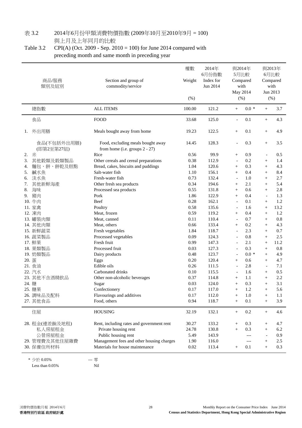# 表 3.2 2014年6月份甲類消費物價指數 (2009年10月至2010年9月 = 100)

與上月及上年同月的比較

### Table 3.2 CPI(A) (Oct. 2009 - Sep. 2010 = 100) for June 2014 compared with preceding month and same month in preceding year

| 商品/服務<br>類別及組別            | Section and group of<br>commodity/service                           | 權數<br>Weight<br>(%) | 2014年<br>6月份指數<br>Index for<br>Jun 2014 |                                  | 與2014年<br>5月比較<br>Compared<br>with<br>May 2014<br>(%) |                          | 與2013年<br>6月比較<br>Compared<br>with<br>Jun 2013<br>(% ) |
|---------------------------|---------------------------------------------------------------------|---------------------|-----------------------------------------|----------------------------------|-------------------------------------------------------|--------------------------|--------------------------------------------------------|
| 總指數                       | <b>ALL ITEMS</b>                                                    | 100.00              | 121.2                                   | $^{+}$                           | $0.0 *$                                               | $\qquad \qquad +$        | 3.7                                                    |
| 食品                        | <b>FOOD</b>                                                         | 33.68               | 125.0                                   | $\overline{\phantom{a}}$         | 0.1                                                   | $^{+}$                   | 4.3                                                    |
| 外出用膳<br>1.                | Meals bought away from home                                         | 19.23               | 122.5                                   | $^{+}$                           | 0.1                                                   | $^{+}$                   | 4.9                                                    |
| 食品(不包括外出用膳)<br>(即第2至第27組) | Food, excluding meals bought away<br>from home (i.e. groups 2 - 27) | 14.45               | 128.3                                   |                                  | 0.3                                                   | $^{+}$                   | 3.5                                                    |
| 米<br>2.                   | Rice                                                                | 0.56                | 99.9                                    | $^{+}$                           | 0.9                                                   | $\overline{a}$           | 0.5                                                    |
| 其他穀類及穀類製品<br>3.           | Other cereals and cereal preparations                               | 0.38                | 112.9                                   | $\overline{\phantom{a}}$         | 0.2                                                   | $^{+}$                   | 1.4                                                    |
| 麵包、餅、餅乾及糕點<br>4.          | Bread, cakes, biscuits and puddings                                 | 1.04                | 120.6                                   | $\! + \!\!\!\!$                  | 0.3                                                   | $+$                      | 4.3                                                    |
| 鹹水魚<br>5.                 | Salt-water fish                                                     | 1.10                | 156.1                                   | $^{+}$                           | 0.4                                                   | $^{+}$                   | 8.4                                                    |
| 淡水魚<br>6.                 | Fresh-water fish                                                    | 0.73                | 132.4                                   | $\overline{\phantom{a}}$         | 1.0                                                   | $^{+}$                   | 2.7                                                    |
| 其他新鮮海產<br>7.              | Other fresh sea products                                            | 0.34                | 194.6                                   | $+$                              | 2.1                                                   | $+$                      | 5.4                                                    |
| 海味<br>8.                  | Processed sea products                                              | 0.55                | 131.8                                   | $^{+}$                           | 0.6                                                   | $^{+}$                   | 2.8                                                    |
| 豬肉<br>9.                  | Pork                                                                | 1.86                | 122.9                                   | $^{+}$                           | 0.4                                                   | $\overline{\phantom{a}}$ | 1.3                                                    |
| 10. 牛肉                    | Beef                                                                | 0.28                | 162.1                                   | $\overline{\phantom{a}}$         | 0.1                                                   | $^{+}$                   | 1.2                                                    |
| 11. 家禽                    | Poultry                                                             | 0.58                | 135.6                                   | $\overline{\phantom{a}}$         | 1.6                                                   | $^{+}$                   | 13.2                                                   |
| 12. 凍肉                    | Meat, frozen                                                        | 0.59                | 119.2                                   | $\! + \!\!\!\!$                  | 0.4                                                   | $\! + \!\!\!\!$          | 1.2                                                    |
| 13. 罐装肉類                  | Meat, canned                                                        | 0.11                | 110.4                                   | $\overline{\phantom{a}}$         | 0.7                                                   | $^{+}$                   | 0.8                                                    |
| 14. 其他肉類                  | Meat, others                                                        | 0.66                | 133.4                                   | $+$                              | 0.2                                                   | $^{+}$                   | 4.3                                                    |
| 15. 新鮮蔬菜                  | Fresh vegetables                                                    | 1.84                | 118.7                                   | $\overline{a}$                   | 2.3                                                   | $^{+}$                   | 0.7                                                    |
| 16. 蔬菜製品                  | Processed vegetables                                                | 0.09                | 124.3                                   | $\overline{\phantom{a}}$         | 0.8                                                   | $^{+}$                   | 2.5                                                    |
| 17. 鮮果                    | Fresh fruit                                                         | 0.99                | 147.3                                   | $\overline{\phantom{a}}$         | 2.1                                                   | $^{+}$                   | 11.2                                                   |
| 18. 果類製品                  | Processed fruit                                                     | 0.03                | 127.3                                   | $\overline{a}$                   | 0.3                                                   | $^{+}$                   | 0.8                                                    |
| 19. 奶類製品                  | Dairy products                                                      | 0.48                | 123.7                                   | $\overline{\phantom{a}}$         | $0.0 *$                                               | $+$                      | 4.9                                                    |
| 20. 蛋                     | Eggs                                                                | 0.20                | 120.4                                   | $^{+}$                           | 0.6                                                   | $+$                      | 4.7                                                    |
| 21. 食油                    | Edible oils                                                         | 0.26                | 111.5                                   | $\blacksquare$                   | 2.8                                                   | $\overline{\phantom{a}}$ | 7.1                                                    |
| 22. 汽水                    | Carbonated drinks                                                   | 0.10                | 115.5                                   | $\overline{\phantom{a}}$         | 1.6                                                   | $^{+}$                   | 0.5                                                    |
| 23. 其他不含酒精飲品              | Other non-alcoholic beverages                                       | 0.37                | 114.8                                   | $^{+}$                           | 1.1                                                   | $^{+}$                   | 2.2                                                    |
| 24. 糖                     | Sugar                                                               | 0.03                | 124.0                                   | $^{+}$                           | 0.3                                                   | $^{+}$                   | 3.1                                                    |
| 25. 糖果                    | Confectionery                                                       | $0.17\,$            | 117.0                                   | $^+$                             | 1.2                                                   | $^{+}$                   | 5.6                                                    |
| 26. 調味品及配料                | Flavourings and additives                                           | 0.17                | 112.0                                   | $+$                              | 1.0                                                   | $^{+}$                   | 1.1                                                    |
| 27. 其他食品                  | Food, others                                                        | 0.94                | 118.7                                   | $+$                              | 0.1                                                   | $^{+}$                   | 3.9                                                    |
| 住屋                        | <b>HOUSING</b>                                                      | 32.19               | 132.1                                   | $\begin{array}{c} + \end{array}$ | 0.2                                                   | $^{+}$                   | 4.6                                                    |
| 28. 租金(連差餉及地租)            | Rent, including rates and government rent                           | 30.27               | 133.2                                   | $^{+}$                           | 0.3                                                   | $^{+}$                   | 4.7                                                    |
| 私人房屋租金                    | Private housing rent                                                | 24.78               | 130.8                                   | $^{+}$                           | 0.3                                                   | $^{+}$                   | 6.2                                                    |
| 公營房屋租金                    | Public housing rent                                                 | 5.49                | 143.9                                   |                                  | ---                                                   |                          | 0.9                                                    |
| 29. 管理費及其他住屋雜費            | Management fees and other housing charges                           | 1.90                | 116.0                                   |                                  | ---                                                   | $^{+}$                   | 2.5                                                    |
| 30. 保養住所材料                | Materials for house maintenance                                     | $0.02\,$            | 113.4                                   | $+$                              | 0.1                                                   | $+$                      | 0.3                                                    |

\* 少於 0.05% --- 零 Less than 0.05% Nil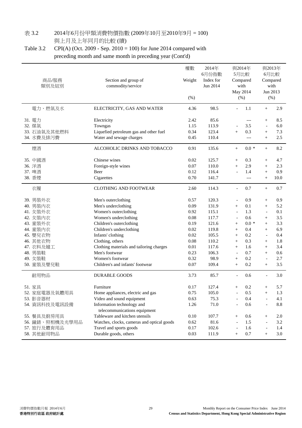# 表 3.2 2014年6月份甲類消費物價指數 (2009年10月至2010年9月 = 100)

與上月及上年同月的比較 (續)

Table 3.2 CPI(A) (Oct. 2009 - Sep. 2010 = 100) for June 2014 compared with preceding month and same month in preceding year (Cont'd)

| 商品/服務<br>類別及組別                                                                                                                                        | Section and group of<br>commodity/service                                                                                                                                                                                                                                                                                                   | 權數<br>Weight<br>$(\% )$                                                                                  | 2014年<br>6月份指數<br>Index for<br>Jun 2014                                                                         |                                                                                                                                                                                             | 與2014年<br>5月比較<br>Compared<br>with<br>May 2014<br>(%)                                       |                                                                                                                                                             | 與2013年<br>6月比較<br>Compared<br>with<br>Jun 2013<br>$(\% )$                               |
|-------------------------------------------------------------------------------------------------------------------------------------------------------|---------------------------------------------------------------------------------------------------------------------------------------------------------------------------------------------------------------------------------------------------------------------------------------------------------------------------------------------|----------------------------------------------------------------------------------------------------------|-----------------------------------------------------------------------------------------------------------------|---------------------------------------------------------------------------------------------------------------------------------------------------------------------------------------------|---------------------------------------------------------------------------------------------|-------------------------------------------------------------------------------------------------------------------------------------------------------------|-----------------------------------------------------------------------------------------|
| 電力、燃氣及水                                                                                                                                               | ELECTRICITY, GAS AND WATER                                                                                                                                                                                                                                                                                                                  | 4.36                                                                                                     | 98.5                                                                                                            |                                                                                                                                                                                             | 1.1                                                                                         | $^{+}$                                                                                                                                                      | 2.9                                                                                     |
| 31. 電力<br>32. 煤氣<br>33. 石油氣及其他燃料<br>34. 水費及排污費                                                                                                        | Electricity<br>Towngas<br>Liquefied petroleum gas and other fuel<br>Water and sewage charges                                                                                                                                                                                                                                                | 2.42<br>1.15<br>0.34<br>0.45                                                                             | 85.6<br>113.9<br>123.4<br>110.4                                                                                 | $^{+}$                                                                                                                                                                                      | $---$<br>3.5<br>0.3<br>$---$                                                                | $^{+}$<br>$\blacksquare$<br>$^{+}$<br>$^{+}$                                                                                                                | 8.5<br>6.0<br>7.3<br>2.5                                                                |
| 煙酒                                                                                                                                                    | ALCOHOLIC DRINKS AND TOBACCO                                                                                                                                                                                                                                                                                                                | 0.91                                                                                                     | 135.6                                                                                                           | $+$                                                                                                                                                                                         | $0.0 *$                                                                                     | $^{+}$                                                                                                                                                      | 8.2                                                                                     |
| 35. 中國酒<br>36. 洋酒<br>37. 啤酒<br>38. 香煙                                                                                                                 | Chinese wines<br>Foreign-style wines<br>Beer<br>Cigarettes                                                                                                                                                                                                                                                                                  | 0.02<br>0.07<br>0.12<br>0.70                                                                             | 125.7<br>110.0<br>116.4<br>141.7                                                                                | $^{+}$<br>$+$<br>$\bar{\phantom{a}}$                                                                                                                                                        | 0.3<br>2.9<br>1.4<br>$---$                                                                  | $^{+}$<br>$^{+}$<br>$\ddot{}$<br>$^{+}$                                                                                                                     | 4.7<br>2.3<br>0.9<br>10.0                                                               |
| 衣履                                                                                                                                                    | <b>CLOTHING AND FOOTWEAR</b>                                                                                                                                                                                                                                                                                                                | 2.60                                                                                                     | 114.3                                                                                                           | $\blacksquare$                                                                                                                                                                              | 0.7                                                                                         | $^{+}$                                                                                                                                                      | 0.7                                                                                     |
| 39. 男裝外衣<br>40. 男裝內衣<br>41. 女装外衣<br>42. 女装内衣<br>43. 童装外衣<br>44. 童裝內衣<br>45. 嬰兒衣物<br>46. 其他衣物<br>47. 衣料及缝工<br>48. 男裝鞋<br>49. 女装鞋<br>50. 童裝及嬰兒鞋<br>耐用物品 | Men's outerclothing<br>Men's underclothing<br>Women's outerclothing<br>Women's underclothing<br>Children's outerclothing<br>Children's underclothing<br>Infants' clothing<br>Clothing, others<br>Clothing materials and tailoring charges<br>Men's footwear<br>Women's footwear<br>Children's and infants' footwear<br><b>DURABLE GOODS</b> | 0.57<br>0.09<br>0.92<br>0.08<br>0.19<br>0.02<br>0.02<br>0.08<br>0.01<br>0.23<br>0.32<br>$0.07\,$<br>3.73 | 120.3<br>131.9<br>115.1<br>117.7<br>121.6<br>119.8<br>105.5<br>110.2<br>117.6<br>106.3<br>98.9<br>109.4<br>85.7 | $\overline{\phantom{a}}$<br>$^{+}$<br>$\blacksquare$<br>$\overline{\phantom{a}}$<br>$^{+}$<br>$^{+}$<br>$^{+}$<br>$^{+}$<br>$+$<br>$\overline{\phantom{a}}$<br>$+$<br>$+$<br>$\blacksquare$ | 0.9<br>0.1<br>1.3<br>0.6<br>$0.0 *$<br>0.4<br>0.2<br>0.3<br>1.6<br>0.7<br>0.2<br>0.2<br>0.6 | $^{+}$<br>$^{+}$<br>$\overline{a}$<br>$^{+}$<br>$^{+}$<br>$^{+}$<br>$\bar{\phantom{a}}$<br>$^{+}$<br>$^{+}$<br>$^{+}$<br>$\overline{\phantom{a}}$<br>$^{+}$ | 0.9<br>5.2<br>0.1<br>3.5<br>3.3<br>6.9<br>0.4<br>1.8<br>3.4<br>0.6<br>2.7<br>3.5<br>3.0 |
| 51. 家具<br>52. 家庭電器及氣體用具                                                                                                                               | Furniture<br>Home appliances, electric and gas                                                                                                                                                                                                                                                                                              | 0.17<br>0.75                                                                                             | 127.4<br>105.0                                                                                                  | $^{+}$                                                                                                                                                                                      | 0.2<br>0.5                                                                                  | $^{+}$<br>$^{+}$                                                                                                                                            | 5.7<br>1.3                                                                              |
| 53. 影音器材<br>54. 資訊科技及電訊設備                                                                                                                             | Video and sound equipment<br>Information technology and<br>telecommunications equipment                                                                                                                                                                                                                                                     | 0.63<br>1.26                                                                                             | 75.3<br>71.0                                                                                                    | $\overline{a}$                                                                                                                                                                              | 0.4<br>0.6                                                                                  |                                                                                                                                                             | 4.1<br>8.8                                                                              |
| 55. 餐具及廚房用具<br>56. 鐘錶、照相機及光學用品<br>57. 旅行及體育用品<br>58. 其他耐用物品                                                                                           | Tableware and kitchen utensils<br>Watches, clocks, cameras and optical goods<br>Travel and sports goods<br>Durable goods, others                                                                                                                                                                                                            | 0.10<br>0.62<br>0.17<br>0.03                                                                             | 107.7<br>81.6<br>102.6<br>111.9                                                                                 | $\! + \!\!\!\!$<br>$\overline{\phantom{a}}$<br>$\overline{\phantom{a}}$<br>$\! + \!\!\!\!$                                                                                                  | 0.6<br>1.5<br>1.6<br>0.7                                                                    | $^{+}$<br>$^{+}$                                                                                                                                            | 2.0<br>3.2<br>1.4<br>3.0                                                                |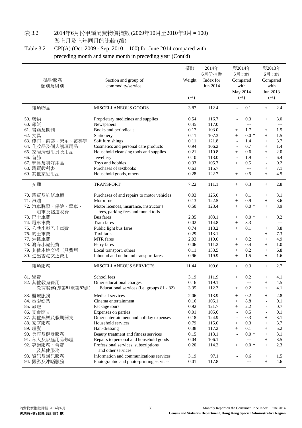# 表 3.2 2014年6月份甲類消費物價指數 (2009年10月至2010年9月 = 100)

與上月及上年同月的比較 (續)

# Table 3.2 CPI(A) (Oct. 2009 - Sep. 2010 = 100) for June 2014 compared with

preceding month and same month in preceding year (Cont'd)

| 商品/服務<br>類別及組別                                                                                                                                                                                                     | Section and group of<br>commodity/service                                                                                                                                                                                                                                                                                                                                                                                                                                                              | 權數<br>Weight<br>(% )                                                                                                     | 2014年<br>6月份指數<br>Index for<br>Jun 2014                                                                                            | 與2014年<br>5月比較<br>Compared<br>with<br>May 2014<br>(%)                                                                                                                                                                                                                         | 與2013年<br>6月比較<br>Compared<br>with<br>Jun 2013<br>$(\% )$                                                                                                                                                                                                                                                |
|--------------------------------------------------------------------------------------------------------------------------------------------------------------------------------------------------------------------|--------------------------------------------------------------------------------------------------------------------------------------------------------------------------------------------------------------------------------------------------------------------------------------------------------------------------------------------------------------------------------------------------------------------------------------------------------------------------------------------------------|--------------------------------------------------------------------------------------------------------------------------|------------------------------------------------------------------------------------------------------------------------------------|-------------------------------------------------------------------------------------------------------------------------------------------------------------------------------------------------------------------------------------------------------------------------------|----------------------------------------------------------------------------------------------------------------------------------------------------------------------------------------------------------------------------------------------------------------------------------------------------------|
| 雜項物品                                                                                                                                                                                                               | MISCELLANEOUS GOODS                                                                                                                                                                                                                                                                                                                                                                                                                                                                                    | 3.87                                                                                                                     | 112.4                                                                                                                              | 0.1                                                                                                                                                                                                                                                                           | 2.4<br>$^{+}$                                                                                                                                                                                                                                                                                            |
| 59. 藥物<br>60. 報紙<br>61. 書籍及期刊<br>62. 文具<br>63. 檯布、窗簾、床單、被褥等<br>64. 化妝品及個人護理用品<br>65. 家居清潔用具及用品<br>66. 首飾<br>67. 玩具及嗜好用品<br>68. 購買教科書<br>69. 其他家庭用品                                                                 | Proprietary medicines and supplies<br>Newspapers<br>Books and periodicals<br>Stationery<br>Soft furnishings<br>Cosmetics and personal care products<br>Household cleansing tools and supplies<br>Jewellery<br>Toys and hobbies<br>Purchases of textbooks<br>Household goods, others                                                                                                                                                                                                                    | 0.54<br>0.45<br>0.17<br>0.11<br>0.11<br>0.94<br>0.21<br>0.10<br>0.33<br>0.63<br>0.28                                     | 116.7<br>117.0<br>103.0<br>107.3<br>121.8<br>106.2<br>110.8<br>113.0<br>105.7<br>115.7<br>122.7                                    | 0.3<br>$---$<br>1.7<br>$\! + \!\!\!\!$<br>$0.0 *$<br>$^{+}$<br>1.4<br>$\overline{\phantom{a}}$<br>0.7<br>$\overline{\phantom{a}}$<br>0.6<br>$^{+}$<br>1.9<br>$\overline{\phantom{a}}$<br>0.5<br>$^{+}$<br>$---$<br>0.5<br>$^{+}$                                              | 3.0<br>$+$<br>$---$<br>1.5<br>$^{+}$<br>1.5<br>$^{+}$<br>3.7<br>$^{+}$<br>1.4<br>$+$<br>2.0<br>$+$<br>6.4<br>$\overline{\phantom{a}}$<br>0.2<br>$\overline{\phantom{a}}$<br>7.1<br>$\! + \!\!\!\!$<br>4.5<br>$+$                                                                                         |
| 交通                                                                                                                                                                                                                 | <b>TRANSPORT</b>                                                                                                                                                                                                                                                                                                                                                                                                                                                                                       | 7.22                                                                                                                     | 111.1                                                                                                                              | 0.3<br>$\! + \!\!\!\!$                                                                                                                                                                                                                                                        | 2.8<br>$^{+}$                                                                                                                                                                                                                                                                                            |
| 70. 購買及維修車輛<br>71. 汽油<br>72. 汽車牌照、保險、學車、<br>泊車及隧道收費<br>73. 巴士車費<br>74. 電車車費<br>75. 公共小型巴士車費<br>76. 的士車費<br>77. 港鐵車費<br>78. 渡海小輪船費<br>79. 其他本地交通工具費用<br>80. 進出香港交通費用<br>雜項服務                                        | Purchases of and repairs to motor vehicles<br>Motor fuel<br>Motor licences, insurance, instructor's<br>fees, parking fees and tunnel tolls<br><b>Bus</b> fares<br>Tram fares<br>Public light bus fares<br>Taxi fares<br><b>MTR</b> fares<br>Ferry fares<br>Local transport, others<br>Inbound and outbound transport fares<br><b>MISCELLANEOUS SERVICES</b>                                                                                                                                            | 0.03<br>0.13<br>0.50<br>2.35<br>0.02<br>0.74<br>0.29<br>2.03<br>0.06<br>0.11<br>0.96<br>11.44                            | 125.0<br>122.5<br>123.4<br>103.1<br>114.8<br>113.2<br>113.1<br>110.0<br>111.2<br>133.5<br>119.9<br>109.6                           | 0.1<br>$^{+}$<br>0.9<br>$^{+}$<br>$0.0 *$<br>$^{+}$<br>$0.0*$<br>$\! + \!\!\!\!$<br>3.3<br>$^{+}$<br>0.1<br>$^{+}$<br>$---$<br>0.2<br>$\! + \!\!\!\!$<br>0.4<br>$^{+}$<br>0.2<br>$^{+}$<br>1.5<br>$^{+}$<br>0.3<br>$\! + \!\!\!\!$                                            | 3.1<br>$^{+}$<br>3.6<br>$+$<br>3.9<br>$+$<br>0.2<br>$+$<br>$---$<br>3.8<br>$^{+}$<br>7.3<br>$\qquad \qquad +$<br>4.9<br>$^{+}$<br>1.0<br>$\qquad \qquad +$<br>6.8<br>$\qquad \qquad +$<br>$+$<br>1.6<br>2.7<br>$^{+}$                                                                                    |
| 81. 學費<br>82. 其他教育費用<br>教育服務(即第81至第82組)<br>83. 醫療服務<br>84. 電影娛樂<br>85. 旅遊<br>86. 宴會開支<br>87. 其他娛樂及假期開支<br>88. 家庭服務<br>89. 理髮<br>90. 美容及健身服務<br>91. 私人及家庭用品修理<br>92. 專業服務、會費<br>及其他服務<br>93. 資訊及通訊服務<br>94. 攝影及沖晒服務 | School fees<br>Other educational charges<br>Educational services (i.e. groups 81 - 82)<br>Medical services<br>Cinema entertainment<br>Package tours<br>Expenses on parties<br>Other entertainment and holiday expenses<br>Household services<br>Hair-dressing<br>Beauty treatment and fitness services<br>Repairs to personal and household goods<br>Professional services, subscriptions<br>and other services<br>Information and communications services<br>Photographic and photo-printing services | 3.19<br>0.16<br>3.35<br>2.06<br>0.16<br>0.92<br>0.01<br>0.18<br>0.79<br>0.38<br>0.15<br>$0.04\,$<br>0.20<br>3.19<br>0.01 | 111.9<br>119.1<br>112.3<br>113.9<br>105.1<br>121.7<br>105.6<br>124.9<br>115.0<br>117.2<br>113.1<br>106.1<br>114.2<br>97.1<br>117.8 | 0.2<br>$^{+}$<br>$---$<br>0.2<br>$\! + \!\!\!\!$<br>0.2<br>$^{+}$<br>8.8<br>$^{+}$<br>2.2<br>$^{+}$<br>0.5<br>$\overline{\phantom{a}}$<br>0.3<br>$\overline{\phantom{a}}$<br>0.3<br>$^{+}$<br>0.1<br>$^{+}$<br>$0.0 *$<br>$---$<br>$0.0 *$<br>$\! + \!\!\!\!$<br>0.6<br>$---$ | 4.1<br>$^{+}$<br>4.5<br>$+$<br>4.1<br>$^{+}$<br>2.8<br>$^{+}$<br>0.1<br>$\overline{\phantom{a}}$<br>0.7<br>$\overline{\phantom{a}}$<br>0.1<br>$\overline{\phantom{a}}$<br>3.1<br>$^{+}$<br>3.7<br>$+$<br>5.2<br>$^{+}$<br>3.1<br>$^{+}$<br>3.5<br>$^{+}$<br>2.3<br>$+$<br>1.5<br>$^{+}$<br>4.6<br>$^{+}$ |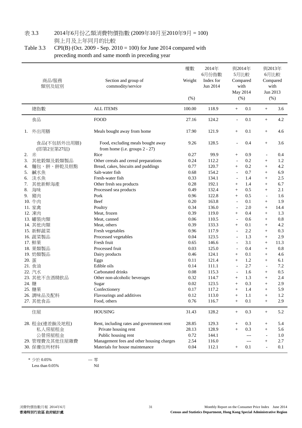# 表 3.3 2014年6月份乙類消費物價指數 (2009年10月至2010年9月 = 100)

與上月及上年同月的比較

Table 3.3 CPI(B) (Oct. 2009 - Sep. 2010 = 100) for June 2014 compared with preceding month and same month in preceding year

|    | 商品/服務<br>類別及組別            | Section and group of<br>commodity/service                           | 權數<br>Weight<br>(% ) | 2014年<br>6月份指數<br>Index for<br>Jun 2014 | 與2014年<br>5月比較<br>Compared<br>with<br>May 2014<br>(%) |       | 6月比較<br>Jun 2013         | 與2013年<br>Compared<br>with<br>$(\% )$ |
|----|---------------------------|---------------------------------------------------------------------|----------------------|-----------------------------------------|-------------------------------------------------------|-------|--------------------------|---------------------------------------|
|    | 總指數                       | <b>ALL ITEMS</b>                                                    | 100.00               | 118.9                                   | $\! + \!\!\!\!$                                       | 0.1   | $^{+}$                   | 3.6                                   |
|    | 食品                        | <b>FOOD</b>                                                         | 27.16                | 124.2                                   | $\overline{\phantom{a}}$                              | 0.1   | $^{+}$                   | 4.2                                   |
| 1. | 外出用膳                      | Meals bought away from home                                         | 17.90                | 121.9                                   | $^{+}$                                                | 0.1   | $^{+}$                   | 4.6                                   |
|    | 食品(不包括外出用膳)<br>(即第2至第27組) | Food, excluding meals bought away<br>from home (i.e. groups 2 - 27) | 9.26                 | 128.5                                   | $\overline{\phantom{a}}$                              | 0.4   | $^{+}$                   | 3.6                                   |
| 2. | 米                         | Rice                                                                | 0.27                 | 99.9                                    | $\! + \!\!\!\!$                                       | 0.9   | $\overline{\phantom{a}}$ | 0.4                                   |
| 3. | 其他穀類及穀類製品                 | Other cereals and cereal preparations                               | 0.24                 | 112.2                                   | $\overline{\phantom{a}}$                              | 0.2   | $^{+}$                   | 1.2                                   |
| 4. | 麵包、餅、餅乾及糕點                | Bread, cakes, biscuits and puddings                                 | 0.77                 | 120.7                                   | $^{+}$                                                | 0.2   | $^{+}$                   | 4.2                                   |
| 5. | 鹹水魚                       | Salt-water fish                                                     | 0.68                 | 154.2                                   | $\overline{\phantom{a}}$                              | 0.7   | $+$                      | 6.9                                   |
| 6. | 淡水魚                       | Fresh-water fish                                                    | 0.33                 | 134.1                                   | $\overline{\phantom{a}}$                              | 1.4   | $+$                      | 2.5                                   |
| 7. | 其他新鮮海產                    | Other fresh sea products                                            | 0.28                 | 192.1                                   | $^{+}$                                                | 1.4   | $^{+}$                   | 6.7                                   |
| 8. | 海味                        | Processed sea products                                              | 0.49                 | 132.4                                   | $^{+}$                                                | 0.5   | $+$                      | 2.1                                   |
| 9. | 豬肉                        | Pork                                                                | 0.96                 | 122.8                                   | $^{+}$                                                | 0.5   | $\blacksquare$           | 1.6                                   |
|    | 10. 牛肉                    | Beef                                                                | 0.20                 | 163.8                                   | $\overline{a}$                                        | 0.1   | $^{+}$                   | 1.9                                   |
|    | 11. 家禽                    | Poultry                                                             | 0.34                 | 136.0                                   | $\overline{\phantom{a}}$                              | 2.0   | $^{+}$                   | 14.4                                  |
|    | 12. 凍肉                    | Meat, frozen                                                        | 0.39                 | 119.0                                   | $^{+}$                                                | 0.4   | $+$                      | 1.3                                   |
|    | 13. 罐装肉類                  | Meat, canned                                                        | 0.06                 | 110.5                                   | $\blacksquare$                                        | 0.6   | $^{+}$                   | 0.8                                   |
|    | 14. 其他肉類                  | Meat, others                                                        | 0.39                 | 133.3                                   | $^{+}$                                                | 0.1   | $+$                      | 4.2                                   |
|    | 15. 新鮮蔬菜                  | Fresh vegetables                                                    | 0.96                 | 117.9                                   | $\overline{\phantom{a}}$                              | 2.2   | $+$                      | 0.3                                   |
|    | 16. 蔬菜製品                  | Processed vegetables                                                | 0.04                 | 123.5                                   | $\overline{a}$                                        | 1.3   |                          | 2.9                                   |
|    | 17. 鮮果                    | Fresh fruit                                                         | 0.65                 | 146.6                                   | $\overline{a}$                                        | 3.1   | $^{+}$                   | 11.3                                  |
|    |                           | Processed fruit                                                     | 0.03                 | 125.0                                   |                                                       | 0.4   | $^{+}$                   | $0.8\,$                               |
|    | 18. 果類製品                  |                                                                     | 0.46                 | 124.1                                   | $\overline{\phantom{a}}$                              | 0.1   | $^{+}$                   | 4.6                                   |
|    | 19. 奶類製品                  | Dairy products                                                      |                      |                                         | $^{+}$                                                |       | $^{+}$                   |                                       |
|    | 20. 蛋                     | Eggs                                                                | 0.11                 | 121.4                                   | $\! + \!\!\!\!$                                       | 1.2   | $^{+}$                   | 6.1                                   |
|    | 21. 食油                    | Edible oils                                                         | 0.14                 | 111.1                                   | $\overline{\phantom{a}}$                              | 2.7   | $\overline{\phantom{a}}$ | 7.2                                   |
|    | 22. 汽水                    | Carbonated drinks                                                   | 0.08                 | 115.3                                   | $\overline{\phantom{a}}$                              | 1.6   | $^{+}$                   | 0.5                                   |
|    | 23. 其他不含酒精飲品              | Other non-alcoholic beverages                                       | 0.32                 | 114.7                                   | $\! + \!\!\!\!$                                       | 1.3   | $^{+}$                   | 2.4                                   |
|    | 24. 糖                     | Sugar                                                               | 0.02                 | 123.5                                   | $^{+}$                                                | 0.3   | $+$                      | 2.9                                   |
|    | 25. 糖果                    | Confectionery                                                       | 0.17                 | 117.2                                   | $^{+}$                                                | 1.4   | $^{+}$                   | 5.9                                   |
|    | 26. 調味品及配料                | Flavourings and additives                                           | 0.12                 | 113.0                                   | $^{+}$                                                | 1.1   | $^{+}$                   | 1.2                                   |
|    | 27. 其他食品                  | Food, others                                                        | 0.76                 | 116.7                                   | $\! + \!\!\!\!$                                       | 0.1   | $^{+}$                   | 2.9                                   |
|    | 住屋                        | <b>HOUSING</b>                                                      | 31.43                | 128.2                                   | $\! + \!\!\!\!$                                       | 0.3   | $^{+}$                   | 5.2                                   |
|    | 28. 租金(連差餉及地租)            | Rent, including rates and government rent                           | 28.85                | 129.3                                   | $\! + \!\!\!\!$                                       | 0.3   | $^{+}$                   | 5.4                                   |
|    | 私人房屋租金                    | Private housing rent                                                | 28.13                | 128.9                                   | $^{+}$                                                | 0.3   | $^{+}$                   | 5.6                                   |
|    | 公營房屋租金                    | Public housing rent                                                 | 0.72                 | 144.1                                   |                                                       | $---$ | ÷                        | 1.0                                   |
|    | 29. 管理費及其他住屋雜費            | Management fees and other housing charges                           | 2.54                 | 116.0                                   |                                                       | $---$ | $^{+}$                   | 2.7                                   |
|    | 30. 保養住所材料                | Materials for house maintenance                                     | 0.04                 | 112.1                                   | $\! + \!\!\!\!$                                       | 0.1   |                          | 0.1                                   |

\* 少於 0.05% --- 零 Less than 0.05% Nil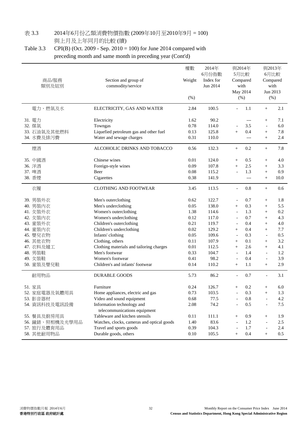# 表 3.3 2014年6月份乙類消費物價指數 (2009年10月至2010年9月 = 100)

與上月及上年同月的比較 (續)

Table 3.3 CPI(B) (Oct. 2009 - Sep. 2010 = 100) for June 2014 compared with preceding month and same month in preceding year (Cont'd)

| 商品/服務<br>類別及組別                                                                                                                                        | Section and group of<br>commodity/service                                                                                                                                                                                                                                                                                                   | 權數<br>Weight<br>(% )                                                                                 | 2014年<br>6月份指數<br>Index for<br>Jun 2014                                                                         |                                                                                                                                                                                                                                                                      | 與2014年<br>5月比較<br>Compared<br>with<br>May 2014<br>(% )                                  |                                                                                                                                                                            | 與2013年<br>6月比較<br>Compared<br>with<br>Jun 2013<br>$(\% )$                                   |
|-------------------------------------------------------------------------------------------------------------------------------------------------------|---------------------------------------------------------------------------------------------------------------------------------------------------------------------------------------------------------------------------------------------------------------------------------------------------------------------------------------------|------------------------------------------------------------------------------------------------------|-----------------------------------------------------------------------------------------------------------------|----------------------------------------------------------------------------------------------------------------------------------------------------------------------------------------------------------------------------------------------------------------------|-----------------------------------------------------------------------------------------|----------------------------------------------------------------------------------------------------------------------------------------------------------------------------|---------------------------------------------------------------------------------------------|
| 電力、燃氣及水                                                                                                                                               | ELECTRICITY, GAS AND WATER                                                                                                                                                                                                                                                                                                                  | 2.84                                                                                                 | 100.5                                                                                                           |                                                                                                                                                                                                                                                                      | 1.1                                                                                     | $^{+}$                                                                                                                                                                     | 2.1                                                                                         |
| 31. 電力<br>32. 煤氣<br>33. 石油氣及其他燃料<br>34. 水費及排污費                                                                                                        | Electricity<br>Towngas<br>Liquefied petroleum gas and other fuel<br>Water and sewage charges                                                                                                                                                                                                                                                | 1.62<br>0.78<br>0.13<br>0.31                                                                         | 90.2<br>114.0<br>125.8<br>110.0                                                                                 | $+$                                                                                                                                                                                                                                                                  | $---$<br>3.5<br>0.4<br>$---$                                                            | $^{+}$<br>$\overline{a}$<br>$^{+}$<br>$^{+}$                                                                                                                               | 7.1<br>6.0<br>7.8<br>2.4                                                                    |
| 煙酒                                                                                                                                                    | ALCOHOLIC DRINKS AND TOBACCO                                                                                                                                                                                                                                                                                                                | 0.56                                                                                                 | 132.3                                                                                                           | $\boldsymbol{+}$                                                                                                                                                                                                                                                     | 0.2                                                                                     | $^{+}$                                                                                                                                                                     | 7.8                                                                                         |
| 35. 中國酒<br>36. 洋酒<br>37. 啤酒<br>38. 香煙                                                                                                                 | Chinese wines<br>Foreign-style wines<br>Beer<br>Cigarettes                                                                                                                                                                                                                                                                                  | 0.01<br>0.09<br>0.08<br>0.38                                                                         | 124.0<br>107.8<br>115.2<br>141.9                                                                                | $\! + \!\!\!\!$<br>$^{+}$<br>$\blacksquare$                                                                                                                                                                                                                          | 0.5<br>2.5<br>1.3<br>$---$                                                              | $\! +$<br>$^{+}$<br>$^{+}$<br>$^{+}$                                                                                                                                       | 4.0<br>3.3<br>0.9<br>10.0                                                                   |
| 衣履                                                                                                                                                    | <b>CLOTHING AND FOOTWEAR</b>                                                                                                                                                                                                                                                                                                                | 3.45                                                                                                 | 113.5                                                                                                           | $\overline{\phantom{a}}$                                                                                                                                                                                                                                             | 0.8                                                                                     | $^{+}$                                                                                                                                                                     | 0.6                                                                                         |
| 39. 男裝外衣<br>40. 男裝內衣<br>41. 女装外衣<br>42. 女裝內衣<br>43. 童裝外衣<br>44. 童裝內衣<br>45. 嬰兒衣物<br>46. 其他衣物<br>47. 衣料及縫工<br>48. 男装鞋<br>49. 女装鞋<br>50. 童装及嬰兒鞋<br>耐用物品 | Men's outerclothing<br>Men's underclothing<br>Women's outerclothing<br>Women's underclothing<br>Children's outerclothing<br>Children's underclothing<br>Infants' clothing<br>Clothing, others<br>Clothing materials and tailoring charges<br>Men's footwear<br>Women's footwear<br>Children's and infants' footwear<br><b>DURABLE GOODS</b> | 0.62<br>0.05<br>1.38<br>0.12<br>0.21<br>0.02<br>0.05<br>0.11<br>0.01<br>0.33<br>0.41<br>0.14<br>5.73 | 122.7<br>138.0<br>114.6<br>117.0<br>119.7<br>129.2<br>109.6<br>107.9<br>112.5<br>104.7<br>98.2<br>110.2<br>86.2 | $\overline{\phantom{a}}$<br>$^{+}$<br>$\overline{\phantom{a}}$<br>$\overline{\phantom{a}}$<br>$\overline{\phantom{a}}$<br>$^{+}$<br>$\overline{\phantom{a}}$<br>$^{+}$<br>$^{+}$<br>$\overline{\phantom{a}}$<br>$\overline{\phantom{a}}$<br>$^{+}$<br>$\blacksquare$ | 0.7<br>0.3<br>1.3<br>0.7<br>0.4<br>0.4<br>0.3<br>0.1<br>2.6<br>1.4<br>0.4<br>1.1<br>0.7 | $^{+}$<br>$^{+}$<br>$^{+}$<br>$^{+}$<br>$^{+}$<br>$^{+}$<br>$\overline{\phantom{a}}$<br>$^{+}$<br>$^{+}$<br>$\overline{\phantom{a}}$<br>$\overline{\phantom{a}}$<br>$^{+}$ | 1.8<br>5.5<br>$0.2\,$<br>4.3<br>4.0<br>7.7<br>0.5<br>3.2<br>4.1<br>1.2<br>3.9<br>2.9<br>3.1 |
| 51. 家具                                                                                                                                                | Furniture                                                                                                                                                                                                                                                                                                                                   | 0.24                                                                                                 | 126.7                                                                                                           | $^{+}$                                                                                                                                                                                                                                                               | 0.2                                                                                     | $^{+}$                                                                                                                                                                     | 6.0                                                                                         |
| 52. 家庭電器及氣體用具                                                                                                                                         | Home appliances, electric and gas                                                                                                                                                                                                                                                                                                           | 0.73                                                                                                 | 103.5                                                                                                           |                                                                                                                                                                                                                                                                      | 0.3                                                                                     | $^{+}$                                                                                                                                                                     | 1.3                                                                                         |
| 53. 影音器材                                                                                                                                              | Video and sound equipment                                                                                                                                                                                                                                                                                                                   | 0.68                                                                                                 | 77.5                                                                                                            |                                                                                                                                                                                                                                                                      | 0.8                                                                                     |                                                                                                                                                                            | 4.2                                                                                         |
| 54. 資訊科技及電訊設備                                                                                                                                         | Information technology and<br>telecommunications equipment                                                                                                                                                                                                                                                                                  | 2.08                                                                                                 | 74.2                                                                                                            | $\overline{\phantom{a}}$                                                                                                                                                                                                                                             | 0.5                                                                                     | $\overline{\phantom{a}}$                                                                                                                                                   | 7.5                                                                                         |
| 55. 餐具及廚房用具                                                                                                                                           | Tableware and kitchen utensils                                                                                                                                                                                                                                                                                                              | 0.11                                                                                                 | 111.1                                                                                                           | $^{+}$                                                                                                                                                                                                                                                               | 0.9                                                                                     | $\! +$                                                                                                                                                                     | 1.9                                                                                         |
| 56. 鐘錶、照相機及光學用品                                                                                                                                       | Watches, clocks, cameras and optical goods                                                                                                                                                                                                                                                                                                  | 1.40                                                                                                 | 83.6                                                                                                            | $\overline{a}$                                                                                                                                                                                                                                                       | 1.2                                                                                     | $\overline{a}$                                                                                                                                                             | 2.5                                                                                         |
| 57. 旅行及體育用品                                                                                                                                           | Travel and sports goods                                                                                                                                                                                                                                                                                                                     | 0.39                                                                                                 | 104.3                                                                                                           | $\overline{\phantom{a}}$                                                                                                                                                                                                                                             | 1.7                                                                                     | $\overline{a}$                                                                                                                                                             | 2.4                                                                                         |
| 58. 其他耐用物品                                                                                                                                            | Durable goods, others                                                                                                                                                                                                                                                                                                                       | 0.10                                                                                                 | 105.5                                                                                                           | $^{+}$                                                                                                                                                                                                                                                               | 0.4                                                                                     | $\! +$                                                                                                                                                                     | 0.5                                                                                         |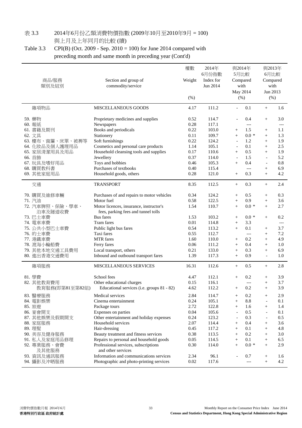# 表 3.3 2014年6月份乙類消費物價指數 (2009年10月至2010年9月 = 100)

與上月及上年同月的比較 (續)

Table 3.3 CPI(B) (Oct. 2009 - Sep. 2010 = 100) for June 2014 compared with preceding month and same month in preceding year (Cont'd)

| 商品/服務<br>類別及組別                                                                                                                                      | Section and group of<br>commodity/service                                                                                                                                                                                                                                                                             | 權數<br>Weight<br>(% )                                                                 | 2014年<br>6月份指數<br>Index for<br>Jun 2014                                                         | 與2014年<br>5月比較<br>Compared<br>with<br>May 2014<br>(%)                                                                                                             |                                                                                                                 | 與2013年<br>6月比較<br>Compared<br>with<br>Jun 2013<br>(% )                                                                                                                    |                                                                             |
|-----------------------------------------------------------------------------------------------------------------------------------------------------|-----------------------------------------------------------------------------------------------------------------------------------------------------------------------------------------------------------------------------------------------------------------------------------------------------------------------|--------------------------------------------------------------------------------------|-------------------------------------------------------------------------------------------------|-------------------------------------------------------------------------------------------------------------------------------------------------------------------|-----------------------------------------------------------------------------------------------------------------|---------------------------------------------------------------------------------------------------------------------------------------------------------------------------|-----------------------------------------------------------------------------|
| 雜項物品                                                                                                                                                | <b>MISCELLANEOUS GOODS</b>                                                                                                                                                                                                                                                                                            | 4.17                                                                                 | 111.2                                                                                           | $\blacksquare$                                                                                                                                                    | 0.1                                                                                                             | $^{+}$                                                                                                                                                                    | 1.6                                                                         |
| 59. 藥物<br>60. 報紙<br>61. 書籍及期刊<br>62. 文具<br>63. 檯布、窗簾、床單、被褥等<br>64. 化妝品及個人護理用品<br>65. 家居清潔用具及用品<br>66. 首飾<br>67. 玩具及嗜好用品<br>68. 購買教科書<br>69. 其他家庭用品  | Proprietary medicines and supplies<br>Newspapers<br>Books and periodicals<br>Stationery<br>Soft furnishings<br>Cosmetics and personal care products<br>Household cleansing tools and supplies<br>Jewellery<br>Toys and hobbies<br>Purchases of textbooks<br>Household goods, others                                   | 0.52<br>0.28<br>0.22<br>0.11<br>0.22<br>1.14<br>0.17<br>0.37<br>0.46<br>0.40<br>0.28 | 114.7<br>117.1<br>103.0<br>109.7<br>124.2<br>105.1<br>110.6<br>114.0<br>105.3<br>115.4<br>121.0 | $\overline{\phantom{a}}$<br>$^{+}$<br>$+$<br>$\overline{\phantom{a}}$<br>$\overline{\phantom{a}}$<br>$^{+}$<br>$\overline{\phantom{a}}$<br>$+$<br>$\! + \!\!\!\!$ | 0.4<br>$\hspace{0.05cm}---\hspace{0.05cm}$<br>1.5<br>$0.0 *$<br>1.2<br>0.1<br>0.5<br>1.5<br>0.4<br>$---$<br>0.3 | $^{+}$<br>$^{+}$<br>$^{+}$<br>$+$<br>$^{+}$<br>$^{+}$<br>$\blacksquare$<br>$\overline{\phantom{a}}$<br>$^{+}$<br>$^{+}$                                                   | 3.0<br>$---$<br>1.1<br>1.3<br>1.9<br>2.5<br>1.9<br>5.2<br>0.8<br>6.9<br>4.2 |
| 交通                                                                                                                                                  | <b>TRANSPORT</b>                                                                                                                                                                                                                                                                                                      | 8.35                                                                                 | 112.5                                                                                           | $+$                                                                                                                                                               | 0.3                                                                                                             | $^{+}$                                                                                                                                                                    | 2.4                                                                         |
| 70. 購買及維修車輛<br>71. 汽油<br>72. 汽車牌照、保險、學車、<br>泊車及隧道收費<br>73. 巴士車費<br>74. 電車車費<br>75. 公共小型巴士車費<br>76. 的士車費<br>77. 港鐵車費<br>78. 渡海小輪船費<br>79. 其他本地交通工具費用 | Purchases of and repairs to motor vehicles<br>Motor fuel<br>Motor licences, insurance, instructor's<br>fees, parking fees and tunnel tolls<br><b>Bus</b> fares<br>Tram fares<br>Public light bus fares<br>Taxi fares<br><b>MTR</b> fares<br>Ferry fares<br>Local transport, others                                    | 0.34<br>0.58<br>1.54<br>1.53<br>0.01<br>0.54<br>0.55<br>1.60<br>0.06<br>0.21         | 124.2<br>122.5<br>110.7<br>103.2<br>114.8<br>113.2<br>112.7<br>110.0<br>111.2<br>133.0          | $^{+}$<br>$\! + \!\!\!\!$<br>$^{+}$<br>$\! + \!\!\!\!$<br>$\! + \!\!\!\!$<br>$^{+}$<br>$^{+}$<br>$\! + \!\!\!\!$<br>$^{+}$                                        | 0.5<br>0.9<br>$0.0 *$<br>$0.0 *$<br>3.3<br>0.1<br>$---$<br>0.2<br>0.4<br>0.3                                    | $\! + \!\!\!\!$<br>$\qquad \qquad +$<br>$+$<br>$^{+}$<br>$^{+}$<br>$^{+}$<br>$^{+}$<br>$+$<br>$^{+}$                                                                      | 0.3<br>3.6<br>2.7<br>0.2<br>$---$<br>3.7<br>7.2<br>4.9<br>1.0<br>6.9        |
| 80. 進出香港交通費用                                                                                                                                        | Inbound and outbound transport fares                                                                                                                                                                                                                                                                                  | 1.39                                                                                 | 117.3                                                                                           | $^{+}$                                                                                                                                                            | 0.9                                                                                                             | $\blacksquare$                                                                                                                                                            | 1.0                                                                         |
| 雜項服務<br>81. 學費                                                                                                                                      | <b>MISCELLANEOUS SERVICES</b><br>School fees                                                                                                                                                                                                                                                                          | 16.31<br>4.47                                                                        | 112.6<br>112.1                                                                                  | $+$<br>$^{+}$                                                                                                                                                     | 0.5<br>0.2                                                                                                      | $^{+}$<br>$^{+}$                                                                                                                                                          | 2.8<br>3.9                                                                  |
| 82. 其他教育費用<br>教育服務(即第81至第82組)                                                                                                                       | Other educational charges<br>Educational services (i.e. groups 81 - 82)                                                                                                                                                                                                                                               | 0.15<br>4.62                                                                         | 116.1<br>112.2                                                                                  | $^{+}$                                                                                                                                                            | $---$<br>0.2                                                                                                    | $^{+}$<br>$+$                                                                                                                                                             | 3.7<br>3.9                                                                  |
| 83. 醫療服務<br>84. 電影娛樂<br>85. 旅遊<br>86. 宴會開支<br>87. 其他娛樂及假期開支<br>88. 家庭服務<br>89. 理髮<br>90. 美容及健身服務<br>91. 私人及家庭用品修理<br>92. 專業服務、會費<br>及其他服務           | Medical services<br>Cinema entertainment<br>Package tours<br>Expenses on parties<br>Other entertainment and holiday expenses<br>Household services<br>Hair-dressing<br>Beauty treatment and fitness services<br>Repairs to personal and household goods<br>Professional services, subscriptions<br>and other services | 2.84<br>0.24<br>2.72<br>0.04<br>0.24<br>2.07<br>0.45<br>0.38<br>0.05<br>0.30         | 114.7<br>105.1<br>122.8<br>105.6<br>123.2<br>114.4<br>117.2<br>113.5<br>114.5<br>114.0          | $^{+}$<br>$^{+}$<br>$^{+}$<br>$\overline{\phantom{a}}$<br>$\overline{\phantom{a}}$<br>$\! + \!\!\!\!$<br>$\! + \!\!\!$<br>$\! + \!\!\!\!$<br>$^{+}$<br>$+$        | 0.2<br>8.8<br>1.6<br>0.5<br>0.3<br>0.4<br>0.1<br>0.2<br>0.1<br>$0.0 *$                                          | $^{+}$<br>$\overline{a}$<br>$^{+}$<br>$\overline{\phantom{a}}$<br>$\overline{\phantom{a}}$<br>$\! + \!\!\!\!$<br>$\qquad \qquad +$<br>$\! + \!\!\!\!$<br>$^{+}$<br>$^{+}$ | 2.9<br>0.1<br>1.4<br>0.1<br>0.5<br>3.6<br>4.8<br>3.0<br>6.5<br>2.9          |
| 93. 資訊及通訊服務<br>94. 攝影及沖晒服務                                                                                                                          | Information and communications services<br>Photographic and photo-printing services                                                                                                                                                                                                                                   | 2.34<br>0.02                                                                         | 96.1<br>117.6                                                                                   | $\overline{\phantom{a}}$                                                                                                                                          | 0.7<br>$---$                                                                                                    | $^{+}$<br>$^{+}$                                                                                                                                                          | 1.6<br>4.2                                                                  |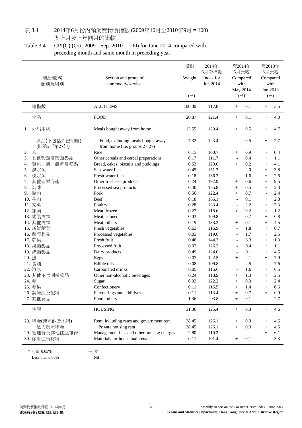#### 表 3.4 2014年6月份丙類消費物價指數 (2009年10月至2010年9月 = 100) 與上月及上年同月的比較

### Table 3.4 CPI(C) (Oct. 2009 - Sep. 2010 = 100) for June 2014 compared with preceding month and same month in preceding year

|    | 商品/服務<br>類別及組別            | Section and group of<br>commodity/service                              | 權數<br>Weight<br>$(\% )$ | 2014年<br>6月份指數<br>Index for<br>Jun 2014 | with<br>May 2014<br>(% )           | 與2014年<br>5月比較<br>Compared | Jun 2013                 | 與2013年<br>6月比較<br>Compared<br>with<br>(% ) |
|----|---------------------------|------------------------------------------------------------------------|-------------------------|-----------------------------------------|------------------------------------|----------------------------|--------------------------|--------------------------------------------|
|    | 總指數                       | <b>ALL ITEMS</b>                                                       | 100.00                  | 117.8                                   | $^{+}$                             | 0.1                        | $^{+}$                   | 3.5                                        |
|    | 食品                        | <b>FOOD</b>                                                            | 20.87                   | 121.4                                   | $^{+}$                             | 0.1                        | $^{+}$                   | 4.0                                        |
| 1. | 外出用膳                      | Meals bought away from home                                            | 13.55                   | 120.4                                   | $^{+}$                             | 0.5                        | $^{+}$                   | 4.7                                        |
|    | 食品(不包括外出用膳)<br>(即第2至第27組) | Food, excluding meals bought away<br>from home (i.e. groups $2 - 27$ ) | 7.32                    | 123.4                                   | $\overline{a}$                     | 0.5                        | $^{+}$                   | 2.7                                        |
| 2. | 米                         | Rice                                                                   | 0.15                    | 100.7                                   | $^{+}$                             | 0.9                        | $\overline{a}$           | 0.4                                        |
| 3. | 其他穀類及穀類製品                 | Other cereals and cereal preparations                                  | 0.17                    | 111.7                                   | $\overline{\phantom{a}}$           | 0.4                        | $^{+}$                   | 1.1                                        |
| 4. | 麵包、餅、餅乾及糕點                | Bread, cakes, biscuits and puddings                                    | 0.53                    | 120.0                                   | $^{+}$                             | 0.2                        | $^{+}$                   | 4.1                                        |
| 5. | 鹹水魚                       | Salt-water fish                                                        | 0.45                    | 151.3                                   | $\overline{a}$                     | 2.0                        | $^{+}$                   | 3.8                                        |
| 6. | 淡水魚                       | Fresh-water fish                                                       | 0.18                    | 136.2                                   | $\overline{\phantom{a}}$           | 1.6                        | $^{+}$                   | 2.6                                        |
| 7. | 其他新鮮海產                    | Other fresh sea products                                               | 0.24                    | 192.9                                   | $\! + \!\!\!\!$                    | 0.6                        | $^{+}$                   | 9.5                                        |
| 8. | 海味                        | Processed sea products                                                 | 0.40                    | 135.8                                   | $^{+}$                             | 0.5                        | $^{+}$                   | 2.3                                        |
| 9. | 豬肉                        | Pork                                                                   | 0.56                    | 122.4                                   | $^{+}$                             | 0.7                        | $\overline{a}$           | 2.4                                        |
|    | 10. 牛肉                    | Beef                                                                   | 0.18                    | 166.1                                   | $\frac{1}{2}$                      | 0.1                        | $^{+}$                   | 2.8                                        |
|    | 11. 家禽                    | Poultry                                                                | 0.28                    | 133.4                                   | $\overline{a}$                     | 2.2                        | $^{+}$                   | 13.3                                       |
|    | 12. 凍肉                    | Meat, frozen                                                           | 0.27                    | 118.6                                   |                                    | 0.2                        |                          | 1.2                                        |
|    | 13. 罐装肉類                  | Meat, canned                                                           | 0.03                    | 109.8                                   | $^{+}$<br>$\overline{\phantom{a}}$ | 0.7                        | $^{+}$<br>$^{+}$         | $0.8\,$                                    |
|    |                           | Meat, others                                                           | 0.19                    | 133.3                                   | $^{+}$                             | 0.1                        |                          | 4.5                                        |
|    | 14. 其他肉類                  |                                                                        | 0.63                    | 116.9                                   |                                    | 1.8                        | $^{+}$                   | 0.7                                        |
|    | 15. 新鮮蔬菜                  | Fresh vegetables                                                       | 0.03                    | 119.6                                   | $\overline{\phantom{a}}$           | 1.7                        | $^{+}$                   | 2.5                                        |
|    | 16. 蔬菜製品                  | Processed vegetables<br>Fresh fruit                                    |                         |                                         | $\overline{a}$                     |                            | $^{+}$                   |                                            |
|    | 17. 鮮果                    |                                                                        | 0.48                    | 144.3                                   | $\overline{a}$                     | 3.3                        | $^{+}$                   | 11.3                                       |
|    | 18. 果類製品                  | Processed fruit                                                        | 0.02                    | 126.2                                   | $\overline{a}$                     | 0.4                        | $^{+}$                   | 1.1                                        |
|    | 19. 奶類製品                  | Dairy products                                                         | 0.49                    | 124.0                                   | $\overline{a}$                     | 0.1                        | $^{+}$                   | 4.5                                        |
|    | 20. 蛋                     | Eggs                                                                   | 0.07                    | 122.5                                   | $^{+}$                             | 2.1                        | $^{+}$                   | 7.9                                        |
|    | 21. 食油                    | Edible oils                                                            | 0.08                    | 109.8                                   | $\overline{\phantom{a}}$           | 2.5                        | $\overline{\phantom{a}}$ | 7.6                                        |
|    | 22. 汽水                    | Carbonated drinks                                                      | 0.05                    | 115.6                                   | $\overline{a}$                     | 1.6                        | $^{+}$                   | 0.5                                        |
|    | 23. 其他不含酒精飲品              | Other non-alcoholic beverages                                          | 0.24                    | 113.9                                   | $+$                                | 1.3                        | $^{+}$                   | 2.5                                        |
|    | 24. 糖                     | Sugar                                                                  | 0.02                    | 122.2                                   | $^{+}$                             | 0.3                        | $^{+}$                   | 2.4                                        |
|    | 25. 糖果                    | Confectionery                                                          | 0.11                    | 116.5                                   | $^{+}$                             | 1.4                        | $+$                      | 6.6                                        |
|    | 26. 調味品及配料                | Flavourings and additives                                              | 0.11                    | 113.4                                   | $^{+}$                             | 0.7                        | $^{+}$                   | 0.9 <sub>o</sub>                           |
|    | 27. 其他食品                  | Food, others                                                           | 1.36                    | 93.8                                    | $^{+}$                             | 0.1                        |                          | 2.7                                        |
|    | 住屋                        | <b>HOUSING</b>                                                         | 31.36                   | 125.4                                   | $^{+}$                             | 0.3                        | $^{+}$                   | 4.6                                        |
|    | 28. 租金(連差餉及地租)            | Rent, including rates and government rent                              | 28.45                   | 126.1                                   | $^{+}$                             | 0.3                        | $^{+}$                   | 4.5                                        |
|    | 私人房屋租金                    | Private housing rent                                                   | 28.45                   | 126.1                                   | $^{+}$                             | 0.3                        | $^{+}$                   | 4.5                                        |
|    | 29. 管理費及其他住屋雜費            | Management fees and other housing charges                              | 2.80                    | 119.2                                   |                                    | $---$                      | $^{+}$                   | 6.1                                        |
|    | 30. 保養住所材料                | Materials for house maintenance                                        | 0.11                    | 101.4                                   | $+$                                | 0.1                        |                          | 3.3                                        |
|    | * 少於 0.05%                | --- 寥                                                                  |                         |                                         |                                    |                            |                          |                                            |

Less than 0.05% Nil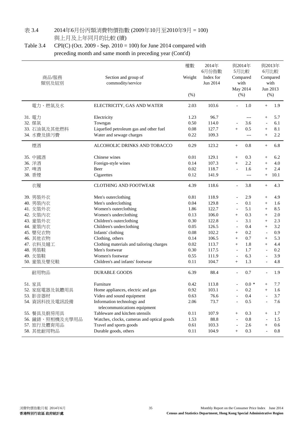### 表 3.4 2014年6月份丙類消費物價指數 (2009年10月至2010年9月 = 100) 與上月及上年同月的比較 (續)

### Table 3.4 CPI(C) (Oct. 2009 - Sep. 2010 = 100) for June 2014 compared with preceding month and same month in preceding year (Cont'd)

| 商品/服務<br>類別及組別                                                                                                                                        | 權數<br>2014年<br>6月份指數<br>Section and group of<br>Weight<br>Index for<br>commodity/service<br>Jun 2014<br>(%)                                                                                                                                                                                                                                 |                                                                                                      |                                                                                                                  |                                                                                                                                                                                                                                     |                                                                                         | 與2013年<br>6月比較<br>Compared<br>with<br>Jun 2013<br>$(\% )$                                                                                          |                                                                                         |  |
|-------------------------------------------------------------------------------------------------------------------------------------------------------|---------------------------------------------------------------------------------------------------------------------------------------------------------------------------------------------------------------------------------------------------------------------------------------------------------------------------------------------|------------------------------------------------------------------------------------------------------|------------------------------------------------------------------------------------------------------------------|-------------------------------------------------------------------------------------------------------------------------------------------------------------------------------------------------------------------------------------|-----------------------------------------------------------------------------------------|----------------------------------------------------------------------------------------------------------------------------------------------------|-----------------------------------------------------------------------------------------|--|
| 電力、燃氣及水                                                                                                                                               | ELECTRICITY, GAS AND WATER                                                                                                                                                                                                                                                                                                                  | 2.03                                                                                                 | 103.6                                                                                                            |                                                                                                                                                                                                                                     | 1.0                                                                                     | $^{+}$                                                                                                                                             | 1.9                                                                                     |  |
| 31. 電力<br>32. 煤氣<br>33. 石油氣及其他燃料<br>34. 水費及排污費                                                                                                        | Electricity<br>Towngas<br>Liquefied petroleum gas and other fuel<br>Water and sewage charges                                                                                                                                                                                                                                                | 1.23<br>0.50<br>0.08<br>0.22                                                                         | 96.7<br>114.0<br>127.7<br>109.3                                                                                  | $^{+}$                                                                                                                                                                                                                              | $---$<br>3.6<br>0.5<br>$---$                                                            | $+$<br>$\blacksquare$<br>$+$<br>$+$                                                                                                                | 5.7<br>6.1<br>8.1<br>2.2                                                                |  |
| 煙酒                                                                                                                                                    | ALCOHOLIC DRINKS AND TOBACCO                                                                                                                                                                                                                                                                                                                | 0.29                                                                                                 | 123.2                                                                                                            | $^{+}$                                                                                                                                                                                                                              | 0.8                                                                                     | $^{+}$                                                                                                                                             | 6.8                                                                                     |  |
| 35. 中國酒<br>36. 洋酒<br>37. 啤酒<br>38. 香煙                                                                                                                 | Chinese wines<br>Foreign-style wines<br>Beer<br>Cigarettes                                                                                                                                                                                                                                                                                  | 0.01<br>0.14<br>0.02<br>0.12                                                                         | 129.1<br>107.3<br>118.7<br>141.9                                                                                 | $+$<br>$+$<br>$\overline{a}$                                                                                                                                                                                                        | 0.3<br>2.2<br>1.6<br>$---$                                                              | $\! + \!\!\!\!$<br>$+$<br>$^{+}$<br>$\qquad \qquad +$                                                                                              | 6.2<br>4.0<br>2.4<br>10.1                                                               |  |
| 衣履                                                                                                                                                    | <b>CLOTHING AND FOOTWEAR</b>                                                                                                                                                                                                                                                                                                                | 4.39                                                                                                 | 118.6                                                                                                            | $\blacksquare$                                                                                                                                                                                                                      | 3.8                                                                                     | $^{+}$                                                                                                                                             | 4.3                                                                                     |  |
| 39. 男裝外衣<br>40. 男裝內衣<br>41. 女裝外衣<br>42. 女裝內衣<br>43. 童裝外衣<br>44. 童裝內衣<br>45. 嬰兒衣物<br>46. 其他衣物<br>47. 衣料及縫工<br>48. 男裝鞋<br>49. 女装鞋<br>50. 童装及嬰兒鞋<br>耐用物品 | Men's outerclothing<br>Men's underclothing<br>Women's outerclothing<br>Women's underclothing<br>Children's outerclothing<br>Children's underclothing<br>Infants' clothing<br>Clothing, others<br>Clothing materials and tailoring charges<br>Men's footwear<br>Women's footwear<br>Children's and infants' footwear<br><b>DURABLE GOODS</b> | 0.81<br>0.04<br>1.86<br>0.13<br>0.30<br>0.05<br>0.08<br>0.14<br>0.02<br>0.30<br>0.55<br>0.11<br>6.39 | 118.9<br>129.8<br>122.7<br>106.0<br>122.8<br>126.5<br>102.2<br>106.5<br>113.7<br>117.5<br>111.9<br>104.7<br>88.4 | $\overline{a}$<br>$\overline{a}$<br>$\overline{\phantom{a}}$<br>$^{+}$<br>$\overline{a}$<br>$\overline{\phantom{a}}$<br>$^{+}$<br>$^{+}$<br>$+$<br>$\overline{\phantom{a}}$<br>$\overline{\phantom{a}}$<br>$^{+}$<br>$\overline{a}$ | 2.9<br>0.1<br>5.1<br>0.3<br>3.1<br>0.4<br>0.2<br>0.7<br>1.8<br>1.7<br>6.3<br>1.3<br>0.7 | $+$<br>$\qquad \qquad +$<br>$^{+}$<br>$+$<br>$+$<br>$+$<br>$\overline{\phantom{a}}$<br>$^{+}$<br>$+$<br>$\overline{\phantom{a}}$<br>$\overline{a}$ | 4.9<br>1.6<br>8.5<br>2.0<br>2.3<br>3.2<br>0.9<br>5.3<br>4.4<br>0.2<br>3.9<br>4.8<br>1.9 |  |
| 51. 家具<br>52. 家庭電器及氣體用具<br>53. 影音器材<br>54. 資訊科技及電訊設備<br>55. 餐具及廚房用具<br>56. 鐘錶、照相機及光學用品<br>57. 旅行及體育用品<br>58. 其他耐用物品                                   | Furniture<br>Home appliances, electric and gas<br>Video and sound equipment<br>Information technology and<br>telecommunications equipment<br>Tableware and kitchen utensils<br>Watches, clocks, cameras and optical goods<br>Travel and sports goods<br>Durable goods, others                                                               | 0.42<br>0.92<br>0.63<br>2.06<br>0.11<br>1.53<br>0.61<br>0.11                                         | 113.8<br>103.1<br>76.6<br>73.7<br>107.9<br>88.8<br>103.3<br>104.9                                                | $^{+}$<br>$\overline{a}$<br>$^{+}$                                                                                                                                                                                                  | $0.0 *$<br>0.2<br>0.4<br>0.5<br>0.3<br>0.8<br>2.6<br>0.3                                | $^{+}$<br>$^{+}$<br>$^{+}$<br>$\overline{a}$<br>$^{+}$                                                                                             | 7.7<br>1.6<br>3.7<br>7.6<br>1.7<br>1.5<br>0.6<br>0.8                                    |  |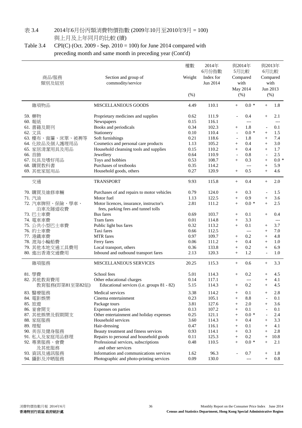#### 表 3.4 2014年6月份丙類消費物價指數 (2009年10月至2010年9月 = 100) 與上月及上年同月的比較 (續)

### Table 3.4 CPI(C) (Oct. 2009 - Sep. 2010 = 100) for June 2014 compared with preceding month and same month in preceding year (Cont'd)

| 商品/服務<br>類別及組別             | Section and group of<br>commodity/service                                      | 權數<br>Weight<br>(% ) | 2014年<br>6月份指數<br>Index for<br>Jun 2014 | 5月比較<br>Compared<br>with<br>May 2014<br>(%) | 與2014年       | 與2013年<br>6月比較<br>Compared<br>with<br>Jun 2013<br>(% ) |            |
|----------------------------|--------------------------------------------------------------------------------|----------------------|-----------------------------------------|---------------------------------------------|--------------|--------------------------------------------------------|------------|
| 雜項物品                       | <b>MISCELLANEOUS GOODS</b>                                                     | 4.49                 | 110.1                                   | $^{+}$                                      | $0.0 *$      | $^{+}$                                                 | 1.8        |
| 59. 藥物<br>60. 報紙           | Proprietary medicines and supplies<br>Newspapers                               | 0.62<br>0.15         | 111.9<br>116.1                          | $\overline{a}$                              | 0.4<br>$---$ | $+$                                                    | 2.1<br>--- |
| 61. 書籍及期刊                  | Books and periodicals                                                          | 0.34                 | 102.3                                   | $^{+}$                                      | 1.8          | $\overline{\phantom{a}}$                               | 0.1        |
| 62. 文具                     | Stationery                                                                     | 0.10                 | 110.4                                   | $\blacksquare$                              | $0.0 *$      | $+$                                                    | 1.5        |
| 63. 檯布、窗簾、床單、被褥等           | Soft furnishings                                                               | 0.21                 | 118.6                                   | $\blacksquare$                              | 1.8          | $+$                                                    | 7.4        |
| 64. 化妝品及個人護理用品             | Cosmetics and personal care products                                           | 1.13                 | 105.2                                   | $+$                                         | 0.4          | $+$                                                    | 3.0        |
| 65. 家居清潔用具及用品              | Household cleansing tools and supplies                                         | 0.15                 | 110.2                                   | $+$                                         | 0.4          | $+$                                                    | 1.7        |
| 66. 首飾                     | Jewellery                                                                      | 0.64                 | 110.9                                   | $\overline{\phantom{a}}$                    | 0.8          | $\overline{\phantom{a}}$                               | 2.5        |
| 67. 玩具及嗜好用品                | Toys and hobbies                                                               | 0.53                 | 108.7                                   | $+$                                         | 0.3          | $+$                                                    | $0.0*$     |
| 68. 購買教科書                  | Purchases of textbooks                                                         | 0.35                 | 114.2                                   |                                             | $---$        | $+$                                                    | 5.9        |
| 69. 其他家庭用品                 | Household goods, others                                                        | 0.27                 | 120.9                                   | $^{+}$                                      | 0.5          | $+$                                                    | 4.6        |
| 交通                         | <b>TRANSPORT</b>                                                               | 9.93                 | 115.8                                   | $+$                                         | 0.4          | $^{+}$                                                 | 2.0        |
| 70. 購買及維修車輛                | Purchases of and repairs to motor vehicles                                     | 0.79                 | 124.0                                   | $^{+}$                                      | 0.3          | $\overline{a}$                                         | 1.5        |
| 71. 汽油                     | Motor fuel                                                                     | 1.13                 | 122.5                                   | $+$                                         | 0.9          | $+$                                                    | 3.6        |
| 72. 汽車牌照、保險、學車、<br>泊車及隧道收費 | Motor licences, insurance, instructor's<br>fees, parking fees and tunnel tolls | 2.81                 | 111.2                                   | $+$                                         | $0.0 *$      | $+$                                                    | 2.5        |
| 73. 巴士車費                   | <b>Bus</b> fares                                                               | 0.69                 | 103.7                                   | $^{+}$                                      | 0.1          | $^{+}$                                                 | 0.4        |
| 74. 電車車費                   | Tram fares                                                                     | 0.01                 | 114.8                                   | $+$                                         | 3.3          |                                                        | $---$      |
| 75. 公共小型巴士車費               | Public light bus fares                                                         | 0.32                 | 113.2                                   | $+$                                         | 0.1          | $^{+}$                                                 | 3.7        |
| 76. 的士車費                   | Taxi fares                                                                     | 0.66                 | 112.5                                   |                                             | ---          | $^{+}$                                                 | 7.0        |
| 77. 港鐵車費                   | <b>MTR</b> fares                                                               | 0.97                 | 109.7                                   | $^{+}$                                      | 0.2          | $^{+}$                                                 | 4.8        |
| 78. 渡海小輪船費                 | Ferry fares                                                                    | 0.06                 | 111.2                                   | $^{+}$                                      | 0.4          | $+$                                                    | 1.0        |
| 79. 其他本地交通工具費用             | Local transport, others                                                        | 0.36                 | 133.8                                   | $+$                                         | 0.2          | $+$                                                    | 6.9        |
| 80. 進出香港交通費用               | Inbound and outbound transport fares                                           | 2.13                 | 120.3                                   | $\! + \!\!\!\!$                             | 1.2          | $\overline{\phantom{a}}$                               | 1.0        |
| 雜項服務                       | MISCELLANEOUS SERVICES                                                         | 20.25                | 115.3                                   | $^{+}$                                      | 0.6          | $+$                                                    | 3.3        |
| 81. 學費                     | School fees                                                                    | 5.01                 | 114.3                                   | $\! + \!\!\!\!$                             | 0.2          | $^{+}$                                                 | 4.5        |
| 82. 其他教育費用                 | Other educational charges                                                      | 0.14                 | 117.1                                   |                                             | ---          | $^{+}$                                                 | 4.1        |
| 教育服務(即第81至第82組)            | Educational services (i.e. groups 81 - 82)                                     | 5.15                 | 114.3                                   | $^{+}$                                      | 0.2          | $^{+}$                                                 | 4.5        |
| 83. 醫療服務                   | Medical services                                                               | 3.38                 | 114.2                                   | $\! + \!\!\!\!$                             | 0.1          | $^{+}$                                                 | 2.8        |
| 84. 電影娛樂                   | Cinema entertainment                                                           | 0.23                 | 105.1                                   | $^{+}$                                      | 8.8          |                                                        | 0.1        |
| 85. 旅遊                     | Package tours                                                                  | 3.81                 | 127.6                                   | $^{+}$                                      | 2.0          | $^{+}$                                                 | 3.6        |
| 86. 宴會開支                   | Expenses on parties                                                            | 0.13                 | 107.2                                   | $^{+}$                                      | 0.1          |                                                        | 0.1        |
| 87. 其他娛樂及假期開支              | Other entertainment and holiday expenses                                       | 0.25                 | 121.1                                   | $+$                                         | $0.0*$       |                                                        | 2.4        |
| 88. 家庭服務                   | Household services                                                             | 3.60                 | 114.3                                   | $^{+}$                                      | 0.4          | $^{+}$                                                 | 3.3        |
| 89. 理髮                     | Hair-dressing                                                                  | 0.47                 | 116.1                                   | $^{+}$                                      | 0.1          | $^{+}$                                                 | 4.1        |
| 90. 美容及健身服務                | Beauty treatment and fitness services                                          | 0.93                 | 114.1                                   | $^{+}$                                      | 0.3          | $+$                                                    | 2.8        |
| 91. 私人及家庭用品修理              | Repairs to personal and household goods                                        | 0.11                 | 125.3                                   | $^{+}$                                      | 0.2          | $+$                                                    | 10.8       |
| 92. 專業服務、會費<br>及其他服務       | Professional services, subscriptions<br>and other services                     | 0.48                 | 110.5                                   | $^{+}$                                      | $0.0 *$      | $+$                                                    | 2.1        |
| 93. 資訊及通訊服務                | Information and communications services                                        | 1.62                 | 96.3                                    |                                             | 0.7          | $^{+}$                                                 | 1.8        |
| 94. 攝影及沖晒服務                | Photographic and photo-printing services                                       | 0.09                 | 130.0                                   |                                             | $---$        | $+$                                                    | 0.8        |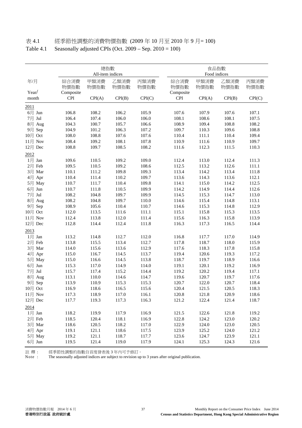## 表 4.1 經季節性調整的消費物價指數 (2009 年 10 月至 2010 年 9 月= 100)

|  | Table 4.1 Seasonally adjusted CPIs (Oct. $2009 - \text{Sep. } 2010 = 100$ ) |  |  |  |
|--|-----------------------------------------------------------------------------|--|--|--|
|--|-----------------------------------------------------------------------------|--|--|--|

|                |                         | 總指數<br>All-item indices |              |              |                  | 食品指數<br>Food indices |              |              |
|----------------|-------------------------|-------------------------|--------------|--------------|------------------|----------------------|--------------|--------------|
| 年/月            | 綜合消費<br>物價指數            | 甲類消費<br>物價指數            | 乙類消費<br>物價指數 | 丙類消費<br>物價指數 | 綜合消費<br>物價指數     | 甲類消費<br>物價指數         | 乙類消費<br>物價指數 | 丙類消費<br>物價指數 |
| Year/<br>month | Composite<br><b>CPI</b> | CPI(A)                  | CPI(B)       | CPI(C)       | Composite<br>CPI | CPI(A)               | CPI(B)       | CPI(C)       |
| 2011           |                         |                         |              |              |                  |                      |              |              |
| $6$ 月 Jun      | 106.8                   | 108.2                   | 106.2        | 105.9        | 107.6            | 107.9                | 107.6        | 107.1        |
| 7月 Jul         | 106.4                   | 107.4                   | 106.0        | 106.0        | 108.1            | 108.6                | 108.1        | 107.5        |
| 8月 Aug         | 104.3                   | 100.7                   | 105.7        | 106.6        | 108.9            | 109.4                | 108.8        | 108.2        |
| 9月 Sep         | 104.9                   | 101.2                   | 106.3        | 107.2        | 109.7            | 110.3                | 109.6        | 108.8        |
| 10月 Oct        | 108.0                   | 108.8                   | 107.6        | 107.6        | 110.4            | 111.1                | 110.4        | 109.4        |
| 11月 Nov        | 108.4                   | 109.2                   | 108.1        | 107.8        | 110.9            | 111.6                | 110.9        | 109.7        |
| 12月 Dec        | 108.8                   | 109.7                   | 108.5        | 108.2        | 111.6            | 112.3                | 111.5        | 110.3        |
| 2012           |                         |                         |              |              |                  |                      |              |              |
| $1$ 月 Jan      | 109.6                   | 110.5                   | 109.2        | 109.0        | 112.4            | 113.0                | 112.4        | 111.3        |
| 2月 Feb         | 109.5                   | 110.5                   | 109.2        | 108.6        | 112.5            | 113.2                | 112.6        | 111.1        |
| 3月 Mar         | 110.1                   | 111.2                   | 109.8        | 109.3        | 113.4            | 114.2                | 113.4        | 111.8        |
| 4月 Apr         | 110.4                   | 111.4                   | 110.2        | 109.7        | 113.6            | 114.3                | 113.6        | 112.1        |
| 5月 May         | 110.7                   | 111.7                   | 110.4        | 109.8        | 114.1            | 115.0                | 114.2        | 112.5        |
| $6$ 月 Jun      | 110.7                   | 111.8                   | 110.5        | 109.9        | 114.2            | 114.9                | 114.4        | 112.6        |
| 7月 Jul         | 108.2                   | 104.8                   | 109.7        | 109.9        | 114.5            | 115.3                | 114.7        | 113.0        |
| 8月 Aug         | 108.2                   | 104.8                   | 109.7        | 110.0        | 114.6            | 115.4                | 114.8        | 113.1        |
| 9月 Sep         | 108.9                   | 105.6                   | 110.4        | 110.7        | 114.6            | 115.3                | 114.8        | 112.9        |
| 10月 Oct        | 112.0                   | 113.5                   | 111.6        | 111.1        | 115.1            | 115.8                | 115.3        | 113.5        |
| 11月 Nov        | 112.4                   | 113.8                   | 112.0        | 111.4        | 115.6            | 116.3                | 115.8        | 113.9        |
| 12月 Dec        | 112.8                   | 114.4                   | 112.4        | 111.8        | 116.3            | 117.3                | 116.5        | 114.4        |
| 2013           |                         |                         |              |              |                  |                      |              |              |
| 1月 Jan         | 113.2                   | 114.8                   | 112.7        | 112.0        | 116.8            | 117.7                | 117.0        | 114.9        |
| 2月 Feb         | 113.8                   | 115.5                   | 113.4        | 112.7        | 117.8            | 118.7                | 118.0        | 115.9        |
| 3月 Mar         | 114.0                   | 115.6                   | 113.6        | 112.9        | 117.6            | 118.3                | 117.8        | 115.8        |
| 4月 Apr         | 115.0                   | 116.7                   | 114.5        | 113.7        | 119.4            | 120.6                | 119.3        | 117.2        |
| 5月 May         | 115.0                   | 116.6                   | 114.5        | 113.8        | 118.7            | 119.7                | 118.9        | 116.6        |
| $6$ 月 Jun      | 115.3                   | 117.0                   | 114.9        | 114.0        | 119.1            | 120.1                | 119.2        | 116.9        |
| 7月 Jul         | 115.7                   | 117.4                   | 115.2        | 114.4        | 119.2            | 120.2                | 119.4        | 117.1        |
| 8月 Aug         | 113.1                   | 110.0                   | 114.6        | 114.7        | 119.6            | 120.7                | 119.7        | 117.6        |
| 9月 Sep         | 113.9                   | 110.9                   | 115.3        | 115.3        | 120.7            | 122.0                | 120.7        | 118.4        |
| 10月 Oct        | 116.9                   | 118.6                   | 116.5        | 115.6        | 120.4            | 121.5                | 120.5        | 118.3        |
| 11月 Nov        | 117.3                   | 118.9                   | 117.0        | 116.1        | 120.8            | 121.8                | 120.9        | 118.6        |
| $12$ 月 Dec     | 117.7                   | 119.3                   | 117.3        | 116.3        | 121.2            | 122.4                | 121.4        | 118.7        |
| 2014           |                         |                         |              |              |                  |                      |              |              |
| $1$ 月 Jan      | 118.2                   | 119.9                   | 117.9        | 116.9        | 121.5            | 122.6                | 121.8        | 119.2        |
| 2月 Feb         | 118.5                   | 120.4                   | 118.1        | 116.9        | 122.8            | 124.2                | 123.0        | 120.2        |
| 3月 Mar         | 118.6                   | 120.5                   | 118.2        | 117.0        | 122.9            | 124.0                | 123.0        | 120.5        |
| 4月 Apr         | 119.1                   | 121.1                   | 118.6        | 117.5        | 123.9            | 125.2                | 124.0        | 121.2        |
| 5月 May         | 119.2                   | 121.1                   | 118.7        | 117.7        | 123.6            | 124.7                | 123.9        | 121.1        |
| $6$ 月 Jun      | 119.5                   | 121.4                   | 119.0        | 117.9        | 124.1            | 125.3                | 124.3        | 121.6        |

註 釋 : 經季節性調整的指數自首度發表後 3 年內可予修訂。

Note : The seasonally adjusted indices are subject to revision up to 3 years after original publication.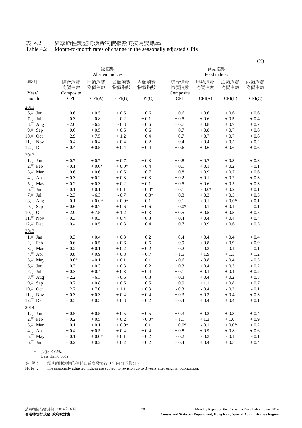#### 表 4.2 經季節性調整的消費物價指數的按月變動率 Month-to-month rates of change in the seasonally adjusted CPIs

|            |                         |                         |              |              |              |                      |              | (%)          |
|------------|-------------------------|-------------------------|--------------|--------------|--------------|----------------------|--------------|--------------|
|            |                         | 總指數<br>All-item indices |              |              |              | 食品指數<br>Food indices |              |              |
| 年/月        | 綜合消費<br>物價指數            | 甲類消費<br>物價指數            | 乙類消費<br>物價指數 | 丙類消費<br>物價指數 | 綜合消費<br>物價指數 | 甲類消費<br>物價指數         | 乙類消費<br>物價指數 | 丙類消費<br>物價指數 |
| Year/      | Composite<br><b>CPI</b> |                         |              |              | Composite    |                      |              |              |
| month      |                         | CPI(A)                  | CPI(B)       | CPI(C)       | <b>CPI</b>   | CPI(A)               | CPI(B)       | CPI(C)       |
| 2011       |                         |                         |              |              |              |                      |              |              |
| $6$ 月 Jun  | $+0.6$                  | $+0.5$                  | $+0.6$       | $+0.6$       | $+0.6$       | $+0.6$               | $+0.6$       | $+0.6$       |
| 7月 Jul     | $-0.3$                  | $\sim 0.8$              | $-0.2$       | $+0.1$       | $+0.5$       | $+0.6$               | $+0.5$       | $+\,0.4$     |
| 8月 Aug     | $-2.0$                  | $-6.2$                  | $-0.3$       | $+0.6$       | $+0.7$       | $+0.8$               | $+0.7$       | $+0.7$       |
| 9月 Sep     | $+0.6$                  | $+0.5$                  | $+0.6$       | $+0.6$       | $+0.7$       | $+0.8$               | $+0.7$       | $+0.6$       |
| 10月 Oct    | $+2.9$                  | $+7.5$                  | $+1.2$       | $+0.4$       | $+0.7$       | $+0.7$               | $+0.7$       | $+0.6$       |
| $11$ 月 Nov | $+0.4$                  | $+0.4$                  | $+0.4$       | $+0.2$       | $+0.4$       | $+0.4$               | $+0.5$       | $+0.2$       |
| 12月 Dec    | $+0.4$                  | $+0.5$                  | $+0.4$       | $+0.4$       | $+0.6$       | $+0.6$               | $+0.6$       | $+0.6$       |
| 2012       |                         |                         |              |              |              |                      |              |              |
| $1$ 月 Jan  | $+0.7$                  | $+0.7$                  | $+0.7$       | $+0.8$       | $+0.8$       | $+0.7$               | $+\,0.8$     | $+0.8$       |
| 2月 Feb     | $-0.1$                  | $+0.0*$                 | $+0.0*$      | $-0.4$       | $+\ 0.1$     | $+0.1$               | $+0.2$       | $-0.1$       |
| 3月 Mar     | $+0.6$                  | $+0.6$                  | $+0.5$       | $+0.7$       | $+\,0.8$     | $+0.9$               | $+0.7$       | $+0.6$       |
| 4月 Apr     | $+0.3$                  | $+0.2$                  | $+0.3$       | $+0.3$       | $+0.2$       | $+0.1$               | $+0.2$       | $+0.3$       |
| 5月 May     | $+0.2$                  | $+0.3$                  | $+0.2$       | $+0.1$       | $+0.5$       | $+0.6$               | $+0.5$       | $+0.3$       |
| $6$ 月 Jun  | $+\,0.1$                | $+\ 0.1$                | $+\,0.1$     | $+0.0*$      | $+\,0.1$     | - $0.0^\ast$         | $+\,0.2$     | $+0.1$       |
| 7月 Jul     | $-2.3$                  | $-6.3$                  | $-0.7$       | $+0.0*$      | $+0.3$       | $+0.3$               | $+0.3$       | $+0.3$       |
| 8月 Aug     | $+0.1$                  | $+0.0*$                 | $+0.0*$      | $+\,0.1$     | $+0.1$       | $+\ 0.1$             | $+0.0*$      | $+0.1$       |
| 9月 Sep     | $+0.6$                  | $+0.7$                  | $+0.6$       | $+0.6$       | $-0.0*$      | $-0.1$               | $+0.1$       | $-0.1$       |
| 10月 Oct    | $+2.9$                  | $+7.5$                  | $+1.2$       | $+0.3$       | $+0.5$       | $+0.5$               | $+0.5$       | $+0.5$       |
| $11$ 月 Nov | $+0.3$                  | $+0.3$                  | $+0.4$       | $+0.3$       | $+0.4$       | $+0.4$               | $+0.4$       | $+0.4$       |
| 12月 Dec    | $+0.4$                  | $+0.5$                  | $+0.3$       | $+0.4$       | $+0.7$       | $+0.9$               | $+0.6$       | $+0.5$       |
| 2013       |                         |                         |              |              |              |                      |              |              |
| $1$ 月 Jan  | $+0.3$                  | $+0.4$                  | $+0.3$       | $+0.2$       | $+0.4$       | $+0.4$               | $+0.4$       | $+0.4$       |
| 2月 Feb     | $+0.6$                  | $+0.5$                  | $+0.6$       | $+0.6$       | $+0.9$       | $+0.8$               | $+0.9$       | $+0.9$       |
| 3月 Mar     | $+0.2$                  | $+0.1$                  | $+0.2$       | $+0.2$       | $-0.2$       | $-0.3$               | $-0.1$       | $-0.1$       |
| 4月 Apr     | $+\,0.8$                | $+0.9$                  | $+0.8$       | $+0.7$       | $+1.5$       | $+1.9$               | $+1.3$       | $+1.2$       |
| 5月 May     | $+0.0*$                 | $-0.1$                  | $+0.1$       | $+\,0.1$     | $-0.6$       | $-0.8$               | $-0.4$       | $-0.5$       |
| 6月 Jun     | $+0.3$                  | $+0.3$                  | $+0.3$       | $+0.2$       | $+0.3$       | $+0.4$               | $+0.3$       | $+0.2$       |
| 7月 Jul     | $+0.3$                  | $+\,0.4$                | $+0.3$       | $+0.4$       | $+\,0.1$     | $+\ 0.1$             | $+0.1$       | $+0.2$       |
| 8月 Aug     | $-2.2$                  | $-6.3$                  | $-0.6$       | $+0.3$       | $+0.3$       | $+0.4$               | $+0.2$       | $+\,0.5$     |
| 9月 Sep     | $+0.7$                  | $+0.8$                  | $+0.6$       | $+0.5$       | $+0.9$       | $+1.1$               | $+0.8$       | $+0.7$       |
| $10$ 月 Oct | $+2.7$                  | $+7.0$                  | $+1.1$       | $+0.3$       | $-0.3$       | $-0.4$               | $-0.2$       | $-0.1$       |
| $11$ 月 Nov | $+0.3$                  | $+0.3$                  | $+0.4$       | $+0.4$       | $+0.3$       | $+0.3$               | $+0.4$       | $+0.3$       |
| 12月 Dec    | $+0.3$                  | $+0.3$                  | $+0.3$       | $+0.2$       | $+0.4$       | $+0.4$               | $+0.4$       | $+0.1$       |
| 2014       |                         |                         |              |              |              |                      |              |              |
| $1$ 月 Jan  | $+0.5$                  | $+0.5$                  | $+0.5$       | $+0.5$       | $+0.3$       | $+0.2$               | $+0.3$       | $+0.4$       |
| 2月 Feb     | $+0.2$                  | $+0.5$                  | $+0.2$       | $-0.0*$      | $+1.1$       | $+1.3$               | $+1.0$       | $+0.9$       |
| 3月 Mar     | $+0.1$                  | $+0.1$                  | $+0.0*$      | $+0.1$       | $+0.0*$      | $-0.1$               | $+0.0*$      | $+0.2$       |
| 4月 Apr     | $+0.4$                  | $+0.5$                  | $+0.4$       | $+0.4$       | $+0.8$       | $+0.9$               | $+0.8$       | $+0.6$       |
| 5月 May     | $+0.1$                  | $+0.0*$                 | $+0.1$       | $+0.2$       | $-0.2$       | $-0.3$               | $-0.1$       | $-0.1$       |
| $6$ 月 Jun  | $+0.2$                  | $+0.2$                  | $+0.2$       | $+0.2$       | $+0.4$       | $+0.4$               | $+0.3$       | $+0.4$       |
|            |                         |                         |              |              |              |                      |              |              |

\* 少於 0.05%

註 釋 : 經季節性調整的指數自首度發表後 3 年內可予修訂。

Note : The seasonally adjusted indices are subject to revision up to 3 years after original publication.

Less than 0.05%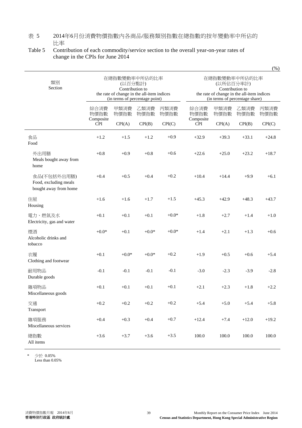#### 表 5 2014年6月份消費物價指數內各商品/服務類別指數在總指數的按年變動率中所佔的 比率

#### Table 5 Contribution of each commodity/service section to the overall year-on-year rates of change in the CPIs for June 2014

| 類別<br>Section                                                 |                         | 在總指數變動率中所佔的比率<br>(以百分點計)<br>Contribution to<br>the rate of change in the all-item indices |              |              |                         | 在總指數變動率中所佔的比率<br>(以所佔百分率計)<br>Contribution to<br>the rate of change in the all-item indices<br>(in terms of percentage share) |              |              |
|---------------------------------------------------------------|-------------------------|-------------------------------------------------------------------------------------------|--------------|--------------|-------------------------|-------------------------------------------------------------------------------------------------------------------------------|--------------|--------------|
|                                                               | 綜合消費<br>物價指數            | (in terms of percentage point)<br>甲類消費<br>物價指數                                            | 乙類消費<br>物價指數 | 丙類消費<br>物價指數 | 綜合消費<br>物價指數            | 甲類消費<br>物價指數                                                                                                                  | 乙類消費<br>物價指數 | 丙類消費<br>物價指數 |
|                                                               | Composite<br><b>CPI</b> | CPI(A)                                                                                    | CPI(B)       | CPI(C)       | Composite<br><b>CPI</b> | CPI(A)                                                                                                                        | CPI(B)       | CPI(C)       |
| 食品<br>Food                                                    | $+1.2$                  | $+1.5$                                                                                    | $+1.2$       | $+0.9$       | $+32.9$                 | $+39.3$                                                                                                                       | $+33.1$      | $+24.8$      |
| 外出用膳<br>Meals bought away from<br>home                        | $+0.8$                  | $+0.9$                                                                                    | $+0.8$       | $+0.6$       | $+22.6$                 | $+25.0$                                                                                                                       | $+23.2$      | $+18.7$      |
| 食品(不包括外出用膳)<br>Food, excluding meals<br>bought away from home | $+0.4$                  | $+0.5$                                                                                    | $+0.4$       | $+0.2$       | $+10.4$                 | $+14.4$                                                                                                                       | $+9.9$       | $+6.1$       |
| 住屋<br>Housing                                                 | $+1.6$                  | $+1.6$                                                                                    | $+1.7$       | $+1.5$       | $+45.3$                 | $+42.9$                                                                                                                       | $+48.3$      | $+43.7$      |
| 電力、燃氣及水<br>Electricity, gas and water                         | $+0.1$                  | $+0.1$                                                                                    | $+0.1$       | $+0.0*$      | $+1.8$                  | $+2.7$                                                                                                                        | $+1.4$       | $+1.0$       |
| 煙酒<br>Alcoholic drinks and<br>tobacco                         | $+0.0*$                 | $+0.1$                                                                                    | $+0.0*$      | $+0.0*$      | $+1.4$                  | $+2.1$                                                                                                                        | $+1.3$       | $+0.6$       |
| 衣履<br>Clothing and footwear                                   | $+0.1$                  | $+0.0*$                                                                                   | $+0.0*$      | $+0.2$       | $+1.9$                  | $+0.5$                                                                                                                        | $+0.6$       | $+5.4$       |
| 耐用物品<br>Durable goods                                         | $-0.1$                  | $-0.1$                                                                                    | $-0.1$       | $-0.1$       | $-3.0$                  | $-2.3$                                                                                                                        | $-3.9$       | $-2.8$       |
| 雜項物品<br>Miscellaneous goods                                   | $+0.1$                  | $+0.1$                                                                                    | $+0.1$       | $+0.1$       | $+2.1$                  | $+2.3$                                                                                                                        | $+1.8$       | $+2.2$       |
| 交通<br>Transport                                               | $+0.2$                  | $+0.2$                                                                                    | $+0.2$       | $+0.2$       | $+5.4$                  | $+5.0$                                                                                                                        | $+5.4$       | $+5.8$       |
| 雜項服務<br>Miscellaneous services                                | $+0.4$                  | $+0.3$                                                                                    | $+0.4$       | $+0.7$       | $+12.4$                 | $+7.4$                                                                                                                        | $+12.0$      | $+19.2$      |
| 總指數<br>All items                                              | $+3.6$                  | $+3.7$                                                                                    | $+3.6$       | $+3.5$       | $100.0\,$               | 100.0                                                                                                                         | 100.0        | 100.0        |

 \* 少於 0.05%

 $\overline{a}$ 

J.

Less than 0.05%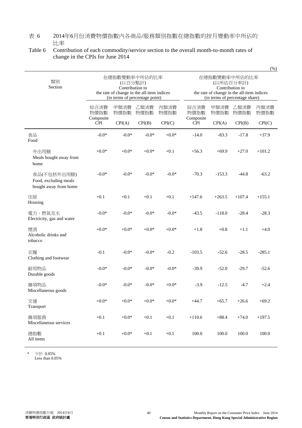#### 表 6 2014年6月份消費物價指數內各商品/服務類別指數在總指數的按月變動率中所佔的 比率

#### Table 6 Contribution of each commodity/service section to the overall month-to-month rates of change in the CPIs for June 2014

|                                                               |                                                                                                                             | $\sqrt{2}$   |              |              |                                                             |                                |              |              |
|---------------------------------------------------------------|-----------------------------------------------------------------------------------------------------------------------------|--------------|--------------|--------------|-------------------------------------------------------------|--------------------------------|--------------|--------------|
| 類別<br>Section                                                 | 在總指數變動率中所佔的比率<br>(以百分點計)<br>Contribution to<br>the rate of change in the all-item indices<br>(in terms of percentage point) |              |              |              | 在總指數變動率中所佔的比率<br>the rate of change in the all-item indices | (in terms of percentage share) |              |              |
|                                                               | 綜合消費<br>物價指數                                                                                                                | 甲類消費<br>物價指數 | 乙類消費<br>物價指數 | 丙類消費<br>物價指數 | 綜合消費<br>物價指數                                                | 甲類消費<br>物價指數                   | 乙類消費<br>物價指數 | 丙類消費<br>物價指數 |
|                                                               | Composite<br><b>CPI</b>                                                                                                     | CPI(A)       | CPI(B)       | CPI(C)       | Composite<br><b>CPI</b>                                     | CPI(A)                         | CPI(B)       | CPI(C)       |
| 食品<br>Food                                                    | $-0.0*$                                                                                                                     | $-0.0*$      | $-0.0*$      | $+0.0*$      | $-14.0$                                                     | $-83.3$                        | $-17.8$      | $+37.9$      |
| 外出用膳<br>Meals bought away from<br>home                        | $+0.0*$                                                                                                                     | $+0.0*$      | $+0.0*$      | $+0.1$       | $+56.3$                                                     | $+69.9$                        | $+27.0$      | $+101.2$     |
| 食品(不包括外出用膳)<br>Food, excluding meals<br>bought away from home | $-0.0*$                                                                                                                     | $-0.0*$      | $-0.0*$      | $-0.0*$      | $-70.3$                                                     | $-153.3$                       | $-44.8$      | $-63.2$      |
| 住屋<br>Housing                                                 | $+0.1$                                                                                                                      | $+0.1$       | $+0.1$       | $+0.1$       | $+147.6$                                                    | $+263.5$                       | $+107.4$     | $+155.1$     |
| 電力、燃氣及水<br>Electricity, gas and water                         | $-0.0*$                                                                                                                     | $-0.0*$      | $-0.0*$      | $-0.0*$      | $-43.5$                                                     | $-118.0$                       | $-28.4$      | $-28.3$      |
| 煙酒<br>Alcoholic drinks and<br>tobacco                         | $+0.0*$                                                                                                                     | $+0.0*$      | $+0.0*$      | $+0.0*$      | $+1.8$                                                      | $+0.8$                         | $+1.1$       | $+4.0$       |
| 衣履<br>Clothing and footwear                                   | $-0.1$                                                                                                                      | $-0.0*$      | $-0.0*$      | $-0.2$       | $-103.5$                                                    | $-52.6$                        | $-28.5$      | $-285.1$     |
| 耐用物品<br>Durable goods                                         | $-0.0*$                                                                                                                     | $-0.0*$      | $-0.0*$      | $-0.0*$      | $-39.9$                                                     | $-52.0$                        | $-29.7$      | $-52.6$      |
| 雜項物品<br>Miscellaneous goods                                   | $-0.0*$                                                                                                                     | $-0.0*$      | $-0.0*$      | $+0.0*$      | $-3.9$                                                      | $-12.5$                        | $-4.7$       | $+2.4$       |
| 交通<br>Transport                                               | $+0.0*$                                                                                                                     | $+0.0*$      | $+0.0*$      | $+0.0*$      | $+44.7$                                                     | $+65.7$                        | $+26.6$      | $+69.2$      |
| 雜項服務<br>Miscellaneous services                                | $+0.1$                                                                                                                      | $+0.0*$      | $+0.1$       | $+0.1$       | $+110.6$                                                    | $+88.4$                        | $+74.0$      | $+197.5$     |
| 總指數<br>All items                                              | $+0.1$                                                                                                                      | $+0.0*$      | $+0.1$       | $+0.1$       | $100.0\,$                                                   | 100.0                          | $100.0\,$    | 100.0        |

\* 少於 0.05%

٦

Less than 0.05%

 $(\frac{96}{9})$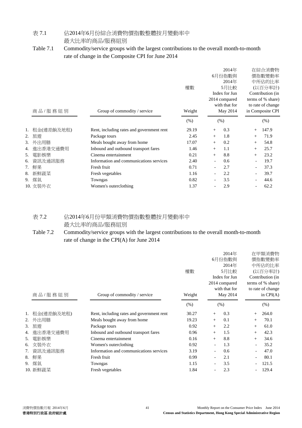### 表 7.1 佔2014年6月份綜合消費物價指數整體按月變動率中

#### 最大比率的商品/服務組別

### Table 7.1 Commodity/service groups with the largest contributions to the overall month-to-month rate of change in the Composite CPI for June 2014

| 商品/服務組別 |            | Group of commodity / service              | 權數<br>Weight |                          | 2014年<br>6月份指數與<br>2014年<br>5月比較<br>Index for Jun<br>2014 compared<br>with that for<br>May 2014 | 在綜合消費物<br>價指數變動率<br>中所佔的比率<br>(以百分率計)<br>Contribution (in<br>terms of % share)<br>to rate of change<br>in Composite CPI |       |  |
|---------|------------|-------------------------------------------|--------------|--------------------------|-------------------------------------------------------------------------------------------------|-------------------------------------------------------------------------------------------------------------------------|-------|--|
|         |            |                                           | (% )         |                          | (% )                                                                                            |                                                                                                                         | (% )  |  |
| 1.      | 租金(連差餉及地租) | Rent, including rates and government rent | 29.19        | $^+$                     | 0.3                                                                                             | $^{+}$                                                                                                                  | 147.9 |  |
| 2.      | 旅游         | Package tours                             | 2.45         | $^{+}$                   | 1.8                                                                                             | $^{+}$                                                                                                                  | 71.9  |  |
| 3.      | 外出用膳       | Meals bought away from home               | 17.07        | $^{+}$                   | 0.2                                                                                             | $^{+}$                                                                                                                  | 54.8  |  |
| 4.      | 進出香港交通費用   | Inbound and outbound transport fares      | 1.46         | $^{+}$                   | 1.1                                                                                             | $^{+}$                                                                                                                  | 25.7  |  |
| 5.      | 電影娛樂       | Cinema entertainment                      | 0.21         | $^{+}$                   | 8.8                                                                                             | $^{+}$                                                                                                                  | 23.2  |  |
| 6.      | 資訊及通訊服務    | Information and communications services   | 2.40         | $\overline{\phantom{a}}$ | 0.6                                                                                             |                                                                                                                         | 19.7  |  |
| 7.      | 鮮果         | Fresh fruit                               | 0.71         |                          | 2.7                                                                                             |                                                                                                                         | 37.3  |  |
| 8.      | 新鮮蔬菜       | Fresh vegetables                          | 1.16         |                          | 2.2                                                                                             |                                                                                                                         | 39.7  |  |
| 9.      | 煤氣         | Towngas                                   | 0.82         |                          | 3.5                                                                                             |                                                                                                                         | 44.6  |  |
|         | 10. 女裝外衣   | Women's outerclothing                     | 1.37         |                          | 2.9                                                                                             |                                                                                                                         | 62.2  |  |

### 表 7.2 佔2014年6月份甲類消費物價指數整體按月變動率中 最大比率的商品/服務組別

#### Table 7.2 Commodity/service groups with the largest contributions to the overall month-to-month rate of change in the CPI(A) for June 2014

| 商品/服務組別 |            | Group of commodity / service              | 權數<br>Weight |                | 2014年<br>6月份指數與<br>2014年<br>5月比較<br>Index for Jun<br>2014 compared<br>with that for<br>May 2014 |        | 在甲類消費物<br>價指數變動率<br>中所佔的比率<br>(以百分率計)<br>Contribution (in<br>terms of % share)<br>to rate of change<br>in $CPI(A)$ |
|---------|------------|-------------------------------------------|--------------|----------------|-------------------------------------------------------------------------------------------------|--------|--------------------------------------------------------------------------------------------------------------------|
|         |            |                                           | (% )         |                | (% )                                                                                            |        | (% )                                                                                                               |
|         | 租金(連差餉及地租) | Rent, including rates and government rent | 30.27        | $^{+}$         | 0.3                                                                                             | $^{+}$ | 264.0                                                                                                              |
| 2.      | 外出用膳       | Meals bought away from home               | 19.23        | $^{+}$         | 0.1                                                                                             | $^{+}$ | 70.1                                                                                                               |
| 3.      | 旅游         | Package tours                             | 0.92         | $^{+}$         | 2.2                                                                                             | $+$    | 61.0                                                                                                               |
| 4.      | 進出香港交通費用   | Inbound and outbound transport fares      | 0.96         | $^{+}$         | 1.5                                                                                             | $^{+}$ | 42.3                                                                                                               |
| 5.      | 電影娛樂       | Cinema entertainment                      | 0.16         | $^{+}$         | 8.8                                                                                             | $+$    | 34.6                                                                                                               |
| 6.      | 女裝外衣       | Women's outerclothing                     | 0.92         | $\blacksquare$ | 1.3                                                                                             |        | 35.2                                                                                                               |
|         | 資訊及通訊服務    | Information and communications services   | 3.19         |                | 0.6                                                                                             |        | 47.0                                                                                                               |
| 8.      | 鮮果         | Fresh fruit                               | 0.99         |                | 2.1                                                                                             |        | 80.1                                                                                                               |
| 9.      | 煤氣         | Towngas                                   | 1.15         |                | 3.5                                                                                             |        | 121.5                                                                                                              |
|         | 10. 新鮮蔬菜   | Fresh vegetables                          | 1.84         |                | 2.3                                                                                             |        | 129.4                                                                                                              |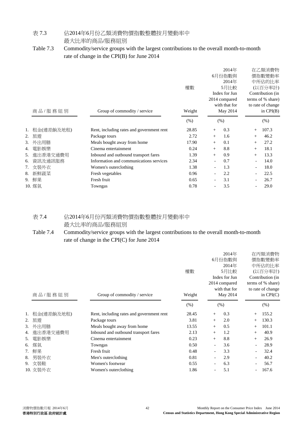### 表 7.3 佔2014年6月份乙類消費物價指數整體按月變動率中

最大比率的商品/服務組別

#### Table 7.3 Commodity/service groups with the largest contributions to the overall month-to-month rate of change in the CPI(B) for June 2014

|    | 商品/服務組別    | Group of commodity / service              | 權數<br>Weight |                          | 2014年<br>6月份指數與<br>2014年<br>5月比較<br>Index for Jun<br>2014 compared<br>with that for<br>May 2014 |        | 在乙類消費物<br>價指數變動率<br>中所佔的比率<br>(以百分率計)<br>Contribution (in<br>terms of % share)<br>to rate of change<br>in $CPI(B)$ |
|----|------------|-------------------------------------------|--------------|--------------------------|-------------------------------------------------------------------------------------------------|--------|--------------------------------------------------------------------------------------------------------------------|
|    |            |                                           | (% )         |                          | (% )                                                                                            |        | (% )                                                                                                               |
|    | 租金(連差餉及地租) | Rent, including rates and government rent | 28.85        | $^{+}$                   | 0.3                                                                                             | $^{+}$ | 107.3                                                                                                              |
| 2. | 旅游         | Package tours                             | 2.72         | $^{+}$                   | 1.6                                                                                             | $^{+}$ | 46.2                                                                                                               |
| 3. | 外出用膳       | Meals bought away from home               | 17.90        | $^{+}$                   | 0.1                                                                                             | $^{+}$ | 27.2                                                                                                               |
| 4. | 電影娛樂       | Cinema entertainment                      | 0.24         | $^{+}$                   | 8.8                                                                                             | $+$    | 18.1                                                                                                               |
| 5. | 進出香港交通費用   | Inbound and outbound transport fares      | 1.39         | $^{+}$                   | 0.9                                                                                             | $^{+}$ | 13.3                                                                                                               |
| 6. | 資訊及通訊服務    | Information and communications services   | 2.34         | $\overline{\phantom{a}}$ | 0.7                                                                                             |        | 14.0                                                                                                               |
| 7. | 女裝外衣       | Women's outerclothing                     | 1.38         |                          | 1.3                                                                                             |        | 18.0                                                                                                               |
| 8. | 新鮮蔬菜       | Fresh vegetables                          | 0.96         |                          | 2.2                                                                                             |        | 22.5                                                                                                               |
| 9. | 鮮果         | Fresh fruit                               | 0.65         |                          | 3.1                                                                                             |        | 26.7                                                                                                               |
|    | 10. 煤氣     | Towngas                                   | 0.78         |                          | 3.5                                                                                             |        | 29.0                                                                                                               |

### 表 7.4 佔2014年6月份丙類消費物價指數整體按月變動率中 最大比率的商品/服務組別

### Table 7.4 Commodity/service groups with the largest contributions to the overall month-to-month rate of change in the CPI(C) for June 2014

| 商品/服務組別 |            | Group of commodity / service              | 權數<br>Weight |                | 2014年<br>6月份指數與<br>2014年<br>5月比較<br>Index for Jun<br>2014 compared<br>with that for<br>May 2014 |        | 在丙類消費物<br>價指數變動率<br>中所佔的比率<br>(以百分率計)<br>Contribution (in<br>terms of % share)<br>to rate of change<br>in $CPI(C)$ |
|---------|------------|-------------------------------------------|--------------|----------------|-------------------------------------------------------------------------------------------------|--------|--------------------------------------------------------------------------------------------------------------------|
|         |            |                                           | (% )         |                | (% )                                                                                            |        | (% )                                                                                                               |
| 1.      | 租金(連差餉及地租) | Rent, including rates and government rent | 28.45        | $+$            | 0.3                                                                                             |        | 155.2                                                                                                              |
| 2.      | 旅遊         | Package tours                             | 3.81         | $+$            | 2.0                                                                                             | $^{+}$ | 130.3                                                                                                              |
| 3.      | 外出用膳       | Meals bought away from home               | 13.55        | $^{+}$         | 0.5                                                                                             | $^{+}$ | 101.1                                                                                                              |
| 4.      | 進出香港交通費用   | Inbound and outbound transport fares      | 2.13         | $+$            | 1.2                                                                                             | $^{+}$ | 40.9                                                                                                               |
| 5.      | 電影娛樂       | Cinema entertainment                      | 0.23         | $+$            | 8.8                                                                                             | $^{+}$ | 26.9                                                                                                               |
| 6.      | 煤氣         | Towngas                                   | 0.50         | $\overline{a}$ | 3.6                                                                                             |        | 28.9                                                                                                               |
|         | 鮮果         | Fresh fruit                               | 0.48         |                | 3.3                                                                                             |        | 32.4                                                                                                               |
| 8.      | 男裝外衣       | Men's outerclothing                       | 0.81         |                | 2.9                                                                                             |        | 40.2                                                                                                               |
| 9.      | 女裝鞋        | Women's footwear                          | 0.55         |                | 6.3                                                                                             |        | 56.7                                                                                                               |
|         | 10. 女裝外衣   | Women's outerclothing                     | 1.86         |                | 5.1                                                                                             |        | 167.6                                                                                                              |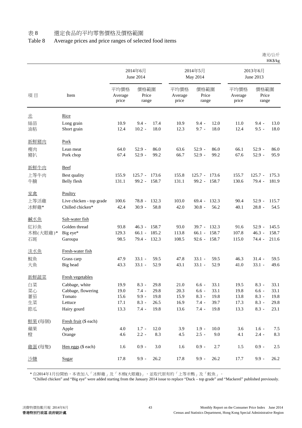### Table 8 Average prices and price ranges of selected food items

|              |                                              |                          |                        |                |                          |                                 |               |                          |                        | HK\$/kg        |
|--------------|----------------------------------------------|--------------------------|------------------------|----------------|--------------------------|---------------------------------|---------------|--------------------------|------------------------|----------------|
|              |                                              | 2014年6月<br>June 2014     |                        |                |                          | 2014年5月<br>May 2014             |               | 2013年6月<br>June 2013     |                        |                |
| 項目           | Item                                         | 平均價格<br>Average<br>price | 價格範圍<br>Price<br>range |                | 平均價格<br>Average<br>price | 價格範圍<br>Price<br>range          |               | 平均價格<br>Average<br>price | 價格範圍<br>Price<br>range |                |
| 光            | <b>Rice</b>                                  |                          |                        |                |                          |                                 |               |                          |                        |                |
| 絲苗<br>油粘     | Long grain<br>Short grain                    | 10.9<br>12.4             | $9.4 -$<br>$10.2 -$    | 17.4<br>18.0   | 10.9<br>12.3             | $9.4 -$<br>$9.7 -$              | 12.0<br>18.0  | 11.0<br>12.4             | $9.4 -$<br>$9.5 -$     | 13.0<br>18.0   |
| 新鮮豬肉         | Pork                                         |                          |                        |                |                          |                                 |               |                          |                        |                |
| 瘦肉<br>豬扒     | Lean meat<br>Pork chop                       | 64.0<br>67.4             | $52.9 -$<br>$52.9 -$   | 86.0<br>99.2   | 63.6<br>66.7             | $52.9 -$<br>$52.9 -$            | 86.0<br>99.2  | 66.1<br>67.6             | $52.9 -$<br>$52.9 -$   | 86.0<br>95.9   |
| 新鮮牛肉         | <b>Beef</b>                                  |                          |                        |                |                          |                                 |               |                          |                        |                |
| 上等牛肉<br>牛腩   | Best quality<br>Belly flesh                  | 155.9<br>131.1           | $125.7 -$<br>$99.2 -$  | 173.6<br>158.7 | 155.8<br>131.1           | $125.7 - 173.6$<br>99.2 - 158.7 |               | 155.7<br>130.6           | $125.7 -$<br>79.4 -    | 175.3<br>181.9 |
| 家禽           | Poultry                                      |                          |                        |                |                          |                                 |               |                          |                        |                |
| 上等活雞<br>冰鮮雞* | Live chicken - top grade<br>Chilled chicken* | 100.6<br>42.4            | $78.8 -$<br>$30.9 -$   | 132.3<br>58.8  | 103.0<br>42.0            | $69.4 -$<br>$30.8 -$            | 132.3<br>56.2 | 90.4<br>40.1             | $52.9 -$<br>$28.8 -$   | 115.7<br>54.5  |
| 鹹水魚          | Salt-water fish                              |                          |                        |                |                          |                                 |               |                          |                        |                |
| 紅衫魚          | Golden thread                                | 93.8                     | $46.3 -$               | 158.7          | 93.0                     | $39.7 - 132.3$                  |               | 91.6                     | $52.9 -$               | 145.5          |
| 木棉(大眼雞)*     | Big eye*                                     | 129.3                    | $66.1 -$               | 185.2          | 113.8                    | $66.1 -$                        | 158.7         | 107.8                    | $46.3 -$               | 158.7          |
| 石斑           | Garoupa                                      | 98.5                     | $79.4 -$               | 132.3          | 108.5                    | $92.6 - 158.7$                  |               | 115.0                    | $74.4 -$               | 211.6          |
| 淡水魚          | Fresh-water fish                             |                          |                        |                |                          |                                 |               |                          |                        |                |
| 鯇魚           | Grass carp                                   | 47.9                     | $33.1 -$               | 59.5           | 47.8                     | $33.1 -$                        | 59.5          | 46.3                     | $31.4 -$               | 59.5           |
| 大魚           | Big head                                     | 43.3                     | $33.1 -$               | 52.9           | 43.1                     | $33.1 -$                        | 52.9          | 41.0                     | $33.1 -$               | 49.6           |
| 新鮮蔬菜         | Fresh vegetables                             |                          |                        |                |                          |                                 |               |                          |                        |                |
| 白菜           | Cabbage, white                               | 19.9                     | $8.3 -$                | 29.8           | 21.0                     | $6.6 -$                         | 33.1          | 19.5                     | $8.3 -$                | 33.1           |
| 菜心<br>蕃茄     | Cabbage, flowering<br>Tomato                 | 19.0<br>15.6             | $7.4 -$<br>$9.9 -$     | 29.8<br>19.8   | 20.3<br>15.9             | $6.6 -$<br>$8.3 -$              | 33.1<br>19.8  | 19.8<br>13.8             | $6.6 -$<br>$8.3 -$     | 33.1<br>19.8   |
| 生菜           | Lettuce                                      | 17.1                     | $8.3 -$                | 26.5           | 16.9                     | $7.4 -$                         | 39.7          | 17.3                     | $8.3 -$                | 29.8           |
| 節瓜           | Hairy gourd                                  | 13.3                     | $7.4 -$                | 19.8           | 13.6                     | $7.4 -$                         | 19.8          | 13.3                     | $8.3 -$                | 23.1           |
| 鮮果(每個)       | Fresh fruit (\$ each)                        |                          |                        |                |                          |                                 |               |                          |                        |                |
| 蘋果           | Apple                                        | 4.0                      | $1.7 -$                | 12.0           | 3.9                      | $1.9 -$                         | 10.0          | 3.6                      | $1.6 -$                | 7.5            |
| 橙            | Orange                                       | 4.6                      | $2.2 -$                | 8.3            | 4.5                      | $2.5 -$                         | 9.0           | 4.1                      | $2.4 -$                | 8.3            |
| 雞蛋(每隻)       | Hen eggs (\$ each)                           | 1.6                      | $0.9 -$                | $3.0\,$        | 1.6                      | $0.9 -$                         | 2.7           | 1.5                      | $0.9 -$                | 2.5            |
| 沙糖           | Sugar                                        | 17.8                     | $9.9 -$                | 26.2           | 17.8                     | $9.9 -$                         | 26.2          | 17.7                     | $9.9 -$                | 26.2           |

\* 自2014年1月份開始,本表加入「冰鮮雞」及「木棉(大眼雞)」,並取代原有的「上等米鴨」及「鮫魚」。

"Chilled chicken" and "Big eye" were added starting from the January 2014 issue to replace "Duck – top grade" and "Mackerel" published previously.

港元/公斤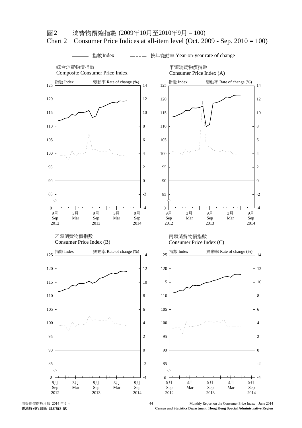

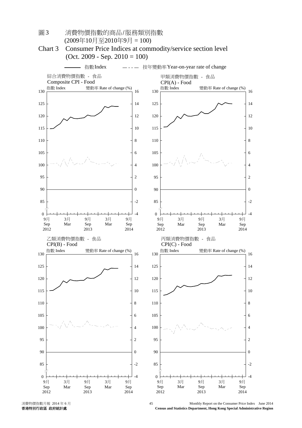

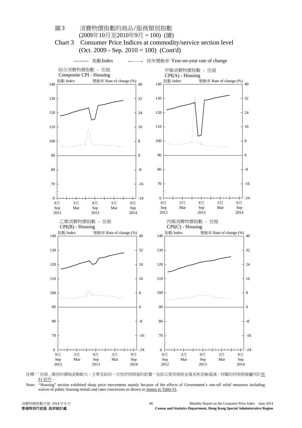

註釋:「住屋」類別的價格波動較大,主要受政府一次性紓困措施的影響,包括公營房屋租金寬免和差餉寬減。有關的紓困措施臚列於表 S1 附件。

Note: "Housing" section exhibited sharp price movements mainly because of the effects of Government's one-off relief measures including waiver of public housing rentals and rates concession as shown in Annex to Table S1.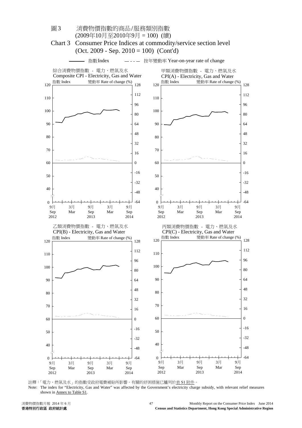

註釋:「電力、燃氣及水」的指數受政府電費補貼所影響。有關的紓困措施已臚列於表 S1 附件。 Note: The index for "Electricity, Gas and Water" was affected by the Government's electricity charge subsidy, with relevant relief measures shown in Annex to Table S1.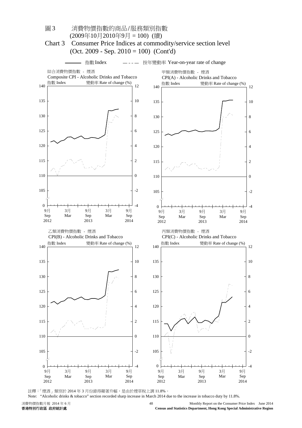

註釋:「煙酒」類別於 2014年3月份錄得顯著升幅,是由於煙草稅上調 11.8%。

Note: "Alcoholic drinks & tobacco" section recorded sharp increase in March 2014 due to the increase in tobacco duty by 11.8%.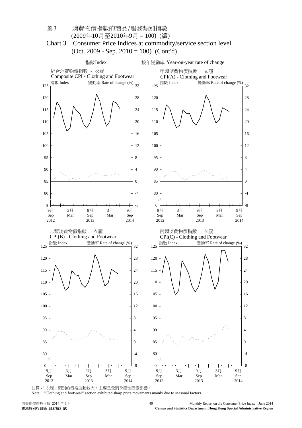

註釋:「衣履」類別的價格波動較大,主要是受到季節性因素影響

Note: "Clothing and footwear" section exhibited sharp price movements mainly due to seasonal factors.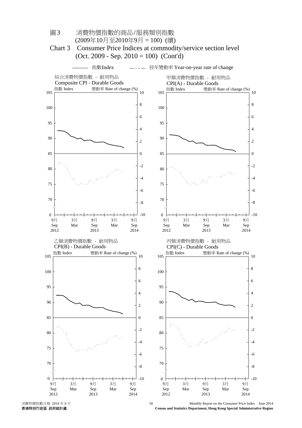

消費物價指數月報 2014年6月<br>- Monthly Report on the Consumer Price Index June 2014<br>- Census and Statistics Department, Hong Kong Special Administrative Region **Census and Statistics Department, Hong Kong Special Administrative Region**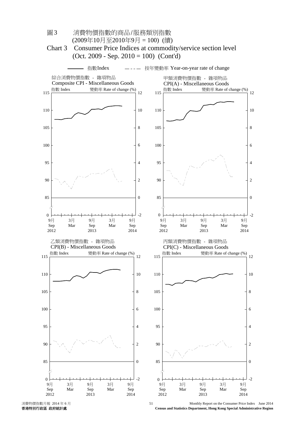

圖 3 消費物價指數的商品/服務類別指數

消費物價指數月報 2014年6月<br>- Monthly Report on the Consumer Price Index June 2014<br>- Census and Statistics Department, Hong Kong Special Administrative Region **Census and Statistics Department, Hong Kong Special Administrative Region**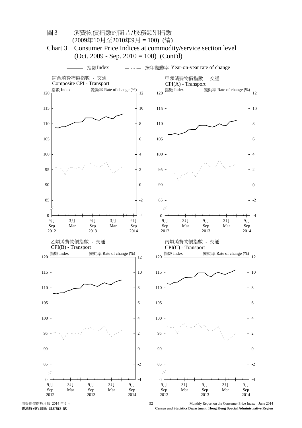

圖 3 消費物價指數的商品/服務類別指數

**Census and Statistics Department, Hong Kong Special Administrative Region**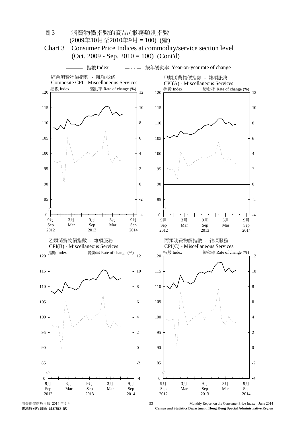

**Census and Statistics Department, Hong Kong Special Administrative Region**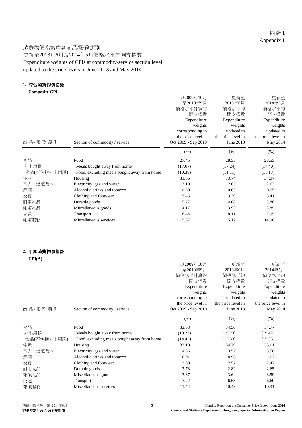#### 消費物價指數中各商品/服務類別 更新至2013年6月及2014年5月價格水平的開支權數 Expenditure weights of CPIs at commodity/service section level updated to the price levels in June 2013 and May 2014

#### **1.** 綜合消費物價指數

| <b>Composite CPI</b> |
|----------------------|
|----------------------|

| 商品/服務類別     | Section of commodity / service              | 以2009年10月<br>至2010年9月<br>價格水平計算的<br>開支權數<br>Expenditure<br>weights<br>corresponding to<br>the price level in<br>Oct 2009 - Sep 2010 | 更新至<br>2013年6月<br>價格水平的<br>開支權數<br>Expenditure<br>weights<br>updated to<br>the price level in<br>June 2013 | 更新至<br>2014年5月<br>價格水平的<br>開支權數<br>Expenditure<br>weights<br>updated to<br>the price level in<br>May 2014 |
|-------------|---------------------------------------------|-------------------------------------------------------------------------------------------------------------------------------------|------------------------------------------------------------------------------------------------------------|-----------------------------------------------------------------------------------------------------------|
|             |                                             | (% )                                                                                                                                | (% )                                                                                                       | (% )                                                                                                      |
|             |                                             |                                                                                                                                     |                                                                                                            |                                                                                                           |
| 食品          | Food                                        | 27.45                                                                                                                               | 28.35                                                                                                      | 28.53                                                                                                     |
| 外出用膳        | Meals bought away from home                 | (17.07)                                                                                                                             | (17.24)                                                                                                    | (17.40)                                                                                                   |
| 食品(不包括外出用膳) | Food, excluding meals bought away from home | (10.38)                                                                                                                             | (11.11)                                                                                                    | (11.13)                                                                                                   |
| 住屋          | Housing                                     | 31.66                                                                                                                               | 33.74                                                                                                      | 34.07                                                                                                     |
| 電力、燃氣及水     | Electricity, gas and water                  | 3.10                                                                                                                                | 2.63                                                                                                       | 2.63                                                                                                      |
| 煙酒          | Alcoholic drinks and tobacco                | 0.59                                                                                                                                | 0.63                                                                                                       | 0.65                                                                                                      |
| 衣履          | Clothing and footwear                       | 3.45                                                                                                                                | 3.39                                                                                                       | 3.41                                                                                                      |
| 耐用物品        | Durable goods                               | 5.27                                                                                                                                | 4.08                                                                                                       | 3.86                                                                                                      |
| 雜項物品        | Miscellaneous goods                         | 4.17                                                                                                                                | 3.95                                                                                                       | 3.89                                                                                                      |
| 交通          | Transport                                   | 8.44                                                                                                                                | 8.11                                                                                                       | 7.99                                                                                                      |
| 雜項服務        | Miscellaneous services                      | 15.87                                                                                                                               | 15.12                                                                                                      | 14.96                                                                                                     |

#### **2.** 甲類消費物價指數

| CPI(A)      |                                             |                     |                    |                    |
|-------------|---------------------------------------------|---------------------|--------------------|--------------------|
|             |                                             | 以2009年10月           | 更新至                | 更新至                |
|             |                                             | 至2010年9月            | 2013年6月            | 2014年5月            |
|             |                                             | 價格水平計算的             | 價格水平的              | 價格水平的              |
|             |                                             | 開支權數                | 開支權數               | 開支權數               |
|             |                                             | Expenditure         | Expenditure        | Expenditure        |
|             |                                             | weights             | weights            | weights            |
|             |                                             | corresponding to    | updated to         | updated to         |
|             |                                             | the price level in  | the price level in | the price level in |
| 商品/服務類別     | Section of commodity / service              | Oct 2009 - Sep 2010 | June 2013          | May 2014           |
|             |                                             | (% )                | (% )               | (% )               |
| 食品          | Food                                        | 33.68               | 34.56              | 34.77              |
| 外出用膳        | Meals bought away from home                 | (19.23)             | (19.23)            | (19.42)            |
| 食品(不包括外出用膳) | Food, excluding meals bought away from home | (14.45)             | (15.33)            | (15.35)            |
| 住屋          | Housing                                     | 32.19               | 34.79              | 35.01              |
| 電力、燃氣及水     | Electricity, gas and water                  | 4.36                | 3.57               | 3.58               |
| 煙酒          | Alcoholic drinks and tobacco                | 0.91                | 0.98               | 1.02               |
| 衣履          | Clothing and footwear                       | 2.60                | 2.52               | 2.47               |
| 耐用物品        | Durable goods                               | 3.73                | 2.82               | 2.65               |
| 雜項物品        | Miscellaneous goods                         | 3.87                | 3.64               | 3.59               |
| 交通          | Transport                                   | 7.22                | 6.68               | 6.60               |
| 雜項服務        | Miscellaneous services                      | 11.44               | 10.45              | 10.31              |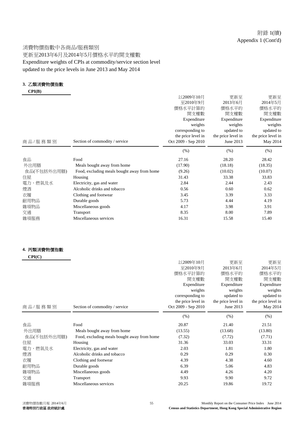#### 消費物價指數中各商品/服務類別 更新至2013年6月及2014年5月價格水平的開支權數 Expenditure weights of CPIs at commodity/service section level updated to the price levels in June 2013 and May 2014

#### **3.** 乙類消費物價指數

 **CPI(B)**

|                                             | 以2009年10月           | 更新至         | 更新至                |
|---------------------------------------------|---------------------|-------------|--------------------|
|                                             | 至2010年9月            | 2013年6月     | 2014年5月            |
|                                             | 價格水平計算的             | 價格水平的       | 價格水平的              |
|                                             | 開支權數                | 開支權數        | 開支權數               |
|                                             | Expenditure         | Expenditure | Expenditure        |
|                                             | weights             | weights     | weights            |
|                                             | corresponding to    | updated to  | updated to         |
|                                             | the price level in  |             | the price level in |
| Section of commodity / service              | Oct 2009 - Sep 2010 | June 2013   | May 2014           |
|                                             | (% )                | (% )        | (% )               |
| Food                                        | 27.16               | 28.20       | 28.42              |
| Meals bought away from home                 | (17.90)             | (18.18)     | (18.35)            |
| Food, excluding meals bought away from home | (9.26)              | (10.02)     | (10.07)            |
| Housing                                     | 31.43               | 33.38       | 33.83              |
| Electricity, gas and water                  | 2.84                | 2.44        | 2.43               |
| Alcoholic drinks and tobacco                | 0.56                | 0.60        | 0.62               |
| Clothing and footwear                       | 3.45                | 3.39        | 3.33               |
| Durable goods                               | 5.73                | 4.44        | 4.19               |
| Miscellaneous goods                         | 4.17                | 3.98        | 3.91               |
| Transport                                   | 8.35                | 8.00        | 7.89               |
| Miscellaneous services                      | 16.31               | 15.58       | 15.40              |
|                                             |                     |             | the price level in |

#### **4.** 丙類消費物價指數

|                                             | 以2009年10月                      | 更新至                                                                                             | 更新至                                                                                        |
|---------------------------------------------|--------------------------------|-------------------------------------------------------------------------------------------------|--------------------------------------------------------------------------------------------|
|                                             | 至2010年9月                       |                                                                                                 | 2014年5月                                                                                    |
|                                             | 價格水平計算的                        | 價格水平的                                                                                           | 價格水平的                                                                                      |
|                                             |                                |                                                                                                 | 開支權數                                                                                       |
|                                             |                                |                                                                                                 | Expenditure                                                                                |
|                                             |                                |                                                                                                 | weights                                                                                    |
|                                             |                                |                                                                                                 | updated to                                                                                 |
|                                             |                                |                                                                                                 | the price level in                                                                         |
|                                             |                                |                                                                                                 | May 2014                                                                                   |
|                                             | (% )                           | (% )                                                                                            | (% )                                                                                       |
| Food                                        | 20.87                          | 21.40                                                                                           | 21.51                                                                                      |
| Meals bought away from home                 | (13.55)                        | (13.68)                                                                                         | (13.80)                                                                                    |
| Food, excluding meals bought away from home | (7.32)                         | (7.72)                                                                                          | (7.71)                                                                                     |
| Housing                                     | 31.36                          | 33.03                                                                                           | 33.31                                                                                      |
| Electricity, gas and water                  | 2.03                           | 1.81                                                                                            | 1.80                                                                                       |
| Alcoholic drinks and tobacco                | 0.29                           | 0.29                                                                                            | 0.30                                                                                       |
| Clothing and footwear                       | 4.39                           | 4.38                                                                                            | 4.60                                                                                       |
| Durable goods                               | 6.39                           | 5.06                                                                                            | 4.83                                                                                       |
| Miscellaneous goods                         | 4.49                           | 4.26                                                                                            | 4.20                                                                                       |
| <b>Transport</b>                            | 9.93                           | 9.90                                                                                            | 9.72                                                                                       |
| Miscellaneous services                      | 20.25                          | 19.86                                                                                           | 19.72                                                                                      |
|                                             | Section of commodity / service | 開支權數<br>Expenditure<br>weights<br>corresponding to<br>the price level in<br>Oct 2009 - Sep 2010 | 2013年6月<br>開支權數<br>Expenditure<br>weights<br>updated to<br>the price level in<br>June 2013 |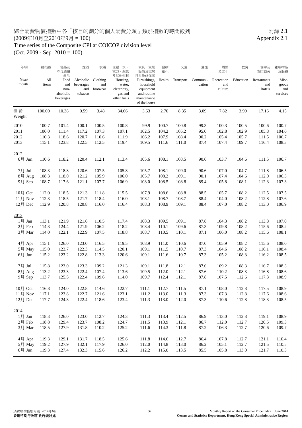### 綜合消費物價指數中各「按目的劃分的個人消費分類」類別指數的時間數列<br>(2009年10月至2010年9月 = 100) Appendix 2.1  $(2009年10月至2010年9月 = 100)$

# Time series of the Composite CPI at COICOP division level

(Oct. 2009 - Sep. 2010 = 100)

| 年/月<br>Year/<br>month | 總指數<br>All<br>items | 食品及<br>不含酒精<br>飲品<br>Food<br>and<br>non-<br>alcoholic<br>beverages | 煙酒<br>Alcoholic<br>beverages<br>and<br>tobacco | 衣履<br>Clothing<br>and<br>footwear | 住屋、水、<br>電力、燃氣<br>及其他燃料<br>Housing,<br>water,<br>electricity,<br>gas and<br>other fuels | 家具・家居<br>設備及家居<br>日常維修保養<br>Furnishings,<br>household<br>equipment<br>and routine<br>maintenance<br>of the house | 醫療<br>衛生<br>Health | 交通<br>Transport | 通訊<br>Communi-<br>cation | 娛樂<br>及文化<br>Recreation<br>and<br>culture | 教育<br>Education | 食肆及<br>酒店旅舍<br>Restaurants<br>and<br>hotels | 雜項物品<br>及服務<br>Misc.<br>goods<br>and<br>services |
|-----------------------|---------------------|--------------------------------------------------------------------|------------------------------------------------|-----------------------------------|-----------------------------------------------------------------------------------------|------------------------------------------------------------------------------------------------------------------|--------------------|-----------------|--------------------------|-------------------------------------------|-----------------|---------------------------------------------|--------------------------------------------------|
| 權數<br>Weight          | 100.00              | 10.38                                                              | 0.59                                           | 3.48                              | 34.66                                                                                   | 3.63                                                                                                             | 2.70               | 8.35            | 3.09                     | 7.82                                      | 3.99            | 17.16                                       | 4.15                                             |
| 2010                  | 100.7               | 101.4                                                              | 100.1                                          | 100.5                             | 100.8                                                                                   | 99.9                                                                                                             | 100.7              | 100.8           | 99.3                     | 100.3                                     | 100.5           | 100.6                                       | 100.7                                            |
| 2011                  | 106.0               | 111.4                                                              | 117.2                                          | 107.3                             | 107.1                                                                                   | 102.5                                                                                                            | 104.2              | 105.2           | 95.0                     | 102.8                                     | 102.9           | 105.8                                       | 104.6                                            |
| 2012                  | 110.3               | 118.6                                                              | 120.7                                          | 110.6                             | 111.9                                                                                   | 106.2                                                                                                            | 107.9              | 108.4           | 90.2                     | 105.4                                     | 105.7           | 111.5                                       | 106.7                                            |
| 2013                  | 115.1               | 123.8                                                              | 122.5                                          | 112.5                             | 119.4                                                                                   | 109.5                                                                                                            | 111.6              | 111.0           | 87.4                     | 107.4                                     | 109.7           | 116.4                                       | 108.3                                            |
| 2012                  |                     |                                                                    |                                                |                                   |                                                                                         |                                                                                                                  |                    |                 |                          |                                           |                 |                                             |                                                  |
| $6 \frac{1}{2}$ Jun   | 110.6               | 118.2                                                              | 120.4                                          | 112.1                             | 113.4                                                                                   | 105.6                                                                                                            | 108.1              | 108.5           | 90.6                     | 103.7                                     | 104.6           | 111.5                                       | 106.7                                            |
| 7月 Jul                | 108.3               | 118.8                                                              | 120.6                                          | 107.5                             | 105.8                                                                                   | 105.7                                                                                                            | 108.1              | 109.0           | 90.6                     | 107.0                                     | 104.7           | 111.8                                       | 106.5                                            |
| 8月 Aug                | 108.3               | 118.0                                                              | 121.2                                          | 105.9                             | 106.0                                                                                   | 105.7                                                                                                            | 108.2              | 109.1           | 90.1                     | 107.4                                     | 104.6           | 112.0                                       | 106.3                                            |
| 9月 Sep                | 108.7               | 117.6                                                              | 121.1                                          | 107.7                             | 106.9                                                                                   | 108.0                                                                                                            | 108.5              | 108.8           | 89.4                     | 105.8                                     | 108.1           | 112.3                                       | 107.3                                            |
| 10月 Oct               | 112.0               | 118.5                                                              | 121.3                                          | 111.8                             | 115.5                                                                                   | 107.9                                                                                                            | 108.6              | 108.8           | 88.5                     | 105.7                                     | 108.2           | 112.5                                       | 107.5                                            |
| $11$ 月 Nov            | 112.3               | 118.5                                                              | 121.7                                          | 118.4                             | 116.0                                                                                   | 108.1                                                                                                            | 108.7              | 108.7           | 88.4                     | 104.0                                     | 108.2           | 112.8                                       | 107.6                                            |
| 12月 Dec               | 112.9               | 120.8                                                              | 120.8                                          | 116.0                             | 116.4                                                                                   | 108.3                                                                                                            | 108.9              | 109.1           | 88.4                     | 107.0                                     | 108.2           | 113.0                                       | 106.9                                            |
| 2013                  |                     |                                                                    |                                                |                                   |                                                                                         |                                                                                                                  |                    |                 |                          |                                           |                 |                                             |                                                  |
| $1$ 月 Jan             | 113.1               | 121.9                                                              | 121.6                                          | 110.5                             | 117.4                                                                                   | 108.3                                                                                                            | 109.5              | 109.1           | 87.8                     | 104.3                                     | 108.2           | 113.8                                       | 107.0                                            |
| 2月 Feb                | 114.3               | 124.4                                                              | 121.9                                          | 106.2                             | 118.2                                                                                   | 108.4                                                                                                            | 110.1              | 109.6           | 87.3                     | 109.8                                     | 108.2           | 115.6                                       | 108.2                                            |
| 3月 Mar                | 114.0               | 122.1                                                              | 122.9                                          | 107.5                             | 118.8                                                                                   | 108.7                                                                                                            | 110.5              | 110.1           | 87.1                     | 106.0                                     | 108.2           | 115.6                                       | 108.1                                            |
| 4月 Apr                | 115.1               | 126.0                                                              | 123.0                                          | 116.5                             | 119.5                                                                                   | 108.9                                                                                                            | 111.0              | 110.6           | 87.0                     | 105.9                                     | 108.2           | 115.6                                       | 108.0                                            |
| 5月 May                | 115.0               | 123.7                                                              | 122.3                                          | 114.5                             | 120.1                                                                                   | 109.1                                                                                                            | 111.5              | 110.7           | 87.3                     | 104.6                                     | 108.2           | 116.1                                       | 108.4                                            |
| $6 \frac{1}{2}$ Jun   | 115.2               | 123.2                                                              | 122.8                                          | 113.3                             | 120.6                                                                                   | 109.1                                                                                                            | 111.6              | 110.7           | 87.3                     | 105.2                                     | 108.3           | 116.2                                       | 108.5                                            |
| 7月 Jul                | 115.8               | 123.0                                                              | 123.3                                          | 109.2                             | 121.3                                                                                   | 109.1                                                                                                            | 111.8              | 112.1           | 87.6                     | 109.2                                     | 108.3           | 116.7                                       | 108.3                                            |
| $8$ 月 Aug             | 113.2               | 123.3                                                              | 122.4                                          | 107.4                             | 113.6                                                                                   | 109.5                                                                                                            | 112.0              | 112.1           | 87.6                     | 110.2                                     | 108.3           | 116.8                                       | 108.6                                            |
| 9月 Sep                | 113.7               | 125.5                                                              | 122.4                                          | 109.6                             | 114.0                                                                                   | 109.7                                                                                                            | 112.4              | 112.1           | 87.8                     | 107.5                                     | 112.6           | 117.3                                       | 108.9                                            |
| $10$ 月 Oct            | 116.8               | 124.0                                                              | 122.8                                          | 114.6                             | 122.7                                                                                   | 111.1                                                                                                            | 112.7              | 111.5           | 87.1                     | 108.0                                     | 112.8           | 117.5                                       | 108.9                                            |
| $11$ 月 Nov            | 117.1               | 123.8                                                              | 122.7                                          | 121.6                             | 123.1                                                                                   | 111.2                                                                                                            | 113.0              | 111.3           | 87.3                     | 107.3                                     | 112.8           | 117.6                                       | 108.6                                            |
| 12月 Dec               | 117.7               | 124.8                                                              | 122.4                                          | 118.6                             | 123.4                                                                                   | 111.3                                                                                                            | 113.0              | 112.0           | 87.3                     | 110.6                                     | 112.8           | 118.3                                       | 108.5                                            |
| 2014                  |                     |                                                                    |                                                |                                   |                                                                                         |                                                                                                                  |                    |                 |                          |                                           |                 |                                             |                                                  |
| $1$ 月 Jan             | 118.3               | 126.0                                                              | 123.0                                          | 112.7                             | 124.3                                                                                   | 111.3                                                                                                            | 113.4              | 112.5           | 86.9                     | 113.0                                     | 112.8           | 119.1                                       | 108.9                                            |
| 2月 Feb                | 118.8               | 129.4                                                              | 123.7                                          | 108.2                             | 124.7                                                                                   | 111.5                                                                                                            | 113.9              | 112.1           | 86.7                     | 112.0                                     | 112.7           | 120.5                                       | 109.3                                            |
| 3月 Mar                | 118.5               | 127.9                                                              | 131.8                                          | 110.2                             | 125.2                                                                                   | 111.6                                                                                                            | 114.3              | 111.8           | 87.2                     | 106.3                                     | 112.7           | 120.6                                       | 109.7                                            |
| 4月 Apr                | 119.3               | 129.1                                                              | 131.7                                          | 118.5                             | 125.6                                                                                   | 111.8                                                                                                            | 114.6              | 112.7           | 86.4                     | 107.8                                     | 112.7           | 121.1                                       | 110.4                                            |
| 5月 May                | 119.2               | 127.9                                                              | 132.1                                          | 117.9                             | 126.0                                                                                   | 112.0                                                                                                            | 114.8              | 113.0           | 86.2                     | 105.1                                     | 112.7           | 121.5                                       | 110.5                                            |
| $6$ 月 Jun             | 119.3               | 127.4                                                              | 132.3                                          | 115.6                             | 126.2                                                                                   | 112.2                                                                                                            | 115.0              | 113.5           | 85.5                     | 105.8                                     | 113.0           | 121.7                                       | 110.3                                            |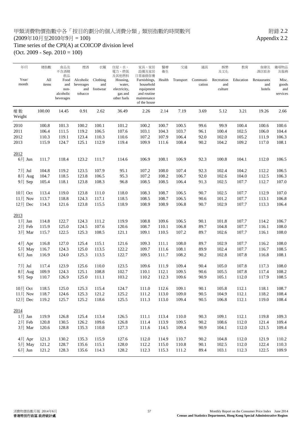### 甲類消費物價指數中各「按目的劃分的個人消費分類」類別指數的時間數列<br>(2009年10月至2010年9月 = 100)  $(2009年10月至2010年9月 = 100)$ Time series of the CPI(A) at COICOP division level

(Oct. 2009 - Sep. 2010 = 100)

| 年/月            | 總指數          | 食品及<br>不含酒精<br>飲品      | 煙酒                            | 衣履                          | 住屋、水、<br>電力、燃氣<br>及其他燃料            | 家具、家居<br>設備及家居<br>日常維修保養                   | 醫療<br>衛生 | 交通        | 通訊                 | 娛樂<br>及文化                    | 教育        | 食肆及<br>酒店旅舍                  | 雜項物品<br>及服務           |
|----------------|--------------|------------------------|-------------------------------|-----------------------------|------------------------------------|--------------------------------------------|----------|-----------|--------------------|------------------------------|-----------|------------------------------|-----------------------|
| Year/<br>month | All<br>items | Food<br>and<br>non-    | Alcoholic<br>beverages<br>and | Clothing<br>and<br>footwear | Housing,<br>water,<br>electricity, | Furnishings,<br>household<br>equipment     | Health   | Transport | Communi-<br>cation | Recreation<br>and<br>culture | Education | Restaurants<br>and<br>hotels | Misc.<br>goods<br>and |
|                |              | alcoholic<br>beverages | tobacco                       |                             | gas and<br>other fuels             | and routine<br>maintenance<br>of the house |          |           |                    |                              |           |                              | services              |
| 權數<br>Weight   | 100.00       | 14.45                  | 0.91                          | 2.62                        | 36.49                              | 2.26                                       | 2.14     | 7.19      | 3.69               | 5.12                         | 3.21      | 19.26                        | 2.66                  |
| 2010           | 100.8        | 101.3                  | 100.2                         | 100.1                       | 101.2                              | 100.2                                      | 100.7    | 100.5     | 99.6               | 99.9                         | 100.4     | 100.6                        | 100.6                 |
| 2011           | 106.4        | 111.5                  | 119.2                         | 106.5                       | 107.6                              | 103.1                                      | 104.3    | 103.7     | 96.1               | 100.4                        | 102.5     | 106.0                        | 104.4                 |
| 2012           | 110.3        | 119.1                  | 123.4                         | 110.3                       | 110.6                              | 107.2                                      | 107.9    | 106.4     | 92.0               | 102.0                        | 105.2     | 111.9                        | 106.3                 |
| 2013           | 115.9        | 124.7                  | 125.1                         | 112.9                       | 119.4                              | 109.9                                      | 111.6    | 108.4     | 90.2               | 104.2                        | 109.2     | 117.0                        | 108.1                 |
| 2012           |              |                        |                               |                             |                                    |                                            |          |           |                    |                              |           |                              |                       |
| $6$ 月 Jun      | 111.7        | 118.4                  | 123.2                         | 111.7                       | 114.6                              | 106.9                                      | 108.1    | 106.9     | 92.3               | 100.8                        | 104.1     | 112.0                        | 106.5                 |
| 7月 Jul         | 104.8        | 119.2                  | 123.5                         | 107.9                       | 95.1                               | 107.2                                      | 108.0    | 107.4     | 92.3               | 102.4                        | 104.2     | 112.2                        | 106.5                 |
| 8月 Aug         | 104.7        | 118.5                  | 123.8                         | 106.5                       | 95.3                               | 107.2                                      | 108.2    | 106.7     | 92.0               | 102.6                        | 104.0     | 112.5                        | 106.3                 |
| 9月 Sep         | 105.4        | 118.1                  | 123.8                         | 108.3                       | 96.8                               | 108.5                                      | 108.5    | 106.4     | 91.3               | 102.5                        | 107.7     | 112.7                        | 107.0                 |
| 10月 Oct        | 113.4        | 119.0                  | 123.8                         | 111.0                       | 118.0                              | 108.3                                      | 108.7    | 106.5     | 90.7               | 102.5                        | 107.7     | 112.9                        | 107.0                 |
| $11$ 月 Nov     | 113.7        | 118.8                  | 124.3                         | 117.1                       | 118.5                              | 108.5                                      | 108.7    | 106.5     | 90.6               | 101.2                        | 107.7     | 113.1                        | 106.8                 |
| $12$ 月 Dec     | 114.3        | 121.6                  | 123.8                         | 115.5                       | 118.9                              | 108.9                                      | 108.9    | 106.8     | 90.7               | 102.9                        | 107.7     | 113.3                        | 106.4                 |
| 2013           |              |                        |                               |                             |                                    |                                            |          |           |                    |                              |           |                              |                       |
| $1$ 月 Jan      | 114.8        | 122.7                  | 124.3                         | 111.2                       | 119.9                              | 108.8                                      | 109.6    | 106.5     | 90.1               | 101.8                        | 107.7     | 114.2                        | 106.7                 |
| 2月 Feb         | 115.9        | 125.0                  | 124.5                         | 107.6                       | 120.6                              | 108.7                                      | 110.1    | 106.8     | 89.7               | 104.8                        | 107.7     | 116.1                        | 108.0                 |
| 3月 Mar         | 115.7        | 122.5                  | 125.3                         | 108.5                       | 121.1                              | 109.1                                      | 110.5    | 107.2     | 89.7               | 102.6                        | 107.7     | 116.1                        | 108.0                 |
| 4月 Apr         | 116.8        | 127.0                  | 125.4                         | 115.1                       | 121.6                              | 109.3                                      | 111.1    | 108.0     | 89.7               | 102.9                        | 107.7     | 116.2                        | 108.0                 |
| 5月 May         | 116.7        | 124.3                  | 125.0                         | 113.5                       | 122.2                              | 109.7                                      | 111.6    | 108.1     | 89.9               | 102.4                        | 107.7     | 116.7                        | 108.5                 |
| $6$ 月 Jun      | 116.9        | 124.0                  | 125.3                         | 113.5                       | 122.7                              | 109.5                                      | 111.7    | 108.2     | 90.2               | 102.8                        | 107.8     | 116.8                        | 108.1                 |
| 7月 Jul         | 117.4        | 123.9                  | 125.6                         | 110.0                       | 123.5                              | 109.6                                      | 111.9    | 109.4     | 90.4               | 105.0                        | 107.8     | 117.3                        | 108.0                 |
| 8月 Aug         | 109.9        | 124.3                  | 125.1                         | 108.8                       | 102.7                              | 110.1                                      | 112.1    | 109.5     | 90.6               | 105.5                        | 107.8     | 117.4                        | 108.2                 |
| 9月 Sep         | 110.7        | 126.9                  | 125.0                         | 111.1                       | 103.2                              | 110.2                                      | 112.3    | 109.6     | 90.9               | 105.1                        | 112.0     | 117.9                        | 108.5                 |
| 10月 Oct        | 118.5        | 125.0                  | 125.3                         | 115.4                       | 124.7                              | 111.0                                      | 112.6    | 109.1     | 90.1               | 105.8                        | 112.1     | 118.1                        | 108.7                 |
| $11$ 月 Nov     | 118.7        | 124.6                  | 125.3                         | 121.2                       | 125.2                              | 111.2                                      | 113.0    | 109.0     | 90.5               | 104.9                        | 112.1     | 118.2                        | 108.4                 |
| 12月 Dec        | 119.2        | 125.7                  | 125.2                         | 118.6                       | 125.5                              | 111.3                                      | 113.0    | 109.4     | 90.5               | 106.8                        | 112.1     | 119.0                        | 108.4                 |
| 2014           |              |                        |                               |                             |                                    |                                            |          |           |                    |                              |           |                              |                       |
| $1$ 月 Jan      | 119.9        | 126.8                  | 125.4                         | 113.4                       | 126.5                              | 111.1                                      | 113.4    | 110.0     | 90.3               | 109.1                        | 112.1     | 119.8                        | 109.3                 |
| 2月 Feb         | 120.8        | 130.5                  | 126.2                         | 109.6                       | 126.8                              | 111.4                                      | 113.9    | 109.5     | 90.2               | 108.6                        | 112.0     | 121.4                        | 109.4                 |
| 3月 Mar         | 120.6        | 128.8                  | 135.3                         | 110.8                       | 127.3                              | 111.6                                      | 114.5    | 109.4     | 90.9               | 104.1                        | 112.0     | 121.5                        | 109.4                 |
| 4月 Apr         | 121.3        | 130.2                  | 135.3                         | 115.9                       | 127.6                              | 112.0                                      | 114.9    | 110.7     | 90.2               | 104.8                        | 112.0     | 121.9                        | 110.2                 |
| 5月 May         | 121.2        | 128.7                  | 135.6                         | 115.1                       | 128.0                              | 112.2                                      | 115.0    | 110.8     | 90.1               | 102.5                        | 112.0     | 122.4                        | 110.3                 |
| $6$ 月 Jun      | 121.2        | 128.3                  | 135.6                         | 114.3                       | 128.2                              | 112.3                                      | 115.3    | 111.2     | 89.4               | 103.1                        | 112.3     | 122.5                        | 109.9                 |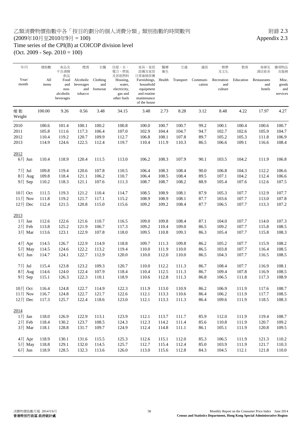#### 乙類消費物價指數中各「按目的劃分的個人消費分類」類別指數的時間數列<br>(2009年10月至2010年9月 = 100)  $(2009年10月至2010年9月 = 100)$ Time series of the CPI(B) at COICOP division level

(Oct. 2009 - Sep. 2010 = 100)

| 年/月            | 總指數          | 食品及<br>不含酒精<br>飲品                             | 煙酒                                       | 衣履                          | 住屋、水、<br>電力・燃氣<br>及其他燃料                                      | 家具、家居<br>設備及家居<br>日常維修保養                                                             | 醫療<br>衛生 | 交通        | 通訊                 | 娛樂<br>及文化                    | 教育        | 食肆及<br>酒店旅舍                  | 雜項物品<br>及服務                       |
|----------------|--------------|-----------------------------------------------|------------------------------------------|-----------------------------|--------------------------------------------------------------|--------------------------------------------------------------------------------------|----------|-----------|--------------------|------------------------------|-----------|------------------------------|-----------------------------------|
| Year/<br>month | All<br>items | Food<br>and<br>non-<br>alcoholic<br>beverages | Alcoholic<br>beverages<br>and<br>tobacco | Clothing<br>and<br>footwear | Housing,<br>water,<br>electricity,<br>gas and<br>other fuels | Furnishings,<br>household<br>equipment<br>and routine<br>maintenance<br>of the house | Health   | Transport | Communi-<br>cation | Recreation<br>and<br>culture | Education | Restaurants<br>and<br>hotels | Misc.<br>goods<br>and<br>services |
| 權數<br>Weight   | 100.00       | 9.26                                          | 0.56                                     | 3.48                        | 34.15                                                        | 3.48                                                                                 | 2.73     | 8.28      | 3.12               | 8.48                         | 4.22      | 17.97                        | 4.27                              |
| 2010           | 100.6        | 101.4                                         | 100.1                                    | 100.2                       | 100.8                                                        | 100.0                                                                                | 100.7    | 100.7     | 99.2               | 100.1                        | 100.4     | 100.6                        | 100.7                             |
| 2011           | 105.8        | 111.6                                         | 117.3                                    | 106.4                       | 107.0                                                        | 102.9                                                                                | 104.4    | 104.7     | 94.7               | 102.7                        | 102.6     | 105.9                        | 104.7                             |
| 2012           | 110.4        | 119.2                                         | 120.7                                    | 109.9                       | 112.7                                                        | 106.8                                                                                | 108.1    | 107.8     | 89.7               | 105.2                        | 105.3     | 111.8                        | 106.9                             |
| 2013           | 114.9        | 124.6                                         | 122.5                                    | 112.4                       | 119.7                                                        | 110.4                                                                                | 111.9    | 110.3     | 86.5               | 106.6                        | 109.1     | 116.6                        | 108.4                             |
| 2012           |              |                                               |                                          |                             |                                                              |                                                                                      |          |           |                    |                              |           |                              |                                   |
| $6$ 月 Jun      | 110.4        | 118.9                                         | 120.4                                    | 111.5                       | 113.0                                                        | 106.2                                                                                | 108.3    | 107.9     | 90.1               | 103.5                        | 104.2     | 111.9                        | 106.8                             |
| 7月 Jul         | 109.8        | 119.4                                         | 120.6                                    | 107.8                       | 110.5                                                        | 106.4                                                                                | 108.3    | 108.4     | 90.0               | 106.8                        | 104.3     | 112.2                        | 106.6                             |
| 8月 Aug         | 109.8        | 118.4                                         | 121.1                                    | 106.2                       | 110.7                                                        | 106.4                                                                                | 108.5    | 108.4     | 89.5               | 107.1                        | 104.2     | 112.4                        | 106.6                             |
| 9月 Sep         | 110.2        | 118.3                                         | 121.1                                    | 107.6                       | 111.3                                                        | 108.7                                                                                | 108.7    | 108.2     | 88.9               | 105.4                        | 107.6     | 112.6                        | 107.5                             |
| 10月 Oct        | 111.5        | 119.3                                         | 121.2                                    | 110.4                       | 114.7                                                        | 108.5                                                                                | 108.9    | 108.1     | 87.9               | 105.3                        | 107.7     | 112.9                        | 107.7                             |
| $11$ 月 Nov     | 111.8        | 119.2                                         | 121.7                                    | 117.1                       | 115.2                                                        | 108.9                                                                                | 108.9    | 108.1     | 87.7               | 103.6                        | 107.7     | 113.0                        | 107.8                             |
| 12月 Dec        | 112.4        | 121.5                                         | 120.8                                    | 115.0                       | 115.6                                                        | 109.2                                                                                | 109.2    | 108.4     | 87.7               | 106.5                        | 107.7     | 113.3                        | 107.2                             |
| 2013           |              |                                               |                                          |                             |                                                              |                                                                                      |          |           |                    |                              |           |                              |                                   |
| $1$ 月 Jan      | 112.6        | 122.6                                         | 121.6                                    | 110.7                       | 116.5                                                        | 109.0                                                                                | 109.8    | 108.4     | 87.1               | 104.0                        | 107.7     | 114.0                        | 107.3                             |
| 2月 Feb         | 113.8        | 125.2                                         | 121.9                                    | 106.7                       | 117.3                                                        | 109.2                                                                                | 110.4    | 109.0     | 86.5               | 109.2                        | 107.7     | 115.8                        | 108.5                             |
| 3月 Mar         | 113.6        | 123.1                                         | 122.9                                    | 107.8                       | 118.0                                                        | 109.5                                                                                | 110.8    | 109.3     | 86.3               | 105.4                        | 107.7     | 115.8                        | 108.3                             |
| 4月 Apr         | 114.5        | 126.7                                         | 122.9                                    | 114.9                       | 118.8                                                        | 109.7                                                                                | 111.3    | 109.8     | 86.2               | 105.2                        | 107.7     | 115.9                        | 108.2                             |
| 5月 May         | 114.5        | 124.6                                         | 122.2                                    | 113.2                       | 119.4                                                        | 110.0                                                                                | 111.9    | 110.0     | 86.5               | 103.8                        | 107.7     | 116.4                        | 108.5                             |
| $6$ 月 Jun      | 114.7        | 124.1                                         | 122.7                                    | 112.9                       | 120.0                                                        | 110.0                                                                                | 112.0    | 110.0     | 86.5               | 104.3                        | 107.7     | 116.5                        | 108.5                             |
| 7月 Jul         | 115.4        | 123.8                                         | 123.2                                    | 109.3                       | 120.7                                                        | 110.0                                                                                | 112.2    | 111.3     | 86.7               | 108.4                        | 107.7     | 116.9                        | 108.1                             |
| $8$ 月 Aug      | 114.6        | 124.0                                         | 122.4                                    | 107.9                       | 118.4                                                        | 110.4                                                                                | 112.5    | 111.3     | 86.7               | 109.4                        | 107.8     | 116.9                        | 108.5                             |
| 9月 Sep         | 115.1        | 126.3                                         | 122.3                                    | 110.1                       | 118.9                                                        | 110.6                                                                                | 112.8    | 111.3     | 86.8               | 106.5                        | 111.8     | 117.3                        | 108.9                             |
| $10$ 月 Oct     | 116.4        | 124.8                                         | 122.7                                    | 114.9                       | 122.3                                                        | 111.9                                                                                | 113.0    | 110.9     | 86.2               | 106.9                        | 111.9     | 117.6                        | 108.7                             |
| $11$ 月 Nov     | 116.7        | 124.8                                         | 122.7                                    | 121.7                       | 122.6                                                        | 112.1                                                                                | 113.3    | 110.6     | 86.4               | 106.2                        | 111.9     | 117.7                        | 108.5                             |
| 12月 Dec        | 117.3        | 125.7                                         | 122.4                                    | 118.6                       | 123.0                                                        | 112.1                                                                                | 113.3    | 111.3     | 86.4               | 109.6                        | 111.9     | 118.5                        | 108.3                             |
| 2014           |              |                                               |                                          |                             |                                                              |                                                                                      |          |           |                    |                              |           |                              |                                   |
| $1$ 月 Jan      | 118.0        | 126.9                                         | 122.9                                    | 113.1                       | 123.9                                                        | 112.1                                                                                | 113.7    | 111.7     | 85.9               | 112.0                        | 111.9     | 119.4                        | 108.7                             |
| 2月 Feb         | 118.4        | 130.2                                         | 123.7                                    | 108.5                       | 124.3                                                        | 112.3                                                                                | 114.2    | 111.4     | 85.6               | 110.8                        | 111.9     | 120.7                        | 109.2                             |
| 3月 Mar         | 118.1        | 128.8                                         | 131.7                                    | 109.7                       | 124.9                                                        | 112.4                                                                                | 114.8    | 111.1     | 86.1               | 105.1                        | 111.9     | 120.8                        | 109.5                             |
| 4月 Apr         | 118.9        | 130.1                                         | 131.6                                    | 115.5                       | 125.3                                                        | 112.6                                                                                | 115.1    | 112.0     | 85.3               | 106.5                        | 111.9     | 121.3                        | 110.2                             |
| 5月 May         | 118.8        | 129.1                                         | 132.0                                    | 114.5                       | 125.7                                                        | 112.7                                                                                | 115.4    | 112.4     | 85.0               | 103.9                        | 111.9     | 121.7                        | 110.3                             |
| $6$ 月 Jun      | 118.9        | 128.5                                         | 132.3                                    | 113.6                       | 126.0                                                        | 113.0                                                                                | 115.6    | 112.8     | 84.3               | 104.5                        | 112.1     | 121.8                        | 110.0                             |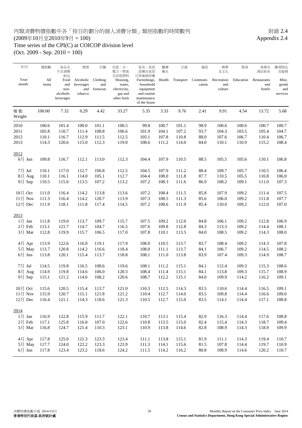#### 丙類消費物價指數中各「按目的劃分的個人消費分類」類別指數的時間數列 7.4  $(2009 \pm 10 \text{ m})$  Appendix 2.4 Time series of the CPI(C) at COICOP division level

(Oct. 2009 - Sep. 2010 = 100)

2012

2014

| 年/月        | 總指數    | 食品及<br>不含酒精            | 煙酒        | 衣履       | 住屋、水、<br>電力、燃氣         | 家具、家居<br>設備及家居             | 醫療<br>衛生 | 交通        | 通訊       | 娛樂<br>及文化  | 教育        | 食肆及<br>酒店旅舍 | 雜項物品<br>及服務 |
|------------|--------|------------------------|-----------|----------|------------------------|----------------------------|----------|-----------|----------|------------|-----------|-------------|-------------|
| Year/      | All    | 飲品<br>Food             | Alcoholic | Clothing | 及其他燃料<br>Housing,      | 日常維修保養<br>Furnishings,     | Health   | Transport | Communi- | Recreation | Education | Restaurants | Misc.       |
| month      | items  | and                    | beverages | and      | water,                 | household                  |          |           | cation   | and        |           | and         | goods       |
|            |        | non-                   | and       | footwear | electricity,           | equipment                  |          |           |          | culture    |           | hotels      | and         |
|            |        | alcoholic<br>beverages | tobacco   |          | gas and<br>other fuels | and routine<br>maintenance |          |           |          |            |           |             | services    |
|            |        |                        |           |          |                        | of the house               |          |           |          |            |           |             |             |
| 權數         | 100.00 | 7.32                   | 0.29      | 4.42     | 33.27                  | 5.35                       | 3.33     | 9.76      | 2.41     | 9.91       | 4.54      | 13.72       | 5.68        |
| Weight     |        |                        |           |          |                        |                            |          |           |          |            |           |             |             |
| 2010       | 100.6  | 101.4                  | 100.0     | 101.1    | 100.5                  | 99.8                       | 100.7    | 101.1     | 98.9     | 100.6      | 100.6     | 100.7       | 100.7       |
| 2011       | 105.8  | 110.7                  | 111.4     | 108.8    | 106.6                  | 101.9                      | 104.1    | 107.2     | 93.7     | 104.3      | 103.5     | 105.4       | 104.7       |
| 2012       | 110.1  | 116.7                  | 112.9     | 111.5    | 112.5                  | 105.1                      | 107.8    | 110.8     | 88.0     | 107.6      | 106.7     | 110.4       | 106.7       |
| 2013       | 114.3  | 120.6                  | 115.0     | 112.3    | 119.0                  | 108.6                      | 111.2    | 114.0     | 84.0     | 110.1      | 110.9     | 115.2       | 108.4       |
|            |        |                        |           |          |                        |                            |          |           |          |            |           |             |             |
| 2012       |        |                        |           |          |                        |                            |          |           |          |            |           |             |             |
| 6月 Jun     | 109.8  | 116.7                  | 112.1     | 113.0    | 112.3                  | 104.4                      | 107.9    | 110.5     | 88.5     | 105.5      | 105.6     | 110.1       | 106.8       |
| 7月 Jul     | 110.1  | 117.0                  | 112.7     | 106.8    | 112.5                  | 104.5                      | 107.9    | 111.2     | 88.4     | 109.7      | 105.7     | 110.5       | 106.4       |
| 8月 Aug     | 110.1  | 116.1                  | 114.0     | 105.1    | 112.7                  | 104.4                      | 108.0    | 111.8     | 87.7     | 110.5      | 105.5     | 110.8       | 106.0       |
| 9月 Sep     | 110.5  | 115.6                  | 113.5     | 107.2    | 113.2                  | 107.2                      | 108.3    | 111.6     | 86.9     | 108.2      | 109.1     | 111.0       | 107.3       |
|            |        |                        |           |          |                        |                            |          |           |          |            |           |             |             |
| 10月 Oct    | 111.0  | 116.4                  | 114.2     | 113.8    | 113.6                  | 107.2                      | 108.4    | 111.5     | 85.8     | 107.9      | 109.2     | 111.4       | 107.5       |
| $11$ 月 Nov | 111.3  | 116.4                  | 114.2     | 120.7    | 113.9                  | 107.3                      | 108.5    | 111.3     | 85.6     | 106.0      | 109.2     | 111.8       | 107.7       |
| 12月 Dec    | 111.9  | 118.1                  | 111.8     | 117.4    | 114.5                  | 107.2                      | 108.6    | 111.9     | 85.4     | 110.0      | 109.2     | 112.0       | 107.0       |
| 2013       |        |                        |           |          |                        |                            |          |           |          |            |           |             |             |
| $1$ 月 Jan  | 111.8  | 119.0                  | 113.7     | 109.7    | 115.7                  | 107.5                      | 109.2    | 112.0     | 84.8     | 106.1      | 109.2     | 112.8       | 106.9       |
| 2月 Feb     | 113.1  | 121.7                  | 114.7     | 104.7    | 116.5                  | 107.6                      | 109.8    | 112.8     | 84.3     | 113.3      | 109.2     | 114.4       | 108.1       |
| 3月 Mar     | 112.8  | 119.9                  | 115.7     | 106.5    | 117.0                  | 107.8                      | 110.1    | 113.5     | 84.0     | 108.5      | 109.2     | 114.3       | 108.0       |
|            |        |                        |           |          |                        |                            |          |           |          |            |           |             |             |
| 4月 Apr     | 113.9  | 122.6                  | 116.0     | 119.1    | 117.9                  | 108.0                      | 110.5    | 113.7     | 83.7     | 108.4      | 109.2     | 114.3       | 107.8       |
| 5月 May     | 113.7  | 120.8                  | 114.2     | 116.6    | 118.4                  | 108.0                      | 111.1    | 113.7     | 84.1     | 106.7      | 109.2     | 114.5       | 108.2       |
| $6$ 月 Jun  | 113.8  | 120.1                  | 115.4     | 113.7    | 118.8                  | 108.1                      | 111.0    | 113.8     | 83.9     | 107.4      | 109.3     | 114.9       | 108.7       |
| 7月 Jul     | 114.5  | 119.8                  | 116.5     | 108.6    | 119.6                  | 108.1                      | 111.2    | 115.1     | 84.1     | 112.4      | 109.3     | 115.3       | 108.6       |
| 8月 Aug     | 114.9  | 119.8                  | 114.6     | 106.0    | 120.3                  | 108.4                      | 111.4    | 115.1     | 84.1     | 113.8      | 109.3     | 115.7       | 108.9       |
| 9月 Sep     | 115.1  | 121.2                  | 114.6     | 108.2    | 120.6                  | 108.7                      | 112.2    | 115.1     | 84.0     | 109.9      | 114.2     | 116.2       | 109.1       |
|            |        |                        |           |          |                        |                            |          |           |          |            |           |             |             |

10月 Oct 115.6 120.5 115.4 113.7 121.0 110.3 112.5 114.3 83.5 110.6 114.4 116.5 109.1 11月 Nov 115.9 120.7 115.1 121.8 121.2 110.4 112.7 114.0 83.5 109.8 114.4 116.6 109.0 12月 Dec 116.4 121.1 114.3 118.6 121.3 110.5 112.7 115.0 83.5 114.1 114.4 117.1 108.8

1月 Jan 116.9 122.8 115.9 111.7 122.1 110.7 113.1 115.4 82.9 116.3 114.4 117.6 108.8 2月 Feb 117.1 125.8 116.8 107.0 122.6 110.8 113.5 115.0 82.4 115.4 114.3 118.7 109.4 3月 Mar 116.8 124.7 121.4 110.3 123.1 110.9 113.8 114.6 82.8 108.9 114.3 118.9 109.9

4月 Apr 117.8 125.0 121.3 123.3 123.4 111.1 113.8 115.1 81.9 111.1 114.3 119.4 110.7 5月 May 117.7 124.0 122.2 123.3 123.9 111.3 114.1 115.6 81.5 107.8 114.4 119.7 110.9 6月 Jun 117.8 123.4 123.2 118.6 124.2 111.5 114.2 116.2 80.8 108.9 114.6 120.2 110.7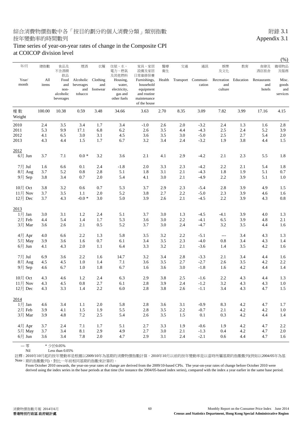### 綜合消費物價指數中各「按目的劃分的個人消費分類」類別指數 不可以 的第三人称单数 的复数 3.1 按年變動率的時間數列 Appendix 3.1

#### Time series of year-on-year rates of change in the Composite CPI at COICOP division level

|                     |              |                                                     |                                          |                             |                                                                       |                                                                                                |          |         |                              |                              |           |                              | (%)                               |
|---------------------|--------------|-----------------------------------------------------|------------------------------------------|-----------------------------|-----------------------------------------------------------------------|------------------------------------------------------------------------------------------------|----------|---------|------------------------------|------------------------------|-----------|------------------------------|-----------------------------------|
| 年/月                 | 總指數          | 食品及<br>不含酒精                                         | 煙酒                                       | 衣履                          | 住屋、水、<br>電力、燃氣                                                        | 家具、家居<br>設備及家居                                                                                 | 醫療<br>衛生 | 交通      | 通訊                           | 娛樂<br>及文化                    | 教育        | 食肆及<br>酒店旅舍                  | 雜項物品<br>及服務                       |
| Year/<br>month      | All<br>items | 飲品<br>Food<br>and<br>non-<br>alcoholic<br>beverages | Alcoholic<br>beverages<br>and<br>tobacco | Clothing<br>and<br>footwear | 及其他燃料<br>Housing,<br>water,<br>electricity,<br>gas and<br>other fuels | 日常維修保養<br>Furnishings,<br>household<br>equipment<br>and routine<br>maintenance<br>of the house | Health   |         | Transport Communi-<br>cation | Recreation<br>and<br>culture | Education | Restaurants<br>and<br>hotels | Misc.<br>goods<br>and<br>services |
| 權數<br>Weight        | 100.00       | 10.38                                               | 0.59                                     | 3.48                        | 34.66                                                                 | 3.63                                                                                           | 2.70     | 8.35    | 3.09                         | 7.82                         | 3.99      | 17.16                        | 4.15                              |
| 2010                | 2.4          | 3.5                                                 | 3.4                                      | 1.7                         | 3.4                                                                   | $-1.0$                                                                                         | 2.6      | 2.0     | $-3.2$                       | 2.4                          | 1.3       | 1.6                          | 2.8                               |
| 2011                | 5.3          | 9.9                                                 | 17.1                                     | 6.8                         | 6.2                                                                   | 2.6                                                                                            | 3.5      | 4.4     | $-4.3$                       | 2.5                          | 2.4       | 5.2                          | 3.9                               |
| 2012                | 4.1          | 6.5                                                 | 3.0                                      | 3.1                         | 4.5                                                                   | 3.6                                                                                            | 3.5      | 3.0     | $-5.0$                       | 2.5                          | 2.7       | 5.4                          | 2.0                               |
| 2013                | 4.3          | 4.4                                                 | 1.5                                      | 1.7                         | 6.7                                                                   | 3.2                                                                                            | 3.4      | 2.4     | $-3.2$                       | 1.9                          | 3.8       | 4.4                          | 1.5                               |
| 2012                |              |                                                     |                                          |                             |                                                                       |                                                                                                |          |         |                              |                              |           |                              |                                   |
| $6 \frac{1}{2}$ Jun | 3.7          | 7.1                                                 | $0.0 *$                                  | 3.2                         | 3.6                                                                   | 2.1                                                                                            | 4.1      | 2.9     | $-4.2$                       | 2.1                          | 2.3       | 5.5                          | 1.8                               |
| 7月 Jul              | 1.6          | 6.6                                                 | 0.1                                      | 2.4                         | $-1.8$                                                                | 2.0                                                                                            | 3.3      | 2.3     | $-4.2$                       | 2.2                          | 2.1       | 5.4                          | 1.8                               |
| 8月 Aug              | 3.7          | 5.2                                                 | 0.8                                      | 2.8                         | 5.1                                                                   | 1.8                                                                                            | 3.1      | 2.1     | $-4.3$                       | 1.8                          | 1.9       | 5.1                          | 0.7                               |
| 9月 Sep              | 3.8          | 3.4                                                 | 0.7                                      | 2.0                         | 5.4                                                                   | 4.1                                                                                            | 3.0      | 2.1     | $-4.9$                       | 2.2                          | 3.9       | 5.1                          | $1.0\,$                           |
| $10$ 月 Oct          | 3.8          | 3.2                                                 | 0.6                                      | 0.7                         | 5.3                                                                   | 3.7                                                                                            | 2.9      | 2.3     | $-5.4$                       | 2.8                          | 3.9       | 4.9                          | 1.5                               |
| 11月 Nov             | 3.7          | 3.5                                                 | 1.1                                      | 2.0                         | 5.2                                                                   | 3.8                                                                                            | 2.7      | 2.2     | $-5.0$                       | 2.3                          | 3.9       | 4.6                          | 1.6                               |
| 12月 Dec             | 3.7          | 4.3                                                 | $-0.0*$                                  | 3.0                         | 5.0                                                                   | 3.9                                                                                            | 2.6      | 2.1     | $-4.5$                       | 2.2                          | 3.9       | 4.3                          | 0.8                               |
| 2013                |              |                                                     |                                          |                             |                                                                       |                                                                                                |          |         |                              |                              |           |                              |                                   |
| $1$ 月 Jan           | 3.0          | 3.1                                                 | 1.2                                      | 2.4                         | 5.1                                                                   | 3.7                                                                                            | 3.0      | 1.3     | $-4.5$                       | $-4.1$                       | 3.9       | 4.0                          | 1.3                               |
| 2月 Feb              | 4.4          | 5.4                                                 | 1.4                                      | 1.7                         | 5.3                                                                   | 3.6                                                                                            | 3.0      | 2.2     | $-4.1$                       | 6.5                          | 3.9       | 4.8                          | 2.1                               |
| 3月 Mar              | 3.6          | 2.6                                                 | 2.1                                      | 0.5                         | 5.2                                                                   | 3.7                                                                                            | 3.0      | 2.4     | $-4.7$                       | 3.2                          | 3.5       | 4.4                          | 1.6                               |
| 4月 Apr              | 4.0          | 6.6                                                 | 2.2                                      | 1.3                         | 5.8                                                                   | 3.5                                                                                            | 3.2      | 2.2     | $-5.1$                       | $\qquad \qquad -$            | 3.4       | 4.3                          | 1.3                               |
| 5月 May              | 3.9          | 3.6                                                 | 1.6                                      | 0.7                         | 6.1                                                                   | 3.4                                                                                            | $3.5\,$  | 2.3     | $-4.0$                       | 0.8                          | 3.4       | 4.3                          | 1.4                               |
| $6$ 月 Jun           | 4.1          | 4.3                                                 | 2.0                                      | 1.1                         | 6.4                                                                   | 3.3                                                                                            | 3.2      | 2.1     | $-3.6$                       | 1.4                          | 3.5       | 4.2                          | 1.6                               |
| 7月 Jul              | 6.9          | 3.6                                                 | 2.2                                      | 1.6                         | 14.7                                                                  | 3.2                                                                                            | 3.4      | 2.8     | $-3.3$                       | 2.1                          | 3.4       | 4.4                          | 1.6                               |
| 8月 Aug              | 4.5          | 4.5                                                 | 1.0                                      | 1.4                         | 7.1                                                                   | 3.6                                                                                            | 3.5      | 2.7     | $-2.7$                       | 2.6                          | 3.5       | 4.2                          | 2.2                               |
| 9月 Sep              | 4.6          | 6.7                                                 | 1.0                                      | 1.8                         | 6.7                                                                   | 1.6                                                                                            | 3.6      | 3.0     | $-1.8$                       | 1.6                          | 4.2       | 4.4                          | 1.4                               |
| 10月 Oct             | 4.3          | 4.6                                                 | 1.2                                      | 2.4                         | 6.3                                                                   | 2.9                                                                                            | 3.8      | 2.5     | $-1.6$                       | 2.2                          | 4.3       | 4.4                          | 1.3                               |
| $11$ 月 Nov          | 4.3          | 4.5                                                 | 0.8                                      | 2.7                         | 6.1                                                                   | 2.8                                                                                            | 3.9      | 2.4     | $-1.2$                       | 3.2                          | 4.3       | 4.3                          | 1.0                               |
| 12月 Dec             | 4.3          | 3.3                                                 | 1.4                                      | $2.2\,$                     | $6.0\,$                                                               | $2.8\,$                                                                                        | $3.8\,$  | $2.6\,$ | $-1.1$                       | 3.4                          | 4.3       | 4.7                          | $1.5\,$                           |
| 2014                |              |                                                     |                                          |                             |                                                                       |                                                                                                |          |         |                              |                              |           |                              |                                   |
| $1$ 月 Jan           | 4.6          | 3.4                                                 | $1.1\,$                                  | 2.0                         | 5.8                                                                   | 2.8                                                                                            | 3.6      | 3.1     | $-0.9$                       | 8.3                          | $4.2\,$   | 4.7                          | 1.7                               |
| 2月 Feb              | 3.9          | 4.1                                                 | $1.5\,$                                  | 1.9                         | 5.5                                                                   | $2.8\,$                                                                                        | $3.5\,$  | $2.2\,$ | $-0.7$                       | 2.1                          | $4.2\,$   | $4.2\,$                      | $1.0\,$                           |
| 3月 Mar              | 3.9          | 4.8                                                 | $7.2\,$                                  | $2.5\,$                     | 5.4                                                                   | 2.6                                                                                            | 3.5      | 1.5     | $0.1\,$                      | 0.3                          | $4.2\,$   | 4.4                          | 1.4                               |
| 4月 Apr              | 3.7          | 2.4                                                 | $7.1\,$                                  | 1.7                         | 5.1                                                                   | $2.7\,$                                                                                        | 3.3      | 1.9     | $-0.6$                       | 1.9                          | $4.2\,$   | 4.7                          | $2.2\,$                           |
| 5月 May              | 3.7          | 3.4                                                 | $8.1\,$                                  | 2.9                         | 4.9                                                                   | $2.7\,$                                                                                        | $3.0\,$  | $2.1\,$ | $-1.3$                       | $0.4\,$                      | $4.2\,$   | 4.7                          | $2.0\,$                           |
| $6$ 月 Jun           | 3.6          | 3.4                                                 | 7.8                                      | $2.0\,$                     | 4.7                                                                   | 2.9                                                                                            | 3.1      | $2.4\,$ | $-2.1$                       | 0.6                          | 4.4       | 4.7                          | 1.6                               |
|                     |              |                                                     |                                          |                             |                                                                       |                                                                                                |          |         |                              |                              |           |                              |                                   |

--- 零 \* 少於0.05%

Nil Less than 0.05%

註釋 : 2010年10月起的按年變動率是根據以2009/10年為基期的消費物價指數計算。2010年10月以前的按年變動率是以當時所屬基期的指數數列(例如以2004/05年為基 Note : 期的指數數列),對比一年前相同基期的指數來計算的。

From October 2010 onwards, the year-on-year rates of change are derived from the 2009/10-based CPIs. The year-on-year rates of change before October 2010 were derived using the index series in the base periods at that time (for instance the 2004/05-based index series), compared with the index a year earlier in the same base period.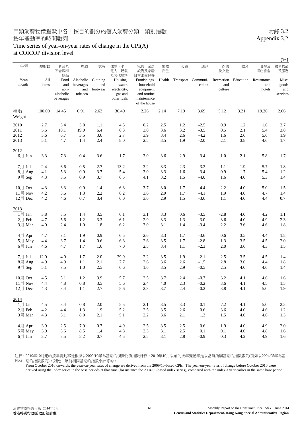#### Time series of year-on-year rates of change in the CPI(A) at COICOP division level

|                     |              |                                                     |                                          |                             |                                                              |                                                                                      |          |         |                              |                              |           |                              | $(\%)$                            |
|---------------------|--------------|-----------------------------------------------------|------------------------------------------|-----------------------------|--------------------------------------------------------------|--------------------------------------------------------------------------------------|----------|---------|------------------------------|------------------------------|-----------|------------------------------|-----------------------------------|
| 年/月                 | 總指數          | 食品及<br>不含酒精                                         | 煙酒                                       | 衣履                          | 住屋、水、<br>電力、燃氣<br>及其他燃料                                      | 家具、家居<br>設備及家居<br>日常維修保養                                                             | 醫療<br>衛生 | 交通      | 通訊                           | 娛樂<br>及文化                    | 教育        | 食肆及<br>酒店旅舍                  | 雜項物品<br>及服務                       |
| Year/<br>month      | All<br>items | 飲品<br>Food<br>and<br>non-<br>alcoholic<br>beverages | Alcoholic<br>beverages<br>and<br>tobacco | Clothing<br>and<br>footwear | Housing,<br>water,<br>electricity,<br>gas and<br>other fuels | Furnishings,<br>household<br>equipment<br>and routine<br>maintenance<br>of the house | Health   |         | Transport Communi-<br>cation | Recreation<br>and<br>culture | Education | Restaurants<br>and<br>hotels | Misc.<br>goods<br>and<br>services |
| 權數<br>Weight        | 100.00       | 14.45                                               | 0.91                                     | 2.62                        | 36.49                                                        | 2.26                                                                                 | 2.14     | 7.19    | 3.69                         | 5.12                         | 3.21      | 19.26                        | 2.66                              |
| 2010                | 2.7          | 3.4                                                 | 3.8                                      | 1.1                         | 4.5                                                          | 0.2                                                                                  | 2.5      | 1.2     | $-2.5$                       | 0.9                          | 1.2       | 1.6                          | 2.7                               |
| 2011                | 5.6          | 10.1                                                | 19.0                                     | 6.4                         | 6.3                                                          | 3.0                                                                                  | 3.6      | $3.2\,$ | $-3.5$                       | 0.5                          | 2.1       | 5.4                          | 3.8                               |
| 2012                | 3.6          | 6.7                                                 | 3.5                                      | 3.6                         | 2.7                                                          | 3.9                                                                                  | 3.4      | 2.6     | $-4.2$                       | 1.6                          | 2.6       | 5.6                          | 1.9                               |
| 2013                | 5.1          | 4.7                                                 | 1.4                                      | 2.4                         | 8.0                                                          | 2.5                                                                                  | 3.5      | 1.9     | $-2.0$                       | 2.1                          | 3.8       | 4.6                          | 1.7                               |
| 2012                |              |                                                     |                                          |                             |                                                              |                                                                                      |          |         |                              |                              |           |                              |                                   |
| $6 \frac{1}{2}$ Jun | 3.3          | 7.3                                                 | 0.4                                      | 3.6                         | 1.7                                                          | 3.0                                                                                  | 3.6      | 2.9     | $-3.4$                       | 1.0                          | 2.1       | 5.8                          | 1.7                               |
| 7月 Jul              | $-2.4$       | 6.6                                                 | 0.5                                      | 2.7                         | $-13.2$                                                      | 3.2                                                                                  | 3.3      | 2.3     | $-3.3$                       | 1.1                          | 1.9       | 5.7                          | 1.8                               |
| 8月 Aug              | 4.1          | 5.3                                                 | 0.9                                      | 3.7                         | 5.4                                                          | 3.0                                                                                  | 3.3      | 1.6     | $-3.4$                       | 0.9                          | 1.7       | 5.4                          | 1.2                               |
| 9月 Sep              | 4.3          | 3.5                                                 | 0.9                                      | 3.7                         | 6.5                                                          | 4.1                                                                                  | 3.2      | 1.5     | $-4.0$                       | 1.6                          | 4.0       | 5.3                          | 1.4                               |
| $10$ 月 Oct          | 4.3          | 3.3                                                 | 0.9                                      | 1.4                         | 6.3                                                          | 3.7                                                                                  | 3.0      | 1.7     | $-4.4$                       | 2.2                          | 4.0       | 5.0                          | 1.5                               |
| 11月 Nov             | 4.2          | 3.6                                                 | 1.3                                      | 2.2                         | 6.2                                                          | 3.6                                                                                  | 2.9      | 1.7     | $-4.1$                       | 1.9                          | 4.0       | 4.7                          | 1.4                               |
| 12月 Dec             | 4.2          | 4.6                                                 | 0.7                                      | 3.4                         | 6.0                                                          | 3.6                                                                                  | 2.9      | 1.5     | $-3.6$                       | 1.1                          | 4.0       | 4.4                          | 0.7                               |
| 2013                |              |                                                     |                                          |                             |                                                              |                                                                                      |          |         |                              |                              |           |                              |                                   |
| $1$ 月 Jan           | 3.8          | 3.5                                                 | 1.4                                      | 3.5                         | 6.1                                                          | 3.1                                                                                  | 3.3      | 0.6     | $-3.5$                       | $-2.8$                       | 4.0       | 4.2                          | 1.1                               |
| 2月 Feb              | 4.7          | 5.6                                                 | 1.2                                      | 3.3                         | 6.1                                                          | 2.9                                                                                  | 3.3      | 1.3     | $-3.0$                       | 3.6                          | 4.0       | 4.9                          | 2.3                               |
| 3月 Mar              | 4.0          | 2.4                                                 | 1.9                                      | 1.8                         | 6.2                                                          | 3.0                                                                                  | 3.1      | 1.4     | $-3.4$                       | 2.2                          | 3.6       | 4.6                          | 1.8                               |
| 4月 Apr              | 4.7          | 7.1                                                 | 1.9                                      | 0.9                         | 6.5                                                          | 2.6                                                                                  | 3.3      | 1.7     | $-3.6$                       | 0.6                          | 3.5       | 4.4                          | 1.8                               |
| 5月 May              | 4.4          | 3.7                                                 | 1.4                                      | 0.6                         | 6.8                                                          | 2.6                                                                                  | 3.5      | 1.7     | $-2.8$                       | 1.3                          | 3.5       | 4.5                          | 2.0                               |
| $6$ 月 Jun           | 4.6          | 4.7                                                 | 1.7                                      | 1.6                         | 7.0                                                          | 2.5                                                                                  | 3.4      | 1.1     | $-2.3$                       | 2.0                          | 3.6       | 4.3                          | 1.5                               |
| 7月 Jul              | 12.0         | 4.0                                                 | 1.7                                      | 2.0                         | 29.9                                                         | 2.2                                                                                  | 3.5      | 1.9     | $-2.1$                       | 2.5                          | 3.5       | 4.5                          | 1.4                               |
| 8月 Aug              | 4.9          | 4.9                                                 | 1.1                                      | 2.1                         | 7.7                                                          | 2.6                                                                                  | 3.6      | 2.6     | $-1.5$                       | 2.8                          | 3.6       | 4.4                          | 1.8                               |
| 9月 Sep              | 5.1          | 7.5                                                 | 1.0                                      | 2.5                         | 6.6                                                          | 1.6                                                                                  | 3.5      | 2.9     | $-0.5$                       | 2.5                          | 4.0       | 4.6                          | 1.4                               |
| 10月 Oct             | 4.5          | 5.1                                                 | 1.2                                      | 3.9                         | 5.7                                                          | 2.5                                                                                  | 3.7      | 2.4     | $-0.7$                       | 3.2                          | 4.1       | 4.6                          | 1.6                               |
| $11$ 月 Nov          | 4.4          | 4.8                                                 | 0.8                                      | 3.5                         | 5.6                                                          | 2.4                                                                                  | 4.0      | 2.3     | $-0.2$                       | 3.6                          | 4.1       | 4.5                          | 1.5                               |
| 12月 Dec             | 4.3          | 3.4                                                 | 1.1                                      | $2.7\,$                     | 5.6                                                          | $2.3\,$                                                                              | 3.7      | 2.4     | $-0.2$                       | 3.8                          | 4.1       | $5.0\,$                      | 1.9                               |
| 2014                |              |                                                     |                                          |                             |                                                              |                                                                                      |          |         |                              |                              |           |                              |                                   |
| $1$ 月 Jan           | 4.5          | 3.4                                                 | $\rm 0.8$                                | 2.0                         | 5.5                                                          | 2.1                                                                                  | $3.5\,$  | 3.3     | 0.1                          | 7.2                          | 4.1       | 5.0                          | 2.5                               |
| $2$ 月 Feb           | $4.2\,$      | 4.4                                                 | 1.3                                      | 1.9                         | 5.2                                                          | $2.5\,$                                                                              | $3.5\,$  | 2.6     | $0.6\,$                      | 3.6                          | $4.0\,$   | 4.6                          | 1.2                               |
| 3月 Mar              | 4.3          | 5.1                                                 | $\ \, 8.0$                               | 2.1                         | 5.1                                                          | $2.2\,$                                                                              | 3.6      | 2.1     | 1.3                          | 1.5                          | 4.0       | 4.6                          | 1.3                               |
| 4月 Apr              | 3.9          | 2.5                                                 | 7.9                                      | 0.7                         | 4.9                                                          | $2.5\,$                                                                              | 3.5      | 2.5     | 0.6                          | 1.9                          | 4.0       | 4.9                          | $2.0\,$                           |
| 5月 May              | 3.9          | 3.6                                                 | 8.5                                      | 1.4                         | 4.8                                                          | $2.3\,$                                                                              | 3.1      | $2.5\,$ | $0.1\,$                      | $0.1\,$                      | 4.0       | 4.8                          | 1.6                               |
| $6$ 月 Jun           | 3.7          | 3.5                                                 | 8.2                                      | $0.7\,$                     | 4.5                                                          | $2.5\,$                                                                              | 3.1      | $2.8\,$ | $-0.9$                       | 0.3                          | 4.2       | 4.9                          | 1.6                               |
|                     |              |                                                     |                                          |                             |                                                              |                                                                                      |          |         |                              |                              |           |                              |                                   |

註釋 : 2010年10月起的按年變動率是根據以2009/10年為基期的消費物價指數計算。2010年10月以前的按年變動率是以當時所屬基期的指數數列(例如以2004/05年為基 Note : 期的指數數列),對比一年前相同基期的指數來計算的。

From October 2010 onwards, the year-on-year rates of change are derived from the 2009/10-based CPIs. The year-on-year rates of change before October 2010 were derived using the index series in the base periods at that time (for instance the 2004/05-based index series), compared with the index a year earlier in the same base period.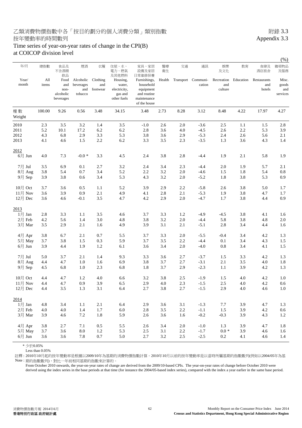#### Time series of year-on-year rates of change in the CPI(B) at COICOP division level

|                                 |              |                                                     |                                          |                             |                                                                       |                                                                                                |          |           |                    |                              |           |                              | (%)                               |
|---------------------------------|--------------|-----------------------------------------------------|------------------------------------------|-----------------------------|-----------------------------------------------------------------------|------------------------------------------------------------------------------------------------|----------|-----------|--------------------|------------------------------|-----------|------------------------------|-----------------------------------|
| 年/月                             | 總指數          | 食品及<br>不含酒精                                         | 煙酒                                       | 衣履                          | 住屋、水、<br>電力、燃氣                                                        | 家具、家居<br>設備及家居                                                                                 | 醫療<br>衛生 | 交通        | 通訊                 | 娛樂<br>及文化                    | 教育        | 食肆及<br>酒店旅舍                  | 雜項物品<br>及服務                       |
| Year/<br>month                  | All<br>items | 飲品<br>Food<br>and<br>non-<br>alcoholic<br>beverages | Alcoholic<br>beverages<br>and<br>tobacco | Clothing<br>and<br>footwear | 及其他燃料<br>Housing,<br>water,<br>electricity,<br>gas and<br>other fuels | 日常維修保養<br>Furnishings,<br>household<br>equipment<br>and routine<br>maintenance<br>of the house | Health   | Transport | Communi-<br>cation | Recreation<br>and<br>culture | Education | Restaurants<br>and<br>hotels | Misc.<br>goods<br>and<br>services |
| 權數<br>Weight                    | 100.00       | 9.26                                                | 0.56                                     | 3.48                        | 34.15                                                                 | 3.48                                                                                           | 2.73     | 8.28      | 3.12               | 8.48                         | 4.22      | 17.97                        | 4.27                              |
| 2010                            | 2.3          | 3.5                                                 | 3.2                                      | 1.4                         | 3.5                                                                   | $-1.0$                                                                                         | 2.6      | 2.0       | $-3.6$             | 2.5                          | 1.1       | 1.5                          | 2.8                               |
| 2011                            | 5.2          | 10.1                                                | 17.2                                     | 6.2                         | 6.2                                                                   | 2.8                                                                                            | 3.6      | 4.0       | $-4.5$             | 2.6                          | 2.2       | 5.3                          | 3.9                               |
| 2012                            | 4.3          | 6.8                                                 | 2.9                                      | 3.3                         | 5.3                                                                   | 3.8                                                                                            | 3.6      | 2.9       | $-5.3$             | 2.4                          | 2.6       | 5.6                          | 2.1                               |
| 2013                            | 4.1          | 4.6                                                 | 1.5                                      | $2.2\,$                     | 6.2                                                                   | 3.3                                                                                            | 3.5      | 2.3       | $-3.5$             | 1.3                          | 3.6       | 4.3                          | 1.4                               |
| 2012                            |              |                                                     |                                          |                             |                                                                       |                                                                                                |          |           |                    |                              |           |                              |                                   |
| $6 \equiv$ Jun                  | 4.0          | 7.3                                                 | $-0.0*$                                  | 3.3                         | 4.5                                                                   | 2.4                                                                                            | 3.8      | 2.8       | $-4.4$             | 1.9                          | 2.1       | 5.8                          | 1.9                               |
| 7月 Jul                          | 3.5          | 6.9                                                 | 0.1                                      | 2.7                         | 3.2                                                                   | 2.4                                                                                            | 3.4      | 2.3       | -4.4               | 2.0                          | 1.9       | 5.7                          | 2.1                               |
| 8月 Aug                          | 3.8          | 5.4                                                 | 0.7                                      | 3.4                         | 5.2                                                                   | 2.2                                                                                            | 3.2      | 2.0       | $-4.6$             | 1.5                          | 1.8       | 5.4                          | 0.8                               |
| 9月 Sep                          | 3.9          | 3.8                                                 | 0.6                                      | 3.4                         | 5.3                                                                   | 4.3                                                                                            | 3.2      | 2.0       | $-5.2$             | 1.8                          | 3.8       | 5.3                          | 0.9                               |
| 10月 Oct                         | 3.7          | 3.6                                                 | 0.5                                      | 1.1                         | 5.2                                                                   | 3.9                                                                                            | 2.9      | 2.2       | $-5.8$             | 2.6                          | 3.8       | 5.0                          | 1.7                               |
| 11月 Nov                         | 3.6          | 3.9                                                 | 0.9                                      | 2.1                         | 4.9                                                                   | 4.1                                                                                            | 2.8      | 2.1       | $-5.3$             | 1.9                          | 3.8       | 4.7                          | 1.7                               |
| $12$ 月 Dec                      | 3.6          | 4.6                                                 | $-0.1$                                   | 3.5                         | 4.7                                                                   | 4.2                                                                                            | 2.9      | 2.0       | $-4.7$             | 1.7                          | 3.8       | 4.4                          | 0.9                               |
| 2013                            |              |                                                     |                                          |                             |                                                                       |                                                                                                |          |           |                    |                              |           |                              |                                   |
| $1$ 月 Jan                       | 2.8          | 3.3                                                 | 1.1                                      | 3.5                         | 4.6                                                                   | 3.7                                                                                            | 3.3      | 1.2       | $-4.9$             | $-4.5$                       | 3.8       | 4.1                          | 1.6                               |
| 2月 Feb                          | 4.2          | 5.6                                                 | 1.4                                      | 3.0                         | 4.8                                                                   | 3.8                                                                                            | 3.2      | 2.0       | $-4.4$             | 5.8                          | 3.8       | 4.8                          | 2.0                               |
| 3月 Mar                          | 3.5          | 2.9                                                 | 2.1                                      | 1.6                         | 4.9                                                                   | 3.9                                                                                            | 3.1      | 2.1       | $-5.1$             | 2.8                          | 3.4       | 4.4                          | 1.6                               |
| 4月 Apr                          | 3.8          | 6.7                                                 | 2.1                                      | 0.7                         | 5.5                                                                   | 3.7                                                                                            | 3.3      | 2.0       | $-5.5$             | $-0.4$                       | 3.4       | 4.2                          | 1.3                               |
| 5月 May                          | 3.7          | 3.8                                                 | 1.5                                      | 0.3                         | 5.9                                                                   | 3.7                                                                                            | 3.5      | 2.2       | $-4.4$             | 0.1                          | 3.4       | 4.3                          | 1.5                               |
| $6 \overline{\smash{\big)}$ Jun | 3.9          | 4.4                                                 | 1.9                                      | 1.2                         | 6.1                                                                   | 3.6                                                                                            | 3.4      | 2.0       | $-4.0$             | 0.8                          | 3.4       | 4.1                          | 1.5                               |
| 7月 Jul                          | 5.0          | 3.7                                                 | 2.1                                      | 1.4                         | 9.3                                                                   | 3.3                                                                                            | 3.6      | 2.7       | $-3.7$             | 1.5                          | 3.3       | 4.2                          | 1.3                               |
| 8月 Aug                          | 4.4          | 4.7                                                 | 1.0                                      | 1.6                         | 6.9                                                                   | 3.8                                                                                            | 3.7      | 2.7       | $-3.1$             | 2.1                          | 3.5       | 4.0                          | 1.8                               |
| 9月 Sep                          | 4.5          | 6.8                                                 | 1.0                                      | 2.3                         | 6.8                                                                   | 1.8                                                                                            | 3.7      | 2.9       | $-2.3$             | 1.1                          | 3.9       | 4.2                          | 1.3                               |
| 10月 Oct                         | 4.4          | 4.7                                                 | 1.2                                      | 4.0                         | 6.6                                                                   | 3.2                                                                                            | 3.8      | 2.5       | $-1.9$             | 1.5                          | 4.0       | 4.2                          | 1.0                               |
| $11$ 月 Nov                      | 4.4          | 4.7                                                 | 0.9                                      | 3.9                         | 6.5                                                                   | 2.9                                                                                            | 4.0      | 2.3       | $-1.5$             | 2.5                          | 4.0       | 4.2                          | 0.6                               |
| 12月 Dec                         | 4.4          | $3.5\,$                                             | $1.3\,$                                  | 3.1                         | $6.4\,$                                                               | $2.7\,$                                                                                        | 3.8      | $2.7\,$   | $\text{-}1.5$      | 2.9                          | 4.0       | $4.6\,$                      | $1.0\,$                           |
| 2014                            |              |                                                     |                                          |                             |                                                                       |                                                                                                |          |           |                    |                              |           |                              |                                   |
| $1$ 月 Jan                       | 4.8          | 3.4                                                 | $1.1\,$                                  | 2.1                         | 6.4                                                                   | 2.9                                                                                            | 3.6      | 3.1       | $-1.3$             | $7.7\,$                      | 3.9       | 4.7                          | 1.3                               |
| 2月 Feb                          | 4.0          | 4.0                                                 | 1.4                                      | 1.7                         | 6.0                                                                   | $2.8\,$                                                                                        | 3.5      | $2.2\,$   | $-1.1$             | 1.5                          | 3.9       | 4.2                          | $0.6\,$                           |
| 3月 Mar                          | 3.9          | 4.6                                                 | $7.2\,$                                  | 1.8                         | 5.9                                                                   | 2.6                                                                                            | 3.6      | 1.6       | $-0.2$             | $-0.3$                       | 3.9       | 4.3                          | 1.2                               |
| 4月 Apr                          | 3.8          | 2.7                                                 | 7.1                                      | $0.5\,$                     | $5.5\,$                                                               | $2.6\,$                                                                                        | 3.4      | $2.0\,$   | $\mbox{-} 1.0$     | 1.3                          | 3.9       | 4.7                          | 1.8                               |
| 5月 May                          | 3.7          | 3.6                                                 | $\ \ 8.0$                                | $1.2\,$                     | 5.3                                                                   | $2.5\,$                                                                                        | 3.1      | $2.2\,$   | $-1.7$             | $0.0 *$                      | 3.9       | 4.6                          | 1.6                               |
| $6$ 月 Jun                       | 3.6          | 3.6                                                 | 7.8                                      | $0.7\,$                     | 5.0                                                                   | 2.7                                                                                            | $3.2\,$  | $2.5\,$   | $-2.5$             | $0.2\,$                      | 4.1       | 4.6                          | 1.4                               |
|                                 |              |                                                     |                                          |                             |                                                                       |                                                                                                |          |           |                    |                              |           |                              |                                   |

\* 少於0.05%

Less than 0.05%

註釋 : 2010年10月起的按年變動率是根據以2009/10年為基期的消費物價指數計算。2010年10月以前的按年變動率是以當時所屬基期的指數數列(例如以2004/05年為基 Note : 期的指數數列),對比一年前相同基期的指數來計算的。

From October 2010 onwards, the year-on-year rates of change are derived from the 2009/10-based CPIs. The year-on-year rates of change before October 2010 were derived using the index series in the base periods at that time (for instance the 2004/05-based index series), compared with the index a year earlier in the same base period.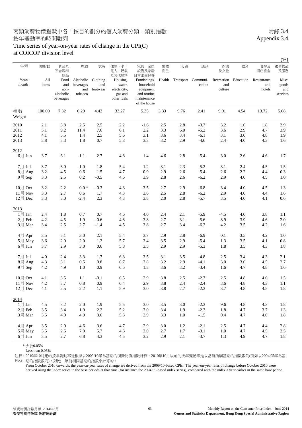#### Time series of year-on-year rates of change in the CPI(C) at COICOP division level

| 年/月            | 總指數          | 食品及<br>不含酒精<br>飲品                             | 煙酒                                       | 衣履                          | 住屋、水、<br>電力、燃氣<br>及其他燃料                                      | 家具、家居<br>設備及家居<br>日常維修保養                                                             | 醫療<br>衛生 | 交通      | 通訊                                  | 娛樂<br>及文化                    | 教育        | 食肆及<br>酒店旅舍                  | 雜項物品<br>及服務                       |
|----------------|--------------|-----------------------------------------------|------------------------------------------|-----------------------------|--------------------------------------------------------------|--------------------------------------------------------------------------------------|----------|---------|-------------------------------------|------------------------------|-----------|------------------------------|-----------------------------------|
| Year/<br>month | All<br>items | Food<br>and<br>non-<br>alcoholic<br>beverages | Alcoholic<br>beverages<br>and<br>tobacco | Clothing<br>and<br>footwear | Housing,<br>water,<br>electricity,<br>gas and<br>other fuels | Furnishings,<br>household<br>equipment<br>and routine<br>maintenance<br>of the house |          |         | Health Transport Communi-<br>cation | Recreation<br>and<br>culture | Education | Restaurants<br>and<br>hotels | Misc.<br>goods<br>and<br>services |
| 權數<br>Weight   | 100.00       | 7.32                                          | 0.29                                     | 4.42                        | 33.27                                                        | 5.35                                                                                 | 3.33     | 9.76    | 2.41                                | 9.91                         | 4.54      | 13.72                        | 5.68                              |
| 2010           | 2.1          | 3.8                                           | 2.5                                      | 2.5                         | 2.2                                                          | $-1.6$                                                                               | 2.5      | 2.8     | $-3.7$                              | 3.2                          | 1.6       | 1.8                          | 2.9                               |
| 2011           | 5.1          | 9.2                                           | 11.4                                     | 7.6                         | 6.1                                                          | 2.2                                                                                  | 3.3      | 6.0     | $-5.2$                              | 3.6                          | 2.9       | 4.7                          | 3.9                               |
| 2012           | 4.1          | 5.5                                           | 1.4                                      | 2.5                         | 5.6                                                          | 3.1                                                                                  | 3.6      | 3.4     | $-6.1$                              | 3.1                          | 3.0       | 4.8                          | 1.9                               |
| 2013           | 3.8          | 3.3                                           | 1.8                                      | 0.7                         | 5.8                                                          | 3.3                                                                                  | 3.2      | 2.9     | $-4.6$                              | 2.4                          | 4.0       | 4.3                          | 1.6                               |
| 2012           |              |                                               |                                          |                             |                                                              |                                                                                      |          |         |                                     |                              |           |                              |                                   |
| $6$ 月 Jun      | 3.7          | 6.1                                           | $-1.1$                                   | 2.7                         | 4.8                                                          | 1.4                                                                                  | 4.6      | 2.8     | $-5.4$                              | 3.0                          | 2.6       | 4.6                          | 1.7                               |
| 7月 Jul         | 3.7          | 6.0                                           | $-1.0$                                   | 1.8                         | 5.4                                                          | 1.2                                                                                  | 3.1      | 2.3     | $-5.2$                              | 3.1                          | 2.4       | 4.5                          | 1.5                               |
| 8月 Aug         | 3.2          | 4.5                                           | 0.6                                      | 1.5                         | 4.7                                                          | 0.9                                                                                  | 2.9      | 2.6     | $-5.4$                              | 2.6                          | 2.2       | 4.4                          | 0.3                               |
| 9月 Sep         | 3.3          | 2.5                                           | 0.2                                      | $-0.5$                      | 4.6                                                          | 3.9                                                                                  | 2.8      | 2.6     | $-6.2$                              | 2.9                          | 4.0       | 4.5                          | 1.0                               |
| 10月 Oct        | 3.2          | 2.2                                           | $0.0*$                                   | $-0.3$                      | 4.3                                                          | 3.5                                                                                  | 2.7      | 2.9     | $-6.8$                              | 3.4                          | 4.0       | 4.5                          | 1.3                               |
| $11$ 月 Nov     | 3.3          | 2.7                                           | 0.6                                      | 1.7                         | 4.3                                                          | 3.6                                                                                  | 2.5      | 2.8     | $-6.2$                              | 2.9                          | 4.0       | 4.4                          | 1.6                               |
| 12月 Dec        | 3.3          | 3.0                                           | $-2.4$                                   | 2.3                         | 4.3                                                          | 3.8                                                                                  | 2.0      | 2.8     | $-5.7$                              | 3.5                          | 4.0       | 4.1                          | 0.6                               |
| 2013           |              |                                               |                                          |                             |                                                              |                                                                                      |          |         |                                     |                              |           |                              |                                   |
| $1$ 月 Jan      | 2.4          | 1.8                                           | 0.7                                      | 0.7                         | 4.6                                                          | 4.0                                                                                  | 2.4      | 2.1     | $-5.9$                              | $-4.5$                       | 4.0       | 3.8                          | 1.1                               |
| 2月 Feb         | 4.2          | 4.5                                           | 1.9                                      | $-0.6$                      | 4.8                                                          | 3.8                                                                                  | 2.7      | 3.1     | $-5.6$                              | 8.9                          | 3.9       | 4.6                          | 2.0                               |
| 3月 Mar         | 3.4          | 2.5                                           | 2.7                                      | $-1.4$                      | 4.5                                                          | 3.8                                                                                  | 2.7      | 3.4     | $-6.2$                              | 4.2                          | 3.5       | 4.2                          | 1.6                               |
| 4月 Apr         | 3.5          | 5.1                                           | 3.0                                      | 2.1                         | 5.4                                                          | 3.7                                                                                  | 2.9      | 2.8     | $-6.9$                              | 0.1                          | 3.5       | 4.2                          | 1.0                               |
| 5月 May         | 3.6          | 2.9                                           | 2.0                                      | 1.2                         | 5.7                                                          | 3.4                                                                                  | 3.5      | 2.9     | $-5.4$                              | 1.3                          | 3.5       | 4.1                          | 0.8                               |
| $6$ 月 Jun      | 3.7          | 2.9                                           | 3.0                                      | 0.6                         | 5.8                                                          | 3.5                                                                                  | 2.9      | 2.9     | $-5.3$                              | 1.8                          | 3.5       | 4.3                          | 1.8                               |
| 7月 Jul         | 4.0          | 2.4                                           | 3.3                                      | 1.7                         | 6.3                                                          | 3.5                                                                                  | 3.1      | 3.5     | $-4.8$                              | 2.5                          | 3.4       | 4.3                          | 2.1                               |
| 8月 Aug         | 4.3          | 3.1                                           | 0.5                                      | 0.8                         | 6.7                                                          | 3.8                                                                                  | 3.2      | 2.9     | $-4.1$                              | 3.0                          | 3.6       | 4.5                          | 2.7                               |
| 9月 Sep         | 4.2          | 4.9                                           | 1.0                                      | 0.9                         | 6.5                                                          | 1.3                                                                                  | 3.6      | $3.2\,$ | $-3.4$                              | 1.6                          | 4.7       | 4.8                          | 1.6                               |
| 10月 Oct        | 4.1          | 3.5                                           | 1.1                                      | $-0.1$                      | 6.5                                                          | 2.9                                                                                  | 3.8      | 2.5     | $-2.7$                              | 2.5                          | 4.8       | 4.6                          | 1.5                               |
| 11月 Nov        | 4.2          | 3.7                                           | 0.8                                      | 0.9                         | 6.4                                                          | 2.9                                                                                  | 3.8      | 2.4     | $-2.4$                              | 3.6                          | 4.8       | 4.3                          | 1.1                               |
| $12$ 月 Dec     | 4.1          | 2.5                                           | 2.2                                      | 1.1                         | 5.9                                                          | 3.0                                                                                  | 3.8      | 2.7     | $-2.3$                              | 3.7                          | 4.8       | 4.5                          | 1.8                               |
| 2014           |              |                                               |                                          |                             |                                                              |                                                                                      |          |         |                                     |                              |           |                              |                                   |
| $1$ 月 Jan      | 4.5          | 3.2                                           | $2.0\,$                                  | 1.9                         | 5.5                                                          | $3.0\,$                                                                              | $3.5$    | 3.0     | $-2.3$                              | 9.6                          | 4.8       | 4.3                          | 1.8                               |
| 2月 Feb         | 3.5          | 3.4                                           | 1.9                                      | 2.2                         | 5.2                                                          | 3.0                                                                                  | 3.4      | 1.9     | $-2.3$                              | 1.8                          | 4.7       | 3.7                          | 1.3                               |
| 3月 Mar         | 3.5          | 4.0                                           | 4.9                                      | 3.6                         | 5.3                                                          | 2.9                                                                                  | 3.3      | 1.0     | $-1.5$                              | 0.4                          | 4.7       | 4.0                          | 1.8                               |
| 4月 Apr         | 3.5          | 2.0                                           | 4.6                                      | 3.6                         | 4.7                                                          | 2.9                                                                                  | 3.0      | 1.2     | $-2.1$                              | $2.5\,$                      | 4.7       | 4.4                          | 2.8                               |
| 5月 May         | 3.5          | $2.6\,$                                       | 7.0                                      | 5.7                         | 4.6                                                          | 3.0                                                                                  | $2.7\,$  | 1.7     | $-3.1$                              | $1.0\,$                      | 4.7       | $4.5\,$                      | $2.5\,$                           |
| $6$ 月 Jun      | 3.5          | 2.7                                           | 6.8                                      | 4.3                         | 4.5                                                          | 3.2                                                                                  | 2.9      | $2.1\,$ | $-3.7$                              | 1.3                          | 4.9       | 4.7                          | $1.8\,$                           |
|                |              |                                               |                                          |                             |                                                              |                                                                                      |          |         |                                     |                              |           |                              |                                   |

\* 少於0.05%

Less than 0.05%

註釋 : 2010年10月起的按年變動率是根據以2009/10年為基期的消費物價指數計算。2010年10月以前的按年變動率是以當時所屬基期的指數數列(例如以2004/05年為基 Note : 期的指數數列),對比一年前相同基期的指數來計算的。

From October 2010 onwards, the year-on-year rates of change are derived from the 2009/10-based CPIs. The year-on-year rates of change before October 2010 were derived using the index series in the base periods at that time (for instance the 2004/05-based index series), compared with the index a year earlier in the same base period.

(%)